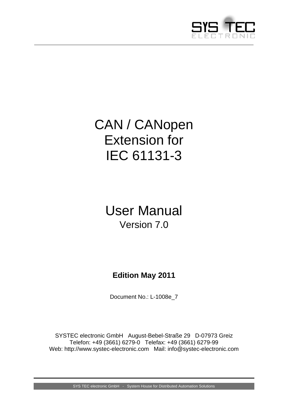

## CAN / CANopen Extension for IEC 61131-3

## <span id="page-0-0"></span>User Manual Version 7.0

## **Edition May 2011**

Document No.: [L-1008e\\_](#page-0-0)7

SYSTEC electronic GmbH August-Bebel-Straße 29 D-07973 Greiz Telefon: +49 (3661) 6279-0 Telefax: +49 (3661) 6279-99 Web: http://www.systec-electronic.com Mail: info@systec-electronic.com

SYS TEC electronic GmbH - System House for Distributed Automation Solutions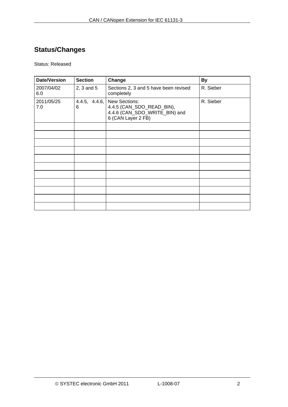### **Status/Changes**

Status: Released

| <b>Date/Version</b> | <b>Section</b> | Change                                                                                                          | <b>By</b> |
|---------------------|----------------|-----------------------------------------------------------------------------------------------------------------|-----------|
| 2007/04/02<br>6.0   | $2, 3$ and $5$ | Sections 2, 3 and 5 have been revised<br>completely                                                             | R. Sieber |
| 2011/05/25<br>7.0   | 6              | 4.4.5, 4.4.6, New Sections:<br>4.4.5 (CAN_SDO_READ_BIN),<br>4.4.6 (CAN_SDO_WRITE_BIN) and<br>6 (CAN Layer 2 FB) | R. Sieber |
|                     |                |                                                                                                                 |           |
|                     |                |                                                                                                                 |           |
|                     |                |                                                                                                                 |           |
|                     |                |                                                                                                                 |           |
|                     |                |                                                                                                                 |           |
|                     |                |                                                                                                                 |           |
|                     |                |                                                                                                                 |           |
|                     |                |                                                                                                                 |           |
|                     |                |                                                                                                                 |           |
|                     |                |                                                                                                                 |           |
|                     |                |                                                                                                                 |           |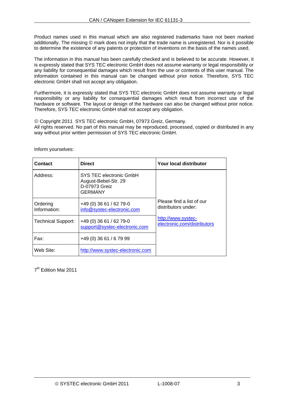Product names used in this manual which are also registered trademarks have not been marked additionally. The missing © mark does not imply that the trade name is unregistered. Nor is it possible to determine the existence of any patents or protection of inventions on the basis of the names used.

The information in this manual has been carefully checked and is believed to be accurate. However, it is expressly stated that SYS TEC electronic GmbH does not assume warranty or legal responsibility or any liability for consequential damages which result from the use or contents of this user manual. The information contained in this manual can be changed without prior notice. Therefore, SYS TEC electronic GmbH shall not accept any obligation.

Furthermore, it is expressly stated that SYS TEC electronic GmbH does not assume warranty or legal responsibility or any liability for consequential damages which result from incorrect use of the hardware or software. The layout or design of the hardware can also be changed without prior notice. Therefore, SYS TEC electronic GmbH shall not accept any obligation.

© Copyright 2011 SYS TEC electronic GmbH, 07973 Greiz, Germany.

All rights reserved. No part of this manual may be reproduced, processed, copied or distributed in any way without prior written permission of SYS TEC electronic GmbH.

| Contact                   | <b>Direct</b>                                                               | Your local distributor                            |
|---------------------------|-----------------------------------------------------------------------------|---------------------------------------------------|
| Address:                  | SYS TEC electronic GmbH<br>August-Bebel-Str. 29<br>D-07973 Greiz<br>GERMANY |                                                   |
| Ordering<br>Information:  | +49 (0) 36 61 / 62 79-0<br>info@systec-electronic.com                       | Please find a list of our<br>distributors under:  |
| <b>Technical Support:</b> | +49 (0) 36 61 / 62 79-0<br>support@systec-electronic.com                    | http://www.systec-<br>electronic.com/distributors |
| Fax:                      | +49 (0) 36 61 / 6 79 99                                                     |                                                   |
| Web Site:                 | http://www.systec-electronic.com                                            |                                                   |

Inform yourselves:

7th Edition Mai 2011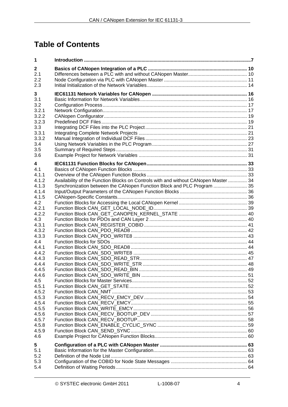## **Table of Contents**

| 1              |                                                                                     |  |
|----------------|-------------------------------------------------------------------------------------|--|
| 2              |                                                                                     |  |
| 2.1            |                                                                                     |  |
| 2.2            |                                                                                     |  |
| 2.3            |                                                                                     |  |
| 3              |                                                                                     |  |
| 3.1            |                                                                                     |  |
| 3.2            |                                                                                     |  |
| 3.2.1          |                                                                                     |  |
| 3.2.2          |                                                                                     |  |
| 3.2.3          |                                                                                     |  |
| 3.3<br>3.3.1   |                                                                                     |  |
| 3.3.2          |                                                                                     |  |
| 3.4            |                                                                                     |  |
| 3.5            |                                                                                     |  |
| 3.6            |                                                                                     |  |
| 4              |                                                                                     |  |
| 4.1            |                                                                                     |  |
| 4.1.1          |                                                                                     |  |
| 4.1.2          | Availability of the Function Blocks on Controls with and without CANopen Master  34 |  |
| 4.1.3          | Synchronization between the CANopen Function Block and PLC Program  35              |  |
| 4.1.4          |                                                                                     |  |
| 4.1.5          |                                                                                     |  |
| 4.2            |                                                                                     |  |
| 4.2.1          |                                                                                     |  |
| 4.2.2          |                                                                                     |  |
| 4.3            |                                                                                     |  |
| 4.3.1<br>4.3.2 |                                                                                     |  |
| 4.3.3          |                                                                                     |  |
| 4.4            |                                                                                     |  |
| 4.4.1          |                                                                                     |  |
| 4.4.2          |                                                                                     |  |
| 4.4.3          |                                                                                     |  |
| 4.4.4          |                                                                                     |  |
| 4.4.5          |                                                                                     |  |
| 4.4.6          |                                                                                     |  |
| 4.5<br>4.5.1   |                                                                                     |  |
| 4.5.2          |                                                                                     |  |
| 4.5.3          |                                                                                     |  |
| 4.5.4          |                                                                                     |  |
| 4.5.5          |                                                                                     |  |
| 4.5.6          |                                                                                     |  |
| 4.5.7          |                                                                                     |  |
| 4.5.8          |                                                                                     |  |
| 4.5.9          |                                                                                     |  |
| 4.6            |                                                                                     |  |
| 5              |                                                                                     |  |
| 5.1            |                                                                                     |  |
| 5.2            |                                                                                     |  |
| 5.3            |                                                                                     |  |
| 5.4            |                                                                                     |  |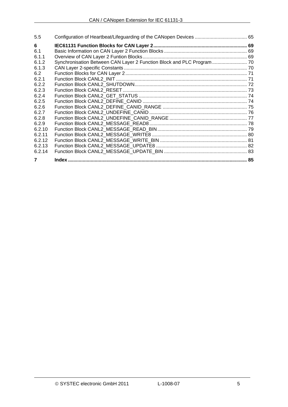| 5.5            |                                                                        |  |
|----------------|------------------------------------------------------------------------|--|
| 6              |                                                                        |  |
| 6.1            |                                                                        |  |
| 6.1.1          |                                                                        |  |
| 6.1.2          | Synchronisation Between CAN Layer 2 Function Block and PLC Program  70 |  |
| 6.1.3          |                                                                        |  |
| 6.2            |                                                                        |  |
| 6.2.1          |                                                                        |  |
| 6.2.2          |                                                                        |  |
| 6.2.3          |                                                                        |  |
| 6.2.4          |                                                                        |  |
| 6.2.5          |                                                                        |  |
| 6.2.6          |                                                                        |  |
| 6.2.7          |                                                                        |  |
| 6.2.8          |                                                                        |  |
| 6.2.9          |                                                                        |  |
| 6.2.10         |                                                                        |  |
| 6.2.11         |                                                                        |  |
| 6.2.12         |                                                                        |  |
| 6.2.13         |                                                                        |  |
| 6.2.14         |                                                                        |  |
| $\overline{7}$ |                                                                        |  |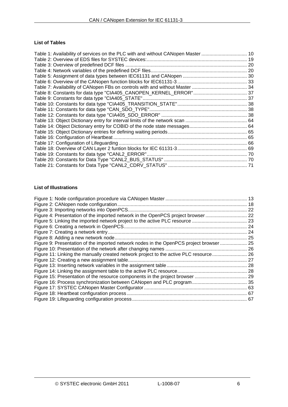#### **List of Tables**

| Table 1: Availability of services on the PLC with and without CANopen Master  10 |  |
|----------------------------------------------------------------------------------|--|
|                                                                                  |  |
|                                                                                  |  |
|                                                                                  |  |
|                                                                                  |  |
|                                                                                  |  |
|                                                                                  |  |
|                                                                                  |  |
|                                                                                  |  |
|                                                                                  |  |
|                                                                                  |  |
|                                                                                  |  |
|                                                                                  |  |
|                                                                                  |  |
|                                                                                  |  |
|                                                                                  |  |
|                                                                                  |  |
|                                                                                  |  |
|                                                                                  |  |
|                                                                                  |  |
|                                                                                  |  |

#### **List of Illustrations**

|                                                                                         | -22 |
|-----------------------------------------------------------------------------------------|-----|
| Figure 4: Presentation of the imported network in the OpenPCS project browser           |     |
|                                                                                         |     |
|                                                                                         |     |
|                                                                                         |     |
|                                                                                         |     |
| Figure 9: Presentation of the imported network nodes in the OpenPCS project browser  25 |     |
|                                                                                         |     |
| Figure 11: Linking the manually created network project to the active PLC resource 26   |     |
|                                                                                         |     |
|                                                                                         |     |
|                                                                                         |     |
|                                                                                         |     |
|                                                                                         |     |
|                                                                                         |     |
|                                                                                         |     |
|                                                                                         |     |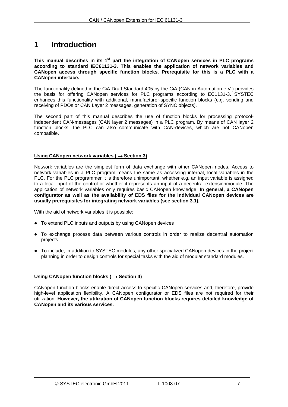### <span id="page-6-0"></span>**1 Introduction**

**This manual describes in its 1st part the integration of CANopen services in PLC programs according to standard IEC61131-3. This enables the application of network variables and CANopen access through specific function blocks. Prerequisite for this is a PLC with a CANopen interface.**

The functionality defined in the CiA Draft Standard 405 by the CiA (CAN in Automation e.V.) provides the basis for offering CANopen services for PLC programs according to EC1131-3. SYSTEC enhances this functionality with additional, manufacturer-specific function blocks (e.g. sending and receiving of PDOs or CAN Layer 2 messages, generation of SYNC objects).

The second part of this manual describes the use of function blocks for processing protocolindependent CAN-messages (CAN layer 2 messages) in a PLC program. By means of CAN layer 2 function blocks, the PLC can also communicate with CAN-devices, which are not CANopen compatible.

#### **Using CANopen network variables (** → **Section [3\)](#page-15-0)**

Network variables are the simplest form of data exchange with other CANopen nodes. Access to network variables in a PLC program means the same as accessing internal, local variables in the PLC. For the PLC programmer it is therefore unimportant, whether e.g. an input variable is assigned to a local input of the control or whether it represents an input of a decentral extensionmodule. The application of network variables only requires basic CANopen knowledge. **In general, a CANopen configurator as well as the availability of EDS files for the individual CANopen devices are usually prerequisites for integrating network variables (see section [3.1\)](#page-15-1).** 

With the aid of network variables it is possible:

- To extend PLC inputs and outputs by using CANopen devices
- To exchange process data between various controls in order to realize decentral automation projects
- To include, in addition to SYSTEC modules, any other specialized CANopen devices in the project planning in order to design controls for special tasks with the aid of modular standard modules.

#### **Using CANopen function blocks (** → **Section [4](#page-32-0))**

CANopen function blocks enable direct access to specific CANopen services and, therefore, provide high-level application flexibility. A CANopen configurator or EDS files are not required for their utilization. **However, the utilization of CANopen function blocks requires detailed knowledge of CANopen and its various services.**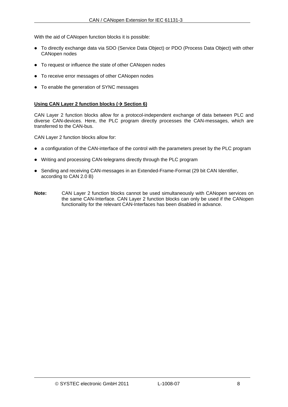With the aid of CANopen function blocks it is possible:

- To directly exchange data via SDO (Service Data Object) or PDO (Process Data Object) with other CANopen nodes
- To request or influence the state of other CANopen nodes
- To receive error messages of other CANopen nodes
- To enable the generation of SYNC messages

#### Using CAN Layer 2 function blocks (→ Section [6](#page-68-0))

CAN Layer 2 function blocks allow for a protocol-independent exchange of data between PLC and diverse CAN-devices. Here, the PLC program directly processes the CAN-messages, which are transferred to the CAN-bus.

CAN Layer 2 function blocks allow for:

- a configuration of the CAN-interface of the control with the parameters preset by the PLC program
- Writing and processing CAN-telegrams directly through the PLC program
- Sending and receiving CAN-messages in an Extended-Frame-Format (29 bit CAN Identifier, according to CAN 2.0 B)
- **Note:** CAN Layer 2 function blocks cannot be used simultaneously with CANopen services on the same CAN-Interface. CAN Layer 2 function blocks can only be used if the CANopen functionality for the relevant CAN-Interfaces has been disabled in advance.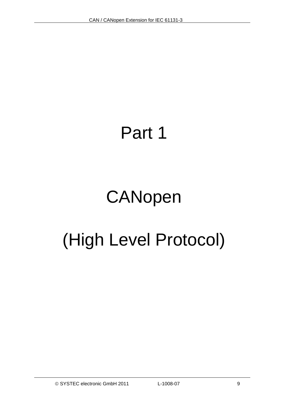## Part 1

# **CANopen**

# (High Level Protocol)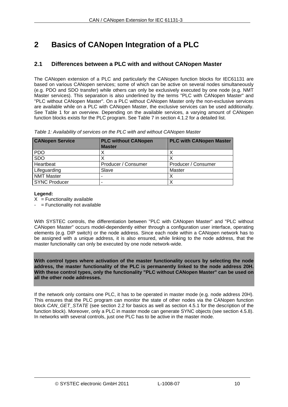## <span id="page-9-0"></span>**2 Basics of CANopen Integration of a PLC**

#### <span id="page-9-1"></span>**2.1 Differences between a PLC with and without CANopen Master**

The CANopen extension of a PLC and particularly the CANopen function blocks for IEC61131 are based on various CANopen services; some of which can be active on several nodes simultaneously (e.g. PDO and SDO transfer) while others can only be exclusively executed by one node (e.g. NMT Master services). This separation is also underlined by the terms "PLC with CANopen Master" and "PLC without CANopen Master". On a PLC without CANopen Master only the non-exclusive services are available while on a PLC with CANopen Master, the exclusive services can be used additionally. See [Table 1](#page-9-2) for an overview. Depending on the available services, a varying amount of CANopen function blocks exists for the PLC program. See [Table 7](#page-33-1) in section [4.1.2](#page-33-0) for a detailed list.

|  |  |  | Table 1: Availability of services on the PLC with and without CANopen Master |
|--|--|--|------------------------------------------------------------------------------|
|--|--|--|------------------------------------------------------------------------------|

<span id="page-9-2"></span>

| <b>CANopen Service</b> | <b>PLC without CANopen</b><br><b>Master</b> | <b>PLC with CANopen Master</b> |
|------------------------|---------------------------------------------|--------------------------------|
| <b>PDO</b>             |                                             |                                |
| SDO                    |                                             |                                |
| Heartbeat              | Producer / Consumer                         | Producer / Consumer            |
| Lifeguarding           | Slave                                       | Master                         |
| <b>NMT Master</b>      |                                             |                                |
| <b>SYNC Producer</b>   |                                             |                                |

#### **Legend:**

 $X =$  Functionality available

 $=$  Functionality not available

With SYSTEC controls, the differentiation between "PLC with CANopen Master" and "PLC without CANopen Master" occurs model-dependently either through a configuration user interface, operating elements (e.g. DIP switch) or the node address. Since each node within a CANopen network has to be assigned with a unique address, it is also ensured, while linking to the node address, that the master functionality can only be executed by one node network-wide.

**With control types where activation of the master functionality occurs by selecting the node address, the master functionality of the PLC is permanently linked to the node address 20H. With these control types, only the functionality "PLC without CANopen Master" can be used on all the other node addresses.**

If the network only contains one PLC, it has to be operated in master mode (e.g. node address 20H). This ensures that the PLC program can monitor the state of other nodes via the CANopen function block *CAN\_GET\_STATE* (see section [2.2](#page-10-0) for basics as well as section [4.5.1](#page-51-1) for the description of the function block). Moreover, only a PLC in master mode can generate SYNC objects (see section [4.5.8](#page-58-0)). In networks with several controls, just one PLC has to be active in the master mode.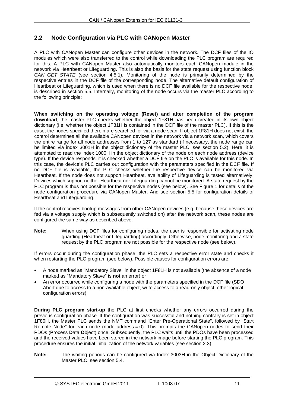#### <span id="page-10-0"></span>**2.2 Node Configuration via PLC with CANopen Master**

A PLC with CANopen Master can configure other devices in the network. The DCF files of the IO modules which were also transferred to the control while downloading the PLC program are required for this. A PLC with CANopen Master also automatically monitors each CANopen module in the network via Heartbeat or Lifeguarding. This is also the basis for the state request using function block *CAN\_GET\_STATE* (see section [4.5.1](#page-51-1)). Monitoring of the node is primarily determined by the respective entries in the DCF file of the corresponding node. The alternative default configuration of Heartbeat or Lifeguarding, which is used when there is no DCF file available for the respective node, is described in section [5.5.](#page-64-0) Internally, monitoring of the node occurs via the master PLC according to the following principle:

**When switching on the operating voltage (Reset) and after completion of the program download**, the master PLC checks whether the object 1F81H has been created in its own object dictionary (i.e. whether the object 1F81H is contained in the DCF file of the master PLC). If this is the case, the nodes specified therein are searched for via a node scan. If object 1F81H does not exist, the control determines all the available CANopen devices in the network via a network scan, which covers the entire range for all node addresses from 1 to 127 as standard (if necessary, the node range can be limited via index 3001H in the object dictionary of the master PLC, see section [5.2\)](#page-62-2). Here, it is attempted to read the index 1000H in the object dictionary of the node on each node address (device type). If the device responds, it is checked whether a DCF file on the PLC is available for this node. In this case, the device's PLC carries out configuration with the parameters specified in the DCF file. If no DCF file is available, the PLC checks whether the respective device can be monitored via Heartbeat. If the node does not support Heartbeat, availability of Lifeguarding is tested alternatively. Devices which support neither Heartbeat nor Lifeguarding cannot be monitored. A state request by the PLC program is thus not possible for the respective nodes (see below). See [Figure 1](#page-12-0) for details of the node configuration procedure via CANopen Master. And see section [5.5](#page-64-0) for configuration details of Heartbeat and Lifeguarding.

If the control receives bootup messages from other CANopen devices (e.g. because these devices are fed via a voltage supply which is subsequently switched on) after the network scan, these nodes are configured the same way as described above.

**Note:** When using DCF files for configuring nodes, the user is responsible for activating node guarding (Heartbeat or Lifeguarding) accordingly. Otherwise, node monitoring and a state request by the PLC program are not possible for the respective node (see below).

If errors occur during the configuration phase, the PLC sets a respective error state and checks it when restarting the PLC program (see below). Possible causes for configuration errors are:

- A node marked as "Mandatory Slave" in the object 1F81H is not available (the absence of a node marked as "Mandatory Slave" is **not** an error) or
- An error occurred while configuring a node with the parameters specified in the DCF file (SDO Abort due to access to a non-available object, write access to a read-only object, other logical configuration errors)

**During PLC program start-up** the PLC at first checks whether any errors occurred during the previous configuration phase. If the configuration was successful and nothing contrary is set in object 1F80H, the Master PLC sends the NMT command "Enter Pre-Operational State", followed by "Start Remote Node" for each node (node address  $= 0$ ). This prompts the CANopen nodes to send their PDOs (**P**rocess **D**ata **O**bject) once. Subsequently, the PLC waits until the PDOs have been processed and the received values have been stored in the network image before starting the PLC program. This procedure ensures the initial initialization of the network variables (see section [2.3\)](#page-13-0)

**Note:** The waiting periods can be configured via Index 3003H in the Object Dictionary of the Master PLC, see section [5.4](#page-63-1).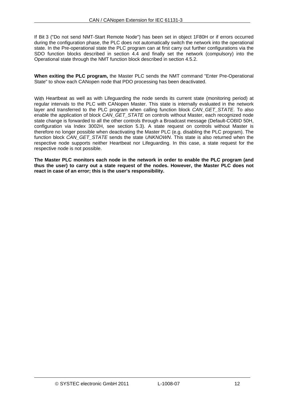If Bit 3 ("Do not send NMT-Start Remote Node") has been set in object 1F80H or if errors occurred during the configuration phase, the PLC does not automatically switch the network into the operational state. In the Pre-operational state the PLC program can at first carry out further configurations via the SDO function blocks described in section [4.4](#page-43-0) and finally set the network (compulsory) into the Operational state through the NMT function block described in section [4.5.2.](#page-52-0)

**When exiting the PLC program,** the Master PLC sends the NMT command "Enter Pre-Operational State" to show each CANopen node that PDO processing has been deactivated.

With Heartbeat as well as with Lifeguarding the node sends its current state (monitoring period) at regular intervals to the PLC with CANopen Master. This state is internally evaluated in the network layer and transferred to the PLC program when calling function block *CAN\_GET\_STATE*. To also enable the application of block *CAN\_GET\_STATE* on controls without Master, each recognized node state change is forwarded to all the other controls through a Broadcast message (Default-COBID 50H, configuration via Index 3002H, see section [5.3](#page-63-0)). A state request on controls without Master is therefore no longer possible when deactivating the Master PLC (e.g. disabling the PLC program). The function block *CAN\_GET\_STATE* sends the state *UNKNOWN*. This state is also returned when the respective node supports neither Heartbeat nor Lifeguarding. In this case, a state request for the respective node is not possible.

**The Master PLC monitors each node in the network in order to enable the PLC program (and thus the user) to carry out a state request of the nodes. However, the Master PLC does not react in case of an error; this is the user's responsibility.**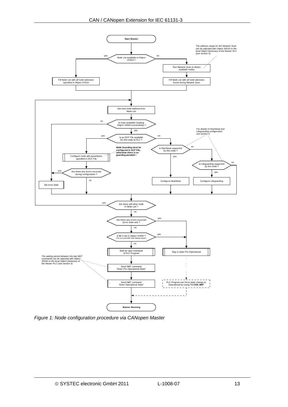

<span id="page-12-0"></span>*Figure 1: Node configuration procedure via CANopen Master*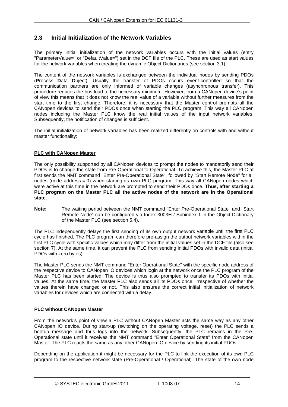#### <span id="page-13-0"></span>**2.3 Initial Initialization of the Network Variables**

The primary initial initialization of the network variables occurs with the initial values (entry "ParameterValue=" or "DefaultValue=") set in the DCF file of the PLC. These are used as start values for the network variables when creating the dynamic Object Dictionaries (see section [3.1\)](#page-15-1).

The content of the network variables is exchanged between the individual nodes by sending PDOs (**P**rocess **D**ata **O**bject). Usually the transfer of PDOs occurs event-controlled so that the communication partners are only informed of variable changes (asynchronous transfer). This procedure reduces the bus load to the necessary minimum. However, from a CANopen device's point of view this means that it does not know the real value of a variable without further measures from the start time to the first change. Therefore, it is necessary that the Master control prompts all the CANopen devices to send their PDOs once when starting the PLC program. This way all CANopen nodes including the Master PLC know the real initial values of the input network variables. Subsequently, the notification of changes is sufficient.

The initial initialization of network variables has been realized differently on controls with and without master functionality:

#### **PLC with CANopen Master**

The only possibility supported by all CANopen devices to prompt the nodes to mandatorily send their PDOs is to change the state from Pre-Operational to Operational. To achieve this, the Master PLC at first sends the NMT command "Enter Pre-Operational State", followed by "Start Remote Node" for all nodes (node address  $= 0$ ) when starting its own PLC program. This way all CANopen nodes which were active at this time in the network are prompted to send their PDOs once. **Thus, after starting a PLC program on the Master PLC all the active nodes of the network are in the Operational state.** 

**Note:** The waiting period between the NMT command "Enter Pre-Operational State" and "Start Remote Node" can be configured via Index 3003H / Subindex 1 in the Object Dictionary of the Master PLC (see section [5.4\)](#page-63-1).

The PLC independently delays the first sending of its own output network variable until the first PLC cycle has finished. The PLC program can therefore pre-assign the output network variables within the first PLC cycle with specific values which may differ from the initial values set in the DCF file (also see section [7](#page-26-2)). At the same time, it can prevent the PLC from sending initial PDOs with invalid data (initial PDOs with zero bytes).

The Master PLC sends the NMT command "Enter Operational State" with the specific node address of the respective device to CANopen IO devices which login at the network once the PLC program of the Master PLC has been started. The device is thus also prompted to transfer its PDOs with initial values. At the same time, the Master PLC also sends all its PDOs once, irrespective of whether the values therein have changed or not. This also ensures the correct initial initialization of network variables for devices which are connected with a delay.

#### **PLC without CANopen Master**

From the network's point of view a PLC without CANopen Master acts the same way as any other CANopen IO device. During start-up (switching on the operating voltage, reset) the PLC sends a bootup message and thus logs into the network. Subsequently, the PLC remains in the Pre-Operational state until it receives the NMT command "Enter Operational State" from the CANopen Master. The PLC reacts the same as any other CANopen IO device by sending its initial PDOs.

Depending on the application it might be necessary for the PLC to link the execution of its own PLC program to the respective network state (Pre-Operational / Operational). The state of the own node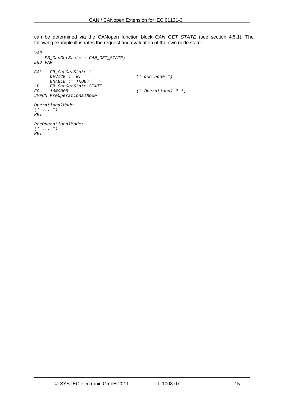can be determined via the CANopen function block *CAN\_GET\_STATE* (see section [4.5.1\)](#page-51-1). The following example illustrates the request and evaluation of the own node state:

*VAR FB\_CanGetState : CAN\_GET\_STATE; END\_VAR CAL FB\_CanGetState ( DEVICE := 0, (\* own node \*) ENABLE := TRUE) LD FB\_CanGetState.STATE EQ 16#0005 (\* Operational ? \*) JMPCN PreOperationalMode OperationalMode: (\* ... \*) RET PreOperationalMode: (\* ... \*) RET*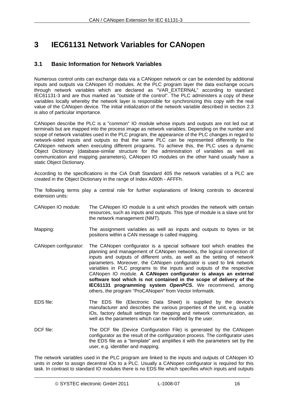### <span id="page-15-0"></span>**3 IEC61131 Network Variables for CANopen**

#### <span id="page-15-1"></span>**3.1 Basic Information for Network Variables**

Numerous control units can exchange data via a CANopen network or can be extended by additional inputs and outputs via CANopen IO modules. At the PLC program layer the data exchange occurs through network variables which are declared as "VAR\_EXTERNAL" according to standard IEC61131-3 and are thus marked as "outside of the control". The PLC administers a copy of these variables locally whereby the network layer is responsible for synchronizing this copy with the real value of the CANopen device. The initial initialization of the network variable described in section [2.3](#page-13-0) is also of particular importance.

CANopen describe the PLC is a "common" IO module whose inputs and outputs are not led out at terminals but are mapped into the process image as network variables. Depending on the number and scope of network variables used in the PLC program, the appearance of the PLC changes in regard to network-sided inputs and outputs so that the same PLC can be represented differently to the CANopen network when executing different programs. To achieve this, the PLC uses a dynamic Object Dictionary (database-similar structure for the administration of variables as well as communication and mapping parameters), CANopen IO modules on the other hand usually have a static Object Dictionary.

According to the specifications in the CiA Draft Standard 405 the network variables of a PLC are created in the Object Dictionary in the range of Index A000h - AFFFh.

The following terms play a central role for further explanations of linking controls to decentral extension units:

- CANopen IO module: The CANopen IO module is a unit which provides the network with certain resources, such as inputs and outputs. This type of module is a slave unit for the network management (NMT).
- Mapping: The assignment variables as well as inputs and outputs to bytes or bit positions within a CAN message is called mapping.
- CANopen configurator: The CANopen configurator is a special software tool which enables the planning and management of CANopen networks, the logical connection of inputs and outputs of different units, as well as the setting of network parameters. Moreover, the CANopen configurator is used to link network variables in PLC programs to the inputs and outputs of the respective CANopen IO module. **A CANopen configurator is always an external software tool which is not contained in the scope of delivery of the IEC61131 programming system** *OpenPCS***.** We recommend, among others, the program "ProCANopen" from Vector Informatik.
- EDS file: The EDS file (Electronic Data Sheet) is supplied by the device's manufacturer and describes the various properties of the unit, e.g. usable IOs, factory default settings for mapping and network communication, as well as the parameters which can be modified by the user.
- DCF file: The DCF file (Device Configuration File) is generated by the CANopen configurator as the result of the configuration process. The configurator uses the EDS file as a "template" and amplifies it with the parameters set by the user, e.g. identifier and mapping.

The network variables used in the PLC program are linked to the inputs and outputs of CANopen IO units in order to assign decentral IOs to a PLC. Usually a CANopen configurator is required for this task. In contrast to standard IO modules there is no EDS file which specifies which inputs and outputs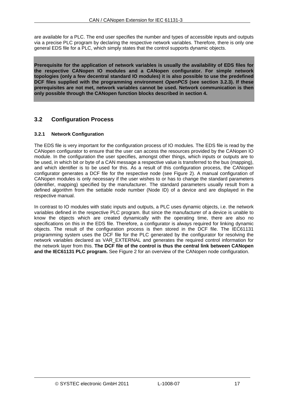are available for a PLC. The end user specifies the number and types of accessible inputs and outputs via a precise PLC program by declaring the respective network variables. Therefore, there is only one general EDS file for a PLC, which simply states that the control supports dynamic objects.

**Prerequisite for the application of network variables is usually the availability of EDS files for the respective CANopen IO modules and a CANopen configurator. For simple network topologies (only a few decentral standard IO modules) it is also possible to use the predefined DCF files supplied with the programming environment** *OpenPCS* **(see section [3.2.3\)](#page-18-1). If these prerequisites are not met, network variables cannot be used. Network communication is then only possible through the CANopen function blocks described in section [4](#page-32-0).**

#### <span id="page-16-0"></span>**3.2 Configuration Process**

#### <span id="page-16-1"></span>**3.2.1 Network Configuration**

The EDS file is very important for the configuration process of IO modules. The EDS file is read by the CANopen configurator to ensure that the user can access the resources provided by the CANopen IO module. In the configuration the user specifies, amongst other things, which inputs or outputs are to be used, in which bit or byte of a CAN message a respective value is transferred to the bus (mapping), and which identifier is to be used for this. As a result of this configuration process, the CANopen configurator generates a DCF file for the respective node (see [Figure 2\)](#page-17-0). A manual configuration of CANopen modules is only necessary if the user wishes to or has to change the standard parameters (identifier, mapping) specified by the manufacturer. The standard parameters usually result from a defined algorithm from the settable node number (Node ID) of a device and are displayed in the respective manual.

In contrast to IO modules with static inputs and outputs, a PLC uses dynamic objects, i.e. the network variables defined in the respective PLC program. But since the manufacturer of a device is unable to know the objects which are created dynamically with the operating time, there are also no specifications on this in the EDS file. Therefore, a configurator is always required for linking dynamic objects. The result of the configuration process is then stored in the DCF file. The IEC61131 programming system uses the DCF file for the PLC generated by the configurator for resolving the network variables declared as VAR\_EXTERNAL and generates the required control information for the network layer from this. **The DCF file of the control is thus the central link between CANopen and the IEC61131 PLC program.** See [Figure 2](#page-17-0) for an overview of the CANopen node configuration.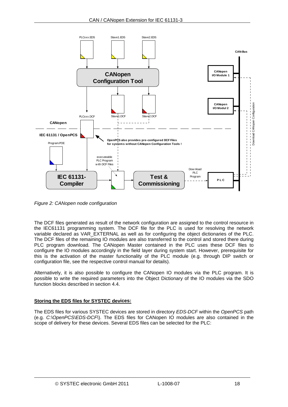

<span id="page-17-0"></span>*Figure 2: CANopen node configuration* 

The DCF files generated as result of the network configuration are assigned to the control resource in the IEC61131 programming system. The DCF file for the PLC is used for resolving the network variable declared as VAR\_EXTERNAL as well as for configuring the object dictionaries of the PLC. The DCF files of the remaining IO modules are also transferred to the control and stored there during PLC program download. The CANopen Master contained in the PLC uses these DCF files to configure the IO modules accordingly in the field layer during system start. However, prerequisite for this is the activation of the master functionality of the PLC module (e.g. through DIP switch or configuration file, see the respective control manual for details).

Alternatively, it is also possible to configure the CANopen IO modules via the PLC program. It is possible to write the required parameters into the Object Dictionary of the IO modules via the SDO function blocks described in section [4.4](#page-43-0).

#### **Storing the EDS files for SYSTEC devices:**

The EDS files for various SYSTEC devices are stored in directory *EDS-DCF* within the *OpenPCS* path (e.g. *C:\OpenPCS\EDS-DCF\*). The EDS files for CANopen IO modules are also contained in the scope of delivery for these devices. Several EDS files can be selected for the PLC: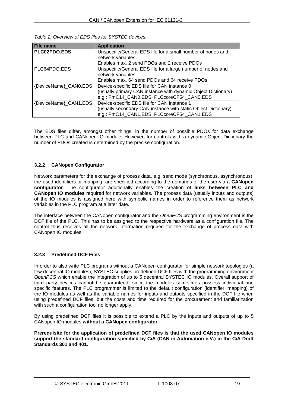<span id="page-18-2"></span>

| <b>File name</b>      | <b>Application</b>                                             |
|-----------------------|----------------------------------------------------------------|
| PLC02PDO.EDS          | Unspecific/General EDS file for a small number of nodes and    |
|                       | network variables                                              |
|                       | Enables max. 2 send PDOs and 2 receive PDOs                    |
| PLC64PDO.EDS          | Unspecific/General EDS file for a large number of nodes and    |
|                       | network variables                                              |
|                       | Enables max, 64 send PDOs and 64 receive PDOs                  |
| {DeviceName} CAN0.EDS | Device-specific EDS file for CAN instance 0                    |
|                       | (usually primary CAN instance with dynamic Object Dictionary)  |
|                       | e.g.: PmC14_CAN0.EDS, PLCcoreCF54_CAN0.EDS                     |
| {DeviceName}_CAN1.EDS | Device-specific EDS file for CAN instance 1                    |
|                       | (usually secondary CAN instance with static Object Dictionary) |
|                       | e.g.: PmC14_CAN1.EDS, PLCcoreCF54_CAN1.EDS                     |

|  |  |  |  | Table 2: Overview of EDS files for SYSTEC devices: |  |
|--|--|--|--|----------------------------------------------------|--|
|--|--|--|--|----------------------------------------------------|--|

The EDS files differ, amongst other things, in the number of possible PDOs for data exchange between PLC and CANopen IO module. However, for controls with a dynamic Object Dictionary the number of PDOs created is determined by the precise configuration.

#### <span id="page-18-0"></span>**3.2.2 CANopen Configurator**

Network parameters for the exchange of process data, e.g. send mode (synchronous, asynchronous), the used identifiers or mapping, are specified according to the demands of the user via a **CANopen configurator**. The configurator additionally enables the creation of **links between PLC and CANopen IO modules** required for network variables. The process data (usually inputs and outputs) of the IO modules is assigned here with symbolic names in order to reference them as network variables in the PLC program at a later date.

The interface between the CANopen configurator and the *OpenPCS* programming environment is the DCF file of the PLC. This has to be assigned to the respective hardware as a configuration file. The control thus receives all the network information required for the exchange of process data with CANopen IO modules.

#### <span id="page-18-1"></span>**3.2.3 Predefined DCF Files**

In order to also write PLC programs without a CANopen configurator for simple network topologies (a few decentral IO modules), SYSTEC supplies predefined DCF files with the programming environment *OpenPCS* which enable the integration of up to 5 decentral SYSTEC IO modules. Overall support of third party devices cannot be guaranteed, since the modules sometimes possess individual and specific features. The PLC programmer is limited to the default configuration (identifier, mapping) of the IO modules as well as the variable names for inputs and outputs specified in the DCF file when using predefined DCF files, but the costs and time required for the procurement and familiarization with such a configuration tool no longer apply.

By using predefined DCF files it is possible to extend a PLC by the inputs and outputs of up to 5 CANopen IO modules **without a CANopen configurator**.

**Prerequisite for the application of predefined DCF files is that the used CANopen IO modules support the standard configuration specified by CiA (CAN in Automation e.V.) in the CiA Draft Standards 301 and 401.**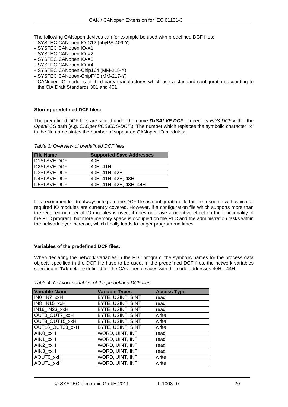The following CANopen devices can for example be used with predefined DCF files:

- SYSTEC CANopen IO-C12 (phyPS-409-Y)
- SYSTEC CANopen IO-X1
- SYSTEC CANopen IO-X2
- SYSTEC CANopen IO-X3
- SYSTEC CANopen IO-X4
- SYSTEC CANopen-Chip164 (MM-215-Y)
- SYSTEC CANopen-ChipF40 (MM-217-Y)
- CANopen IO modules of third party manufactures which use a standard configuration according to the CiA Draft Standards 301 and 401.

#### **Storing predefined DCF files:**

The predefined DCF files are stored under the name *DxSALVE.DCF* in directory *EDS-DCF* within the *OpenPCS* path (e.g. *C:\OpenPCS\EDS-DCF\*). The number which replaces the symbolic character "x" in the file name states the number of supported CANopen IO modules:

*Table 3: Overview of predefined DCF files* 

<span id="page-19-0"></span>

| <b>File Name</b> | <b>Supported Save Addresses</b> |
|------------------|---------------------------------|
| D1SLAVE.DCF      | 40H                             |
| D2SLAVE.DCF      | 40H, 41H                        |
| D3SLAVE.DCF      | 40H, 41H, 42H                   |
| D4SLAVE.DCF      | 40H, 41H, 42H, 43H              |
| D5SLAVE.DCF      | 40H, 41H, 42H, 43H, 44H         |

It is recommended to always integrate the DCF file as configuration file for the resource with which all required IO modules are currently covered. However, if a configuration file which supports more than the required number of IO modules is used, it does not have a negative effect on the functionality of the PLC program, but more memory space is occupied on the PLC and the administration tasks within the network layer increase, which finally leads to longer program run times.

#### **Variables of the predefined DCF files:**

When declaring the network variables in the PLC program, the symbolic names for the process data objects specified in the DCF file have to be used. In the predefined DCF files, the network variables specified in **[Table 4](#page-19-1)** are defined for the CANopen devices with the node addresses 40H…44H.

|  | Table 4: Network variables of the predefined DCF files |
|--|--------------------------------------------------------|
|--|--------------------------------------------------------|

<span id="page-19-1"></span>

| <b>Variable Name</b> | <b>Variable Types</b> | <b>Access Type</b> |
|----------------------|-----------------------|--------------------|
| INO_IN7_xxH          | BYTE, USINT, SINT     | read               |
| IN8 IN15 xxH         | BYTE, USINT, SINT     | read               |
| IN16_IN23_xxH        | BYTE, USINT, SINT     | read               |
| OUT0 OUT7 xxH        | BYTE, USINT, SINT     | write              |
| OUT8 OUT15 xxH       | BYTE, USINT, SINT     | write              |
| OUT16 OUT23 xxH      | BYTE, USINT, SINT     | write              |
| AINO xxH             | WORD, UINT, INT       | read               |
| AIN1 xxH             | WORD, UINT, INT       | read               |
| AIN2 xxH             | WORD, UINT, INT       | read               |
| AIN3 xxH             | WORD, UINT, INT       | read               |
| AOUT0 xxH            | WORD, UINT, INT       | write              |
| AOUT1 xxH            | WORD, UINT, INT       | write              |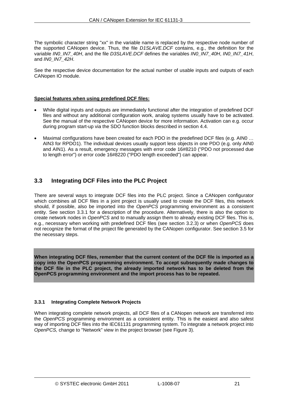The symbolic character string "xx" in the variable name is replaced by the respective node number of the supported CANopen device. Thus, the file *D1SLAVE.DCF* contains, e.g., the definition for the variable *IN0\_IN7\_40H*, and the file *D3SLAVE.DCF* defines the variables *IN0\_IN7\_40H*, *IN0\_IN7\_41H*, and *IN0\_IN7\_42H*.

See the respective device documentation for the actual number of usable inputs and outputs of each CANopen IO module.

#### **Special features when using predefined DCF files:**

- While digital inputs and outputs are immediately functional after the integration of predefined DCF files and without any additional configuration work, analog systems usually have to be activated. See the manual of the respective CANopen device for more information. Activation can e.g. occur during program start-up via the SDO function blocks described in section [4.4.](#page-43-0)
- Maximal configurations have been created for each PDO in the predefined DCF files (e.g. AIN0 … AIN3 for RPDO1). The individual devices usually support less objects in one PDO (e.g. only AIN0 and AIN1). As a result, emergency messages with error code 16#8210 ("PDO not processed due to length error") or error code 16#8220 ("PDO length exceeded") can appear.

#### <span id="page-20-0"></span>**3.3 Integrating DCF Files into the PLC Project**

There are several ways to integrate DCF files into the PLC project. Since a CANopen configurator which combines all DCF files in a joint project is usually used to create the DCF files, this network should, if possible, also be imported into the *OpenPCS* programming environment as a consistent entity. See section [3.3.1](#page-20-1) for a description of the procedure. Alternatively, there is also the option to create network nodes in *OpenPCS* and to manually assign them to already existing DCF files. This is, e.g., necessary when working with predefined DCF files (see section [3.2.3](#page-18-1)) or when *OpenPCS* does not recognize the format of the project file generated by the CANopen configurator. See section [3.5](#page-30-0) for the necessary steps.

**When integrating DCF files, remember that the current content of the DCF file is imported as a copy into the OpenPCS programming environment. To accept subsequently made changes to the DCF file in the PLC project, the already imported network has to be deleted from the OpenPCS programming environment and the import process has to be repeated.**

#### <span id="page-20-1"></span>**3.3.1 Integrating Complete Network Projects**

When integrating complete network projects, all DCF files of a CANopen network are transferred into the *OpenPCS* programming environment as a consistent entity. This is the easiest and also safest way of importing DCF files into the IEC61131 programming system. To integrate a network project into *OpenPCS,* change to "Network" view in the project browser (see [Figure 3](#page-21-0)).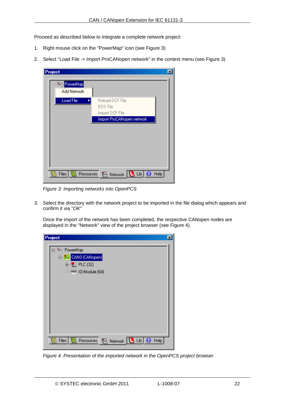Proceed as described below to integrate a complete network project:

- 1. Right mouse click on the "PowerMap" icon (see [Figure 3\)](#page-21-0)
- 2. Select "Load File -> Import ProCANopen network" in the context menu (see [Figure 3\)](#page-21-0)

| Project                              |                                                              | $\boldsymbol{\mathsf{x}}$ |
|--------------------------------------|--------------------------------------------------------------|---------------------------|
| <sup>*</sup> PowerMap<br>Add Network |                                                              |                           |
| Load File                            | Reload DCF File<br><b>EDS File</b><br>Import DCF File        |                           |
|                                      | Import ProCANopen network                                    |                           |
|                                      |                                                              |                           |
|                                      |                                                              |                           |
|                                      |                                                              |                           |
|                                      |                                                              |                           |
| Files                                | Help<br>Resources $\mathbb{N}$ Network $\mathbb{N}$ Lib<br>♦ |                           |

*Figure 3: Importing networks into OpenPCS* 

<span id="page-21-0"></span>3. Select the directory with the network project to be imported in the file dialog which appears and confirm it via "*OK*"

Once the import of the network has been completed, the respective CANopen nodes are displayed in the "Network" view of the project browser (see [Figure 4\)](#page-21-1).

| Project                                                                                                                  | ⊠ |
|--------------------------------------------------------------------------------------------------------------------------|---|
| ⊟ <sup>…st</sup> .e. PowerMap<br>En <sub>Yur</sub> CANO (CANopen)<br>中 <mark>子</mark> PLC (32)<br>$-\tau$ 10-Module (64) |   |
| <b>Files</b><br>Resources <b>M</b> Network  <br>$\blacksquare$ Lib $\blacksquare$<br><b>Help</b><br>ø                    |   |

<span id="page-21-1"></span>*Figure 4: Presentation of the imported network in the OpenPCS project browser*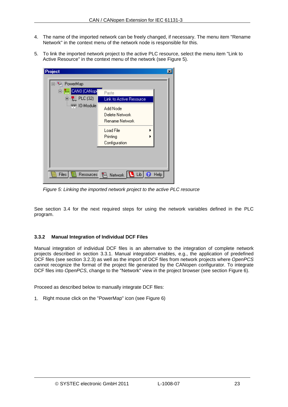- 4. The name of the imported network can be freely changed, if necessary. The menu item "Rename Network" in the context menu of the network node is responsible for this.
- 5. To link the imported network project to the active PLC resource, select the menu item "Link to Active Resource" in the context menu of the network (see [Figure 5\)](#page-22-1).

| Project                   |                                              |  |
|---------------------------|----------------------------------------------|--|
| ै•े. PowerMap             |                                              |  |
| E <b>M</b> CANO (CANop)   | Paste                                        |  |
| 向 2 PLC (32)              | <b>Link to Active Resource</b>               |  |
| TT 10-Module              | Add Node<br>Delete Network<br>Rename Network |  |
|                           | Load File<br>٠<br>Printing<br>Configuration  |  |
| <b>Resources</b><br>Files | Help<br>, Lib<br>Network                     |  |
|                           | $\mu$                                        |  |

*Figure 5: Linking the imported network project to the active PLC resource* 

<span id="page-22-1"></span>See section [3.4](#page-26-0) for the next required steps for using the network variables defined in the PLC program.

#### <span id="page-22-0"></span>**3.3.2 Manual Integration of Individual DCF Files**

Manual integration of individual DCF files is an alternative to the integration of complete network projects described in section [3.3.1](#page-20-1). Manual integration enables, e.g., the application of predefined DCF files (see section [3.2.3\)](#page-18-1) as well as the import of DCF files from network projects where *OpenPCS* cannot recognize the format of the project file generated by the CANopen configurator. To integrate DCF files into *OpenPCS*, change to the "Network" view in the project browser (see section [Figure 6\)](#page-23-0).

Proceed as described below to manually integrate DCF files:

1. Right mouse click on the "PowerMap" icon (see [Figure 6\)](#page-23-0)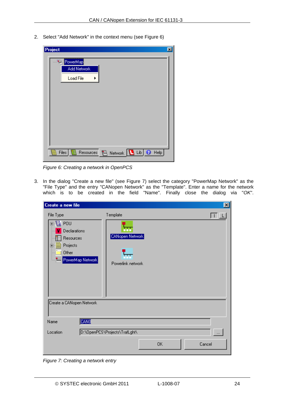2. Select "Add Network" in the context menu (see [Figure 6\)](#page-23-0)

| Project                                                                                | 図 |
|----------------------------------------------------------------------------------------|---|
| 鹤<br>PowerMap                                                                          |   |
| Add Network                                                                            |   |
| Load File                                                                              |   |
|                                                                                        |   |
|                                                                                        |   |
|                                                                                        |   |
|                                                                                        |   |
|                                                                                        |   |
|                                                                                        |   |
|                                                                                        |   |
| Help<br>$\blacksquare$ Lib $\blacksquare$<br>Files<br>Resources <b>In Network</b><br>◉ |   |
|                                                                                        |   |

*Figure 6: Creating a network in OpenPCS* 

<span id="page-23-0"></span>3. In the dialog "Create a new file" (see [Figure 7\)](#page-23-1) select the category "PowerMap Network" as the "File Type" and the entry "CANopen Network" as the "Template". Enter a name for the network which is to be created in the field "Name". Finally close the dialog via "*OK*".

| Create a new file                                                                                           |                                                  | 図      |
|-------------------------------------------------------------------------------------------------------------|--------------------------------------------------|--------|
| File Type                                                                                                   | Template                                         |        |
| POU<br>$\overline{+}$<br>Declarations<br>Resources<br>Projects<br>画<br>Other<br><b>Tem</b> PowerMap Network | т<br><b>CANopen Network</b><br>Powerlink network |        |
| Create a CANopen Network<br>CANO<br>Name                                                                    |                                                  |        |
| Location                                                                                                    | D:\OpenPCS\Projects\TrafLght\                    |        |
|                                                                                                             | 0K                                               | Cancel |

<span id="page-23-1"></span>*Figure 7: Creating a network entry*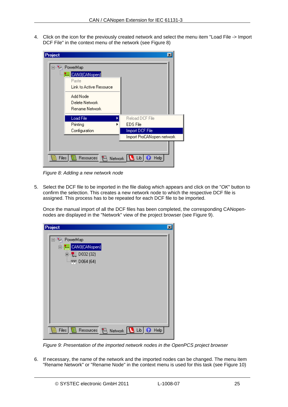4. Click on the icon for the previously created network and select the menu item "Load File -> Import DCF File" in the context menu of the network (see [Figure 8\)](#page-24-0)

| <b>Project</b> |                                      | $\vert x \vert$           |
|----------------|--------------------------------------|---------------------------|
|                | ∃ <sup>∷a</sup> te, PowerMap         |                           |
|                | <b>WE</b> CANO(CANopen)              |                           |
|                | Paste                                |                           |
|                | Link to Active Resource.             |                           |
|                | Add Node                             |                           |
|                | Delete Network                       |                           |
|                | Rename Network                       |                           |
|                |                                      |                           |
|                | <b>Load File</b>                     | Reload DCF File           |
|                | Printing                             | <b>EDS</b> File           |
|                | Configuration                        | Import DCF File           |
|                |                                      | Import ProCANopen network |
|                |                                      |                           |
|                | <b>Resources</b><br>Files<br>Network | Lib<br>Help               |

*Figure 8: Adding a new network node* 

<span id="page-24-0"></span>5. Select the DCF file to be imported in the file dialog which appears and click on the "*OK*" button to confirm the selection. This creates a new network node to which the respective DCF file is assigned. This process has to be repeated for each DCF file to be imported.

Once the manual import of all the DCF files has been completed, the corresponding CANopennodes are displayed in the "Network" view of the project browser (see [Figure 9](#page-24-1)).

| Project<br>$\vert x \vert$                                                                                                                                            |
|-----------------------------------------------------------------------------------------------------------------------------------------------------------------------|
| ⊟ <sup>3</sup> se, PowerMap<br>En <sub>My</sub> CANO(CANopen)<br>中 <u>【</u> D032 (32)<br>$-17$ D064 (64)                                                              |
|                                                                                                                                                                       |
|                                                                                                                                                                       |
| Resources $\begin{bmatrix} \begin{bmatrix} \end{bmatrix} \end{bmatrix}$ Network $\begin{bmatrix} \begin{bmatrix} \end{bmatrix} \end{bmatrix}$<br>Files  <br>Help<br>Đ |

*Figure 9: Presentation of the imported network nodes in the OpenPCS project browser* 

<span id="page-24-1"></span>6. If necessary, the name of the network and the imported nodes can be changed. The menu item "Rename Network" or "Rename Node" in the context menu is used for this task (see [Figure 10\)](#page-25-0)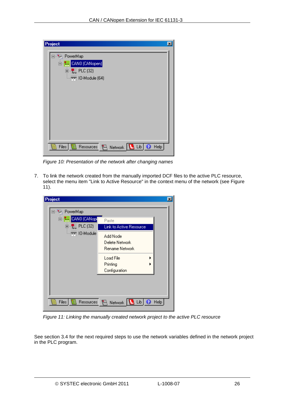| Project<br>図                                                                                                 |
|--------------------------------------------------------------------------------------------------------------|
| l <sup>.अ</sup> ⊷, PowerMap<br>En ter CANO (CANopen)<br>中· <mark>理</mark> PLC (32)<br>$-\tau$ 10-Module (64) |
| Files<br>$\blacksquare$ $\blacksquare$<br>HeIp<br>Resources<br>♦<br>Network                                  |

*Figure 10: Presentation of the network after changing names* 

<span id="page-25-0"></span>7. To link the network created from the manually imported DCF files to the active PLC resource, select the menu item "Link to Active Resource" in the context menu of the network (see Figure [11\)](#page-25-1).

| Project                                      | $\boldsymbol{\mathsf{x}}$                    |
|----------------------------------------------|----------------------------------------------|
| l <sup>…⊁</sup> ⊶, PowerMap                  |                                              |
| Ein <mark>I<sub>nn</sub> CANO (CANop)</mark> | Paste                                        |
| 向 <mark>- PLC (32)</mark>                    | Link to Active Resource                      |
| TT 10-Module                                 | Add Node<br>Delete Network<br>Rename Network |
|                                              | Load File<br>Printing<br>Configuration       |
| Files<br>Resources                           | <b>Lib</b><br>Help<br>Network  <br>$\mu$     |

*Figure 11: Linking the manually created network project to the active PLC resource* 

<span id="page-25-1"></span>See section [3.4](#page-26-0) for the next required steps to use the network variables defined in the network project in the PLC program.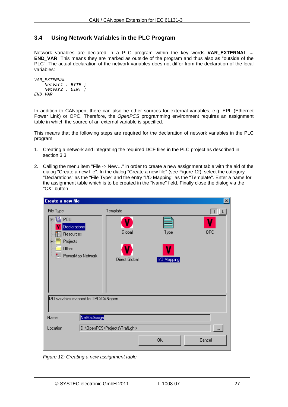#### <span id="page-26-0"></span>**3.4 Using Network Variables in the PLC Program**

Network variables are declared in a PLC program within the key words **VAR\_EXTERNAL ... END\_VAR**. This means they are marked as outside of the program and thus also as "outside of the PLC". The actual declaration of the network variables does not differ from the declaration of the local variables:

```
VAR_EXTERNAL 
     NetVar1 : BYTE ; 
     NetVar2 : UINT ; 
END_VAR
```
In addition to CANopen, there can also be other sources for external variables, e.g. EPL (Ethernet Power Link) or OPC. Therefore, the *OpenPCS* programming environment requires an assignment table in which the source of an external variable is specified.

This means that the following steps are required for the declaration of network variables in the PLC program:

- 1. Creating a network and integrating the required DCF files in the PLC project as described in section [3.3](#page-20-0)
- <span id="page-26-2"></span>2. Calling the menu item "File -> New…" in order to create a new assignment table with the aid of the dialog "Create a new file". In the dialog "Create a new file" (see [Figure 12](#page-26-1)), select the category "Declarations" as the "File Type" and the entry "I/O Mapping" as the "Template". Enter a name for the assignment table which is to be created in the "Name" field. Finally close the dialog via the "*OK*" button.

| Create a new file                                                            |                               |             | 図                                  |  |  |  |
|------------------------------------------------------------------------------|-------------------------------|-------------|------------------------------------|--|--|--|
| File Type<br>POU<br><b>Declarations</b>                                      | Template<br>Global            | Type        | ▏▏▏▁▙<br>OPC                       |  |  |  |
| Resources<br>Projects<br>$\boxed{+}$<br>Other<br><b>The PowerMap Network</b> | <b>Direct Global</b>          | 1/0 Mapping |                                    |  |  |  |
| 1/0 variables mapped to OPC/CANopen<br>NetVarAssign<br>Name                  |                               |             |                                    |  |  |  |
| Location                                                                     | D:\OpenPCS\Projects\TrafLght\ | 0K          | $\overline{\phantom{a}}$<br>Cancel |  |  |  |

<span id="page-26-1"></span>*Figure 12: Creating a new assignment table*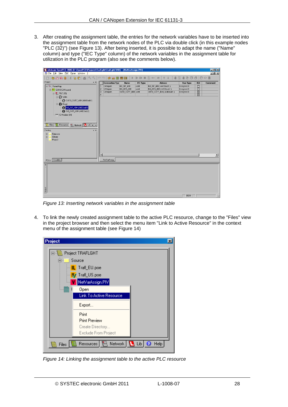3. After creating the assignment table, the entries for the network variables have to be inserted into the assignment table from the network nodes of the PLC via double click (in this example nodes "PLC (32)") (see [Figure 13\)](#page-27-0). After being inserted, it is possible to adapt the name ("Name" column) and type ("IEC Type" column) of the network variables in the assignment table for utilization in the PLC program (also see the comments below).

| \$ infoteam OpenPCS 2006 [D:\OpenPCS\Projects\TrafLght\TrafLght.VAR] - [NetVarAssign.PIV]<br>Eile Edit View PLC Extras Window 2 . |                        |                           |                     |                          |                                         |                               |                 | $\Box$ D $\Box$<br>$-17 \times$ |
|-----------------------------------------------------------------------------------------------------------------------------------|------------------------|---------------------------|---------------------|--------------------------|-----------------------------------------|-------------------------------|-----------------|---------------------------------|
| <b>8568 % 66 4 4 4 6 7</b><br>₿                                                                                                   |                        | 多当阻巴                      | $2$                 | ×                        | $\mathbf{B}$ $\rightarrow$<br>个<br>吧    | ●香港母 手中目<br>圓                 |                 |                                 |
| Project<br>$\sim$ x                                                                                                               |                        |                           |                     |                          |                                         |                               |                 |                                 |
| <b>E-%</b> PowerMap                                                                                                               |                        | Connection Typ<br>CANopen | Name<br>IN0_IN7_40H | <b>IEC Type</b><br>usint | <b>Adress</b><br>INO_IN7_40H( A4C0sub1) | <b>Bus Type</b><br>Unsigned 8 | <b>R/O</b><br>Г | Comment                         |
| E. V. CANO (CANopen)                                                                                                              | $\overline{2}$         | CANopen                   | IN8_IN15_40H        | usint                    | IN8_IN15_40H( A4C0sub2 )                | Unsigned 8                    | $\Box$          |                                 |
| 白 L PLC (32)                                                                                                                      | 3                      | CANopen                   | OUTO_OUT7_40H usint |                          | OUT0_OUT7_40H( A040sub1 )               | Unsigned 8                    | ⊠⊠              |                                 |
| <b>D</b> Write                                                                                                                    |                        |                           |                     |                          |                                         |                               |                 |                                 |
| -@ OUTO_OUT7_40H (A040sub1)                                                                                                       |                        |                           |                     |                          |                                         |                               |                 |                                 |
| <b>E</b> Read                                                                                                                     |                        |                           |                     |                          |                                         |                               |                 |                                 |
| NO_IN7_40H (A4C0sub1)                                                                                                             |                        |                           |                     |                          |                                         |                               |                 |                                 |
| - IN8_IN15_40H (A4C0sub2)                                                                                                         |                        |                           |                     |                          |                                         |                               |                 |                                 |
| TT 10-Module (64)                                                                                                                 |                        |                           |                     |                          |                                         |                               |                 |                                 |
|                                                                                                                                   |                        |                           |                     |                          |                                         |                               |                 |                                 |
|                                                                                                                                   |                        |                           |                     |                          |                                         |                               |                 |                                 |
| Resources M Network Lib ( )<br>Files                                                                                              |                        |                           |                     |                          |                                         |                               |                 |                                 |
| Catalog<br>$\sim$ $\times$                                                                                                        |                        |                           |                     |                          |                                         |                               |                 |                                 |
| Firmware<br>国                                                                                                                     |                        |                           |                     |                          |                                         |                               |                 |                                 |
| Library<br>田                                                                                                                      |                        |                           |                     |                          |                                         |                               |                 |                                 |
| Project                                                                                                                           |                        |                           |                     |                          |                                         |                               |                 |                                 |
|                                                                                                                                   |                        |                           |                     |                          |                                         |                               |                 |                                 |
|                                                                                                                                   |                        |                           |                     |                          |                                         |                               |                 |                                 |
|                                                                                                                                   |                        |                           |                     |                          |                                         |                               |                 |                                 |
|                                                                                                                                   | $\left  \cdot \right $ |                           |                     |                          |                                         |                               |                 | $\blacktriangleright$           |
| POU <sub>s</sub> Variables                                                                                                        |                        | NetVarAssig.              |                     |                          |                                         |                               |                 |                                 |
|                                                                                                                                   |                        |                           |                     |                          |                                         |                               |                 |                                 |
| $\boldsymbol{\mathsf{x}}$                                                                                                         |                        |                           |                     |                          |                                         |                               |                 |                                 |
|                                                                                                                                   |                        |                           |                     |                          |                                         |                               |                 |                                 |
|                                                                                                                                   |                        |                           |                     |                          |                                         |                               |                 |                                 |
|                                                                                                                                   |                        |                           |                     |                          |                                         |                               |                 |                                 |
|                                                                                                                                   |                        |                           |                     |                          |                                         |                               |                 |                                 |
|                                                                                                                                   |                        |                           |                     |                          |                                         |                               |                 |                                 |
| <b>Output</b>                                                                                                                     |                        |                           |                     |                          |                                         |                               |                 |                                 |
|                                                                                                                                   |                        |                           |                     |                          |                                         |                               |                 |                                 |
|                                                                                                                                   |                        |                           |                     |                          |                                         | <b>NUM</b>                    |                 |                                 |

*Figure 13: Inserting network variables in the assignment table* 

<span id="page-27-0"></span>4. To link the newly created assignment table to the active PLC resource, change to the "Files" view in the project browser and then select the menu item "Link to Active Resource" in the context menu of the assignment table (see [Figure 14\)](#page-27-1)

| Project |                                                    | $\boldsymbol{\mathsf{x}}$ |
|---------|----------------------------------------------------|---------------------------|
|         | Project TRAFLGHT                                   |                           |
| -       | Source                                             |                           |
|         | <mark>IL</mark> Trafl_EU.poe                       |                           |
|         | <b>IV</b> Trafl_US.poe                             |                           |
|         | NetVarAssign.PIV                                   |                           |
|         | Open                                               |                           |
|         | <b>Link To Active Resource</b>                     |                           |
|         | Export                                             |                           |
|         | Print                                              |                           |
|         | <b>Print Preview</b>                               |                           |
|         | Create Directory                                   |                           |
|         | <b>Exclude From Project</b>                        |                           |
| Files   | $\blacksquare$ Network $\blacksquare$<br>Resources | Help<br>l Lib<br>♦        |

<span id="page-27-1"></span>*Figure 14: Linking the assignment table to the active PLC resource*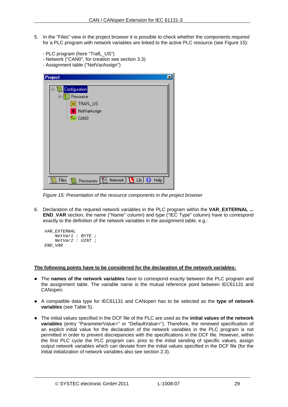- 5. In the "Files" view in the project browser it is possible to check whether the components required for a PLC program with network variables are linked to the active PLC resource (see [Figure 15](#page-28-0)):
	- PLC program (here "TrafL\_US")
	- Network ("CAN0", for creation see section [3.3\)](#page-20-0)
	- Assignment table ("NetVarAssign")

| Project<br>⊠                                                               |
|----------------------------------------------------------------------------|
| Configuration<br>Resource<br>$=$<br>TRAFL_US<br>NetVarAssign<br>CAN0<br>™क |
| Resources   Network<br>$\overline{\phantom{a}}$ Lib<br>Help<br>Files<br>♦  |

*Figure 15: Presentation of the resource components in the project browser* 

<span id="page-28-0"></span>6. Declaration of the required network variables in the PLC program within the **VAR\_EXTERNAL ... END\_VAR** section, the name ("Name" column) and type ("IEC Type" column) have to correspond exactly to the definition of the network variables in the assignment table, e.g.:

```
VAR_EXTERNAL 
     NetVar1 : BYTE ; 
     NetVar2 : UINT ; 
END_VAR
```
#### **The following points have to be considered for the declaration of the network variables:**

- The **names of the network variables** have to correspond exactly between the PLC program and the assignment table. The variable name is the mutual reference point between IEC61131 and CANopen.
- A compatible data type for IEC61131 and CANopen has to be selected as the **type of network variables** (see [Table 5\)](#page-29-0).
- The initial values specified in the DCF file of the PLC are used as the *initial values of the network* **variables** (entry "ParameterValue=" or "DefaultValue="). Therefore, the renewed specification of an explicit initial value for the declaration of the network variables in the PLC program is not permitted in order to prevent discrepancies with the specifications in the DCF file. However, within the first PLC cycle the PLC program can, prior to the initial sending of specific values, assign output network variables which can deviate from the initial values specified in the DCF file (for the initial initialization of network variables also see section [2.3\)](#page-13-0).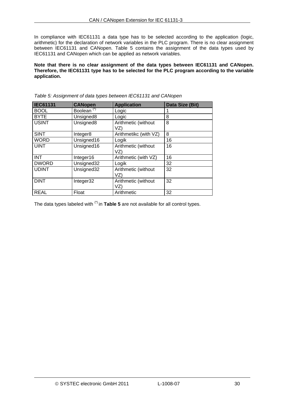In compliance with IEC61131 a data type has to be selected according to the application (logic, arithmetic) for the declaration of network variables in the PLC program. There is no clear assignment between IEC61131 and CANopen. [Table 5](#page-29-0) contains the assignment of the data types used by IEC61131 and CANopen which can be applied as network variables.

**Note that there is no clear assignment of the data types between IEC61131 and CANopen. Therefore, the IEC61131 type has to be selected for the PLC program according to the variable application.** 

<span id="page-29-0"></span>

| <b>IEC61131</b> | <b>CANopen</b>         | <b>Application</b>         | <b>Data Size (Bit)</b> |
|-----------------|------------------------|----------------------------|------------------------|
| <b>BOOL</b>     | Boolean <sup>(*)</sup> | Logic                      |                        |
| <b>BYTE</b>     | Unsigned8              | Logic                      | 8                      |
| <b>USINT</b>    | Unsigned8              | Arithmetic (without<br>VZ) | 8                      |
| <b>SINT</b>     | Integer8               | Arithmetikc (with VZ)      | 8                      |
| <b>WORD</b>     | Unsigned16             | Logik                      | 16                     |
| <b>UINT</b>     | Unsigned16             | Arithmetic (without<br>VZ) | 16                     |
| <b>INT</b>      | Integer16              | Arithmetic (with VZ)       | 16                     |
| <b>DWORD</b>    | Unsigned32             | Logik                      | 32                     |
| <b>UDINT</b>    | Unsigned32             | Arithmetic (without<br>VZ) | 32                     |
| <b>DINT</b>     | Integer32              | Arithmetic (without<br>VZ) | 32                     |
| <b>REAL</b>     | Float                  | Arithmetic                 | 32                     |

*Table 5: Assignment of data types between IEC61131 and CANopen* 

The data types labeled with (\*) in **[Table 5](#page-29-0)** are not available for all control types.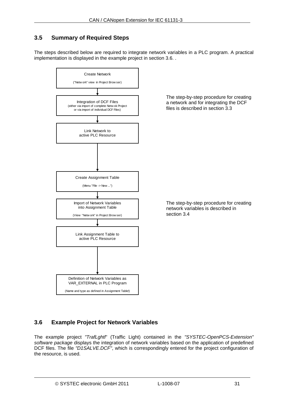#### <span id="page-30-0"></span>**3.5 Summary of Required Steps**

The steps described below are required to integrate network variables in a PLC program. A practical implementation is displayed in the example project in section [3.6](#page-30-1). .



#### <span id="page-30-1"></span>**3.6 Example Project for Network Variables**

The example project *"TrafLghtl*" (Traffic Light) contained in the *"SYSTEC-OpenPCS-Extension" software package* displays the integration of network variables based on the application of predefined DCF files. The file "D1SALVE.DCF", which is correspondingly entered for the project configuration of the resource, is used.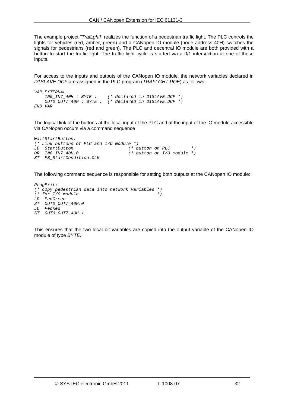The example project *"TrafLghtl*" realizes the function of a pedestrian traffic light. The PLC controls the lights for vehicles (red, amber, green) and a CANopen IO module (node address 40H) switches the signals for pedestrians (red and green). The PLC and decentral IO module are both provided with a button to start the traffic light. The traffic light cycle is started via a 0/1 intersection at one of these inputs.

For access to the inputs and outputs of the CANopen IO module, the network variables declared in *D1SLAVE.DCF* are assigned in the PLC program (*TRAFLGHT.POE*) as follows:

```
VAR_EXTERNAL 
                                IN0_IN7_40H : BYTE ; (* declared in D1SLAVE.DCF *) 
     OUT0_OUT7_40H : BYTE ; (* declared in D1SLAVE.DCF *) 
END_VAR
```
The logical link of the buttons at the local input of the PLC and at the input of the IO module accessible via CANopen occurs via a command sequence

```
WaitStartButton: 
(* Link buttons of PLC and I/O module *) 
LD StartButton (* button on PLC *) 
                                   OR IN0_IN7_40H.0 (* button on I/O module *) 
ST FB_StartCondition.CLK
```
The following command sequence is responsible for setting both outputs at the CANopen IO module:

```
ProgExit: 
(* copy pedestrian data into network variables *) 
(* for I/O module *) 
LD PedGreen 
ST OUT0_OUT7_40H.0 
LD PedRed 
ST OUT0_OUT7_40H.1
```
This ensures that the two local bit variables are copied into the output variable of the CANopen IO module of type *BYTE*.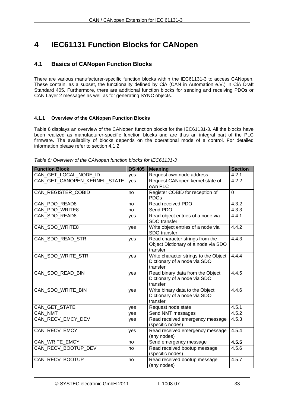## <span id="page-32-0"></span>**4 IEC61131 Function Blocks for CANopen**

#### <span id="page-32-1"></span>**4.1 Basics of CANopen Function Blocks**

There are various manufacturer-specific function blocks within the IEC61131-3 to access CANopen. These contain, as a subset, the functionality defined by CiA (CAN in Automation e.V.) in CiA Draft Standard 405. Furthermore, there are additional function blocks for sending and receiving PDOs or CAN Layer 2 messages as well as for generating SYNC objects.

#### <span id="page-32-2"></span>**4.1.1 Overview of the CANopen Function Blocks**

[Table 6](#page-32-3) displays an overview of the CANopen function blocks for the IEC61131-3. All the blocks have been realized as manufacturer-specific function blocks and are thus an integral part of the PLC firmware. The availability of blocks depends on the operational mode of a control. For detailed information please refer to section [4.1.2.](#page-33-0)

<span id="page-32-3"></span>

| <b>Function Block</b>        | <b>DS 405</b> | <b>Meaning</b>                                     | <b>Section</b> |
|------------------------------|---------------|----------------------------------------------------|----------------|
| CAN GET LOCAL NODE ID        | yes           | Request own node address                           | 4.2.1          |
| CAN GET CANOPEN KERNEL STATE | yes           | Request CANopen kernel state of                    | 4.2.2          |
|                              |               | own PLC                                            |                |
| CAN_REGISTER_COBID           | no            | Register COBID for reception of                    | $\overline{0}$ |
|                              |               | <b>PDO<sub>s</sub></b>                             |                |
| CAN PDO READ8                | no            | Read received PDO                                  | 4.3.2          |
| CAN PDO WRITE8               | no            | Send PDO                                           | 4.3.3          |
| CAN_SDO_READ8                | yes           | Read object entries of a node via                  | 4.4.1          |
|                              |               | SDO transfer                                       |                |
| CAN_SDO_WRITE8               | yes           | Write object entries of a node via<br>SDO transfer | 4.4.2          |
| CAN_SDO_READ_STR             | yes           | Read character strings from the                    | 4.4.3          |
|                              |               | Object Dictionary of a node via SDO                |                |
|                              |               | transfer                                           |                |
| CAN_SDO_WRITE_STR            | yes           | Write character strings to the Object              | 4.4.4          |
|                              |               | Dictionary of a node via SDO                       |                |
|                              |               | transfer                                           |                |
| CAN SDO READ BIN             | yes           | Read binary data from the Object                   | 4.4.5          |
|                              |               | Dictionary of a node via SDO                       |                |
|                              |               | transfer                                           |                |
| CAN_SDO_WRITE_BIN            | yes           | Write binary data to the Object                    | 4.4.6          |
|                              |               | Dictionary of a node via SDO                       |                |
|                              |               | transfer                                           |                |
| CAN GET STATE                | yes           | Request node state                                 | 4.5.1          |
| CAN NMT                      | yes           | Send NMT messages                                  | 4.5.2          |
| CAN_RECV_EMCY_DEV            | yes           | Read received emergency message                    | 4.5.3          |
|                              |               | (specific nodes)                                   |                |
| CAN RECV EMCY                | yes           | Read received emergency message                    | 4.5.4          |
|                              |               | (any nodes)                                        |                |
| CAN WRITE EMCY               | no            | Send emergency message                             | 4.5.5          |
| CAN_RECV_BOOTUP_DEV          | no            | Read received bootup message                       | 4.5.6          |
|                              |               | (specific nodes)                                   |                |
| CAN_RECV_BOOTUP              | no            | Read received bootup message                       | 4.5.7          |
|                              |               | (any nodes)                                        |                |

| Table 6: Overview of the CANopen function blocks for IEC61131-3 |  |  |
|-----------------------------------------------------------------|--|--|
|                                                                 |  |  |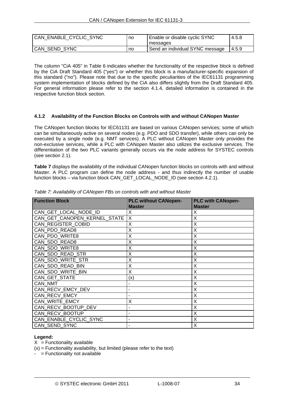| CAN ENABLE CYCLIC SYNC | no | Enable or disable cyclic SYNC   | 4.5.8 |
|------------------------|----|---------------------------------|-------|
|                        |    | messages                        |       |
| <b>CAN SEND SYNC</b>   | no | Send an individual SYNC message | 4.5.9 |

The column "CiA 405" in [Table 6](#page-32-3) indicates whether the functionality of the respective block is defined by the CiA Draft Standard 405 ("yes") or whether this block is a manufacturer-specific expansion of this standard ("no"). Please note that due to the specific peculiarities of the IEC61131 programming system implementation of blocks defined by the CiA also differs slightly from the Draft Standard 405. For general information please refer to the section [4.1.4](#page-35-0), detailed information is contained in the respective function block section.

#### <span id="page-33-0"></span>**4.1.2 Availability of the Function Blocks on Controls with and without CANopen Master**

The CANopen function blocks for IEC61131 are based on various CANopen services; some of which can be simultaneously active on several nodes (e.g. PDO and SDO transfer), while others can only be executed by a single node (e.g. NMT services). A PLC without CANopen Master only provides the non-exclusive services, while a PLC with CANopen Master also utilizes the exclusive services. The differentiation of the two PLC variants generally occurs via the node address for SYSTEC controls (see section [2.1\)](#page-9-1).

**[Table 7](#page-33-1)** displays the availability of the individual CANopen function blocks on controls with and without Master. A PLC program can define the node address - and thus indirectly the number of usable function blocks – via function block CAN\_GET\_LOCAL\_NODE\_ID (see section [4.2.1\)](#page-38-1).

<span id="page-33-1"></span>

| <b>Function Block</b>        | <b>PLC without CANopen-</b> | <b>PLC with CANopen-</b> |
|------------------------------|-----------------------------|--------------------------|
|                              | <b>Master</b>               | <b>Master</b>            |
| CAN GET LOCAL NODE ID        | X                           | X                        |
| CAN GET CANOPEN KERNEL STATE | X                           | х                        |
| CAN REGISTER COBID           | X                           | X                        |
| CAN PDO READ8                | X                           | X                        |
| CAN PDO WRITE8               | Χ                           | Χ                        |
| CAN SDO READ8                | Χ                           | Χ                        |
| CAN SDO WRITE8               | X                           | X                        |
| CAN SDO READ STR             | X                           | X                        |
| CAN SDO WRITE STR            | X                           | X                        |
| CAN SDO READ BIN             | X                           | X                        |
| CAN SDO WRITE BIN            | X                           | X                        |
| CAN GET STATE                | (x)                         | Χ                        |
| CAN NMT                      |                             | X                        |
| CAN_RECV_EMCY_DEV            |                             | X                        |
| CAN RECV EMCY                |                             | Χ                        |
| CAN WRITE EMCY               | X                           | Χ                        |
| CAN_RECV_BOOTUP_DEV          |                             | X                        |
| CAN RECV BOOTUP              |                             | X                        |
| CAN ENABLE CYCLIC SYNC       |                             | X                        |
| CAN SEND SYNC                |                             | Χ                        |

*Table 7: Availability of CANopen FBs on controls with and without Master* 

#### **Legend:**

 $X =$  Functionality available

 $(x)$  = Functionality availability, but limited (please refer to the text)

 $\frac{1}{2}$  = Functionality not available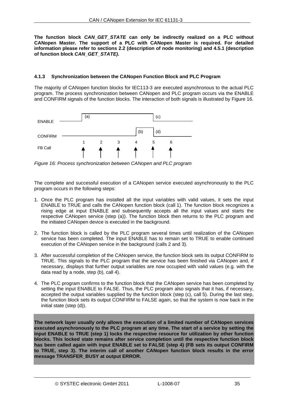**The function block** *CAN\_GET\_STATE* **can only be indirectly realized on a PLC without CANopen Master. The support of a PLC with CANopen Master is required. For detailed information please refer to sections [2.2](#page-10-0) (description of node monitoring) and [4.5.1](#page-51-1) (description of function block** *CAN\_GET\_STATE)***.** 

#### <span id="page-34-0"></span>**4.1.3 Synchronization between the CANopen Function Block and PLC Program**

The majority of CANopen function blocks for IEC113-3 are executed asynchronous to the actual PLC program. The process synchronization between CANopen and PLC program occurs via the ENABLE and CONFIRM signals of the function blocks. The interaction of both signals is illustrated by [Figure 16](#page-34-1).



<span id="page-34-1"></span>*Figure 16: Process synchronization between CANopen and PLC program* 

The complete and successful execution of a CANopen service executed asynchronously to the PLC program occurs in the following steps:

- 1. Once the PLC program has installed all the input variables with valid values, it sets the input ENABLE to TRUE and calls the CANopen function block (call 1). The function block recognizes a rising edge at input ENABLE and subsequently accepts all the input values and starts the respective CANopen service (step (a)). The function block then returns to the PLC program and the initiated CANopen device is executed in the background.
- 2. The function block is called by the PLC program several times until realization of the CANopen service has been completed. The input ENABLE has to remain set to TRUE to enable continued execution of the CANopen service in the background (calls 2 and 3).
- 3. After successful completion of the CANopen service, the function block sets its output CONFIRM to TRUE. This signals to the PLC program that the service has been finished via CANopen and, if necessary, displays that further output variables are now occupied with valid values (e.g. with the data read by a node, step (b), call 4).
- 4. The PLC program confirms to the function block that the CANopen service has been completed by setting the input ENABLE to FALSE. Thus, the PLC program also signals that it has, if necessary, accepted the output variables supplied by the function block (step  $(c)$ , call 5). During the last step, the function block sets its output CONFIRM to FALSE again, so that the system is now back in the initial state (step (d)).

**The network layer usually only allows the execution of a limited number of CANopen services executed asynchronously to the PLC program at any time. The start of a service by setting the input ENABLE to TRUE (step 1) locks the respective resource for utilization by other function blocks. This locked state remains after service completion until the respective function block has been called again with input ENABLE set to FALSE (step 4) (FB sets its output CONFIRM to TRUE, step 3). The interim call of another CANopen function block results in the error message TRANSFER\_BUSY at output ERROR.**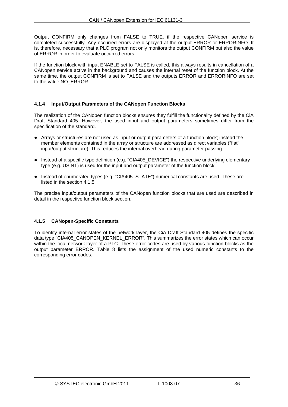Output CONFIRM only changes from FALSE to TRUE, if the respective CANopen service is completed successfully. Any occurred errors are displayed at the output ERROR or ERRORINFO. It is, therefore, necessary that a PLC program not only monitors the output CONFIRM but also the value of ERROR in order to evaluate occurred errors.

If the function block with input ENABLE set to FALSE is called, this always results in cancellation of a CANopen service active in the background and causes the internal reset of the function block. At the same time, the output CONFIRM is set to FALSE and the outputs ERROR and ERRORINFO are set to the value NO\_ERROR.

#### <span id="page-35-0"></span>**4.1.4 Input/Output Parameters of the CANopen Function Blocks**

The realization of the CANopen function blocks ensures they fulfill the functionality defined by the CiA Draft Standard 405. However, the used input and output parameters sometimes differ from the specification of the standard.

- Arrays or structures are not used as input or output parameters of a function block; instead the member elements contained in the array or structure are addressed as direct variables ("flat" input/output structure). This reduces the internal overhead during parameter passing.
- Instead of a specific type definition (e.g. "CIA405 DEVICE") the respective underlying elementary type (e.g. USINT) is used for the input and output parameter of the function block.
- Instead of enumerated types (e.g. "CIA405\_STATE") numerical constants are used. These are listed in the section [4.1.5](#page-35-1).

The precise input/output parameters of the CANopen function blocks that are used are described in detail in the respective function block section.

#### <span id="page-35-1"></span>**4.1.5 CANopen-Specific Constants**

To identify internal error states of the network layer, the CiA Draft Standard 405 defines the specific data type "CIA405\_CANOPEN\_KERNEL\_ERROR". This summarizes the error states which can occur within the local network layer of a PLC. These error codes are used by various function blocks as the output parameter ERROR. [Table 8](#page-36-0) lists the assignment of the used numeric constants to the corresponding error codes.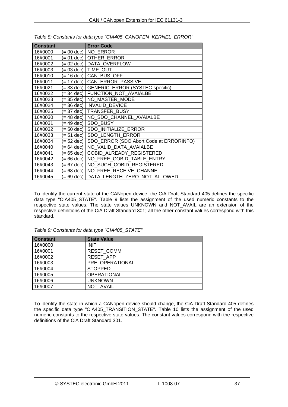<span id="page-36-1"></span>

| <b>Constant</b> |             | <b>Error Code</b>                       |
|-----------------|-------------|-----------------------------------------|
| 16#0000         | (= 00 dec)  | <b>NO ERROR</b>                         |
| 16#0001         | $= 01$ dec) | OTHER ERROR                             |
| 16#0002         | $= 02$ dec) | <b>DATA OVERFLOW</b>                    |
| 16#0003         | $= 03$ dec) | TIME OUT                                |
| 16#0010         | $= 16$ dec) | CAN BUS OFF                             |
| 16#0011         | $= 17$ dec) | CAN ERROR PASSIVE                       |
| 16#0021         | $= 33$ dec) | <b>GENERIC ERROR (SYSTEC-specific)</b>  |
| 16#0022         | $= 34$ dec) | FUNCTION NOT AVAIALBE                   |
| 16#0023         | $= 35$ dec) | NO MASTER MODE                          |
| 16#0024         | $= 36$ dec) | <b>INVALID DEVICE</b>                   |
| 16#0025         | $= 37$ dec) | <b>TRANSFER BUSY</b>                    |
| 16#0030         | $= 48$ dec) | NO SDO CHANNEL AVAIALBE                 |
| 16#0031         | $= 49$ dec) | SDO BUSY                                |
| 16#0032         | $= 50$ dec) | SDO INITIALIZE ERROR                    |
| 16#0033         | $= 51$ dec) | <b>SDO LENGTH ERROR</b>                 |
| 16#0034         | $= 52$ dec) | SDO ERROR (SDO Abort Code at ERRORINFO) |
| 16#0040         | $= 64$ dec) | NO VALID DATA AVAIALBE                  |
| 16#0041         | $= 65$ dec) | COBID ALREADY REGISTERED                |
| 16#0042         | $= 66$ dec) | NO FREE COBID TABLE ENTRY               |
| 16#0043         | $= 67$ dec) | NO SUCH COBID REGISTERED                |
| 16#0044         | $= 68$ dec) | NO FREE RECEIVE CHANNEL                 |
| 16#0045         | $= 69$ dec) | DATA LENGTH ZERO NOT ALLOWED            |

*Table 8: Constants for data type "CIA405\_CANOPEN\_KERNEL\_ERROR"* 

To identify the current state of the CANopen device, the CiA Draft Standard 405 defines the specific data type "CIA405\_STATE". [Table 9](#page-36-0) lists the assignment of the used numeric constants to the respective state values. The state values UNKNOWN and NOT\_AVAIL are an extension of the respective definitions of the CiA Draft Standard 301; all the other constant values correspond with this standard.

*Table 9: Constants for data type "CIA405\_STATE"* 

<span id="page-36-0"></span>

| <b>Constant</b> | <b>State Value</b> |
|-----------------|--------------------|
| 16#0000         | <b>INIT</b>        |
| 16#0001         | <b>RESET COMM</b>  |
| 16#0002         | <b>RESET APP</b>   |
| 16#0003         | PRE OPERATIONAL    |
| 16#0004         | <b>STOPPED</b>     |
| 16#0005         | <b>OPERATIONAL</b> |
| 16#0006         | <b>UNKNOWN</b>     |
| 16#0007         | <b>NOT AVAIL</b>   |

To identify the state in which a CANopen device should change, the CiA Draft Standard 405 defines the specific data type "CIA405\_TRANSITION\_STATE". [Table 10](#page-37-0) lists the assignment of the used numeric constants to the respective state values. The constant values correspond with the respective definitions of the CiA Draft Standard 301.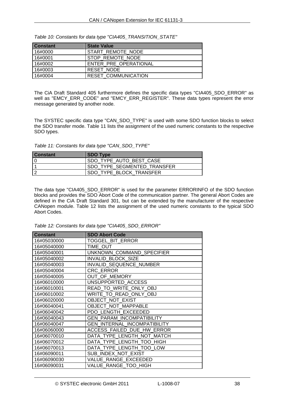<span id="page-37-0"></span>

| <b>Constant</b> | <b>State Value</b>         |
|-----------------|----------------------------|
| 16#0000         | START REMOTE NODE          |
| 16#0001         | STOP REMOTE NODE           |
| l 16#0002       | ENTER PRE OPERATIONAL      |
| 16#0003         | RESET NODE                 |
| 16#0004         | <b>RESET COMMUNICATION</b> |

*Table 10: Constants for data type "CIA405\_TRANSITION\_STATE"* 

The CiA Draft Standard 405 furthermore defines the specific data types "CIA405\_SDO\_ERROR" as well as "EMCY\_ERR\_CODE" and "EMCY\_ERR\_REGISTER". These data types represent the error message generated by another node.

The SYSTEC specific data type "CAN\_SDO\_TYPE" is used with some SDO function blocks to select the SDO transfer mode. [Table 11](#page-37-1) lists the assignment of the used numeric constants to the respective SDO types.

*Table 11: Constants for data type "CAN\_SDO\_TYPE"* 

<span id="page-37-1"></span>

| <b>Constant</b> | <b>SDO Type</b>             |
|-----------------|-----------------------------|
| l O             | SDO_TYPE_AUTO_BEST_CASE     |
|                 | SDO TYPE SEGMENTED TRANSFER |
| <u>ຼ</u>        | SDO TYPE BLOCK TRANSFER     |

The data type "CIA405\_SDO\_ERROR" is used for the parameter ERRORINFO of the SDO function blocks and provides the SDO Abort Code of the communication partner. The general Abort Codes are defined in the CiA Draft Standard 301, but can be extended by the manufacturer of the respective CANopen module. [Table 12](#page-37-2) lists the assignment of the used numeric constants to the typical SDO Abort Codes.

| Table 12: Constants for data type "CIA405_SDO_ERROR" |
|------------------------------------------------------|
|------------------------------------------------------|

<span id="page-37-2"></span>

| <b>Constant</b> | <b>SDO Abort Code</b>               |
|-----------------|-------------------------------------|
| 16#05030000     | <b>TOGGEL BIT ERROR</b>             |
| 16#05040000     | TIME OUT                            |
| 16#05040001     | UNKNOWN COMMAND SPECIFIER           |
| 16#05040002     | <b>INVALID BLOCK SIZE</b>           |
| 16#05040003     | INVALID SEQUENCE NUMBER             |
| 16#05040004     | <b>CRC ERROR</b>                    |
| 16#05040005     | OUT OF MEMORY                       |
| 16#06010000     | UNSUPPORTED ACCESS                  |
| 16#06010001     | READ TO WRITE ONLY OBJ              |
| 16#06010002     | WRITE TO READ ONLY OBJ              |
| 16#06020000     | OBJECT NOT EXIST                    |
| 16#06040041     | OBJECT NOT MAPPABLE                 |
| 16#06040042     | PDO LENGTH EXCEEDED                 |
| 16#06040043     | <b>GEN PARAM INCOMPATIBILITY</b>    |
| 16#06040047     | <b>GEN INTERNAL INCOMPATIBILITY</b> |
| 16#06060000     | ACCESS FAILED DUE HW ERROR          |
| 16#06070010     | DATA TYPE LENGTH NOT MATCH          |
| 16#06070012     | DATA TYPE LENGTH TOO HIGH           |
| 16#06070013     | DATA TYPE LENGTH TOO LOW            |
| 16#06090011     | SUB INDEX NOT EXIST                 |
| 16#06090030     | VALUE RANGE EXCEEDED                |
| 16#06090031     | VALUE RANGE TOO HIGH                |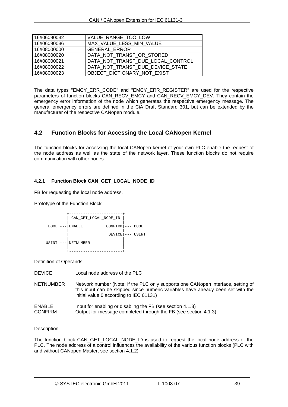| 16#06090032 | VALUE RANGE TOO LOW               |
|-------------|-----------------------------------|
| 16#06090036 | MAX VALUE LESS MIN VALUE          |
| 16#08000000 | <b>GENERAL ERROR</b>              |
| 16#08000020 | DATA NOT TRANSF OR STORED         |
| 16#08000021 | DATA NOT TRANSF DUE LOCAL CONTROL |
| 16#08000022 | DATA NOT_TRANSF_DUE_DEVICE_STATE  |
| 16#08000023 | OBJECT DICTIONARY NOT EXIST       |

The data types "EMCY\_ERR\_CODE" and "EMCY\_ERR\_REGISTER" are used for the respective parameters of function blocks CAN\_RECV\_EMCY and CAN\_RECV\_EMCY\_DEV. They contain the emergency error information of the node which generates the respective emergency message. The general emergency errors are defined in the CiA Draft Standard 301, but can be extended by the manufacturer of the respective CANopen module.

# **4.2 Function Blocks for Accessing the Local CANopen Kernel**

The function blocks for accessing the local CANopen kernel of your own PLC enable the request of the node address as well as the state of the network layer. These function blocks do not require communication with other nodes.

# **4.2.1 Function Block CAN\_GET\_LOCAL\_NODE\_ID**

FB for requesting the local node address.

# Prototype of the Function Block



Definition of Operands

- DEVICE Local node address of the PLC
- NETNUMBER Network number (Note: If the PLC only supports one CANopen interface, setting of this input can be skipped since numeric variables have already been set with the initial value 0 according to IEC 61131)
- ENABLE Input for enabling or disabling the FB (see section [4.1.3\)](#page-34-0) CONFIRM Output for message completed through the FB (see section [4.1.3\)](#page-34-0)

# **Description**

The function block CAN\_GET\_LOCAL\_NODE\_ID is used to request the local node address of the PLC. The node address of a control influences the availability of the various function blocks (PLC with and without CANopen Master, see section [4.1.2](#page-33-0))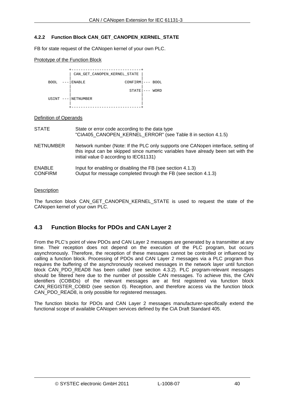# **4.2.2 Function Block CAN\_GET\_CANOPEN\_KERNEL\_STATE**

FB for state request of the CANopen kernel of your own PLC.

# Prototype of the Function Block

|             |         | CAN GET CANOPEN KERNEL STATE |                      |                   |      |
|-------------|---------|------------------------------|----------------------|-------------------|------|
| <b>BOOL</b> | $- - -$ | ENABLE                       | $CONFIRM$ $---$ BOOL |                   |      |
|             |         |                              | <b>STATE</b>         | $\qquad \qquad -$ | WORD |
|             |         | USINT --- NETNUMBER          |                      |                   |      |
|             |         |                              |                      |                   |      |

# Definition of Operands

| STATE                           | State or error code according to the data type<br>"CIA405_CANOPEN_KERNEL_ERROR" (see Table 8 in section 4.1.5)                                                                                                 |
|---------------------------------|----------------------------------------------------------------------------------------------------------------------------------------------------------------------------------------------------------------|
| NETNUMBER                       | Network number (Note: If the PLC only supports one CANopen interface, setting of<br>this input can be skipped since numeric variables have already been set with the<br>initial value 0 according to IEC61131) |
| <b>ENABLE</b><br><b>CONFIRM</b> | Input for enabling or disabling the FB (see section 4.1.3)<br>Output for message completed through the FB (see section 4.1.3)                                                                                  |

# **Description**

The function block CAN GET CANOPEN KERNEL STATE is used to request the state of the CANopen kernel of your own PLC.

# <span id="page-39-0"></span>**4.3 Function Blocks for PDOs and CAN Layer 2**

From the PLC's point of view PDOs and CAN Layer 2 messages are generated by a transmitter at any time. Their reception does not depend on the execution of the PLC program, but occurs asynchronously. Therefore, the reception of these messages cannot be controlled or influenced by calling a function block. Processing of PDOs and CAN Layer 2 messages via a PLC program thus requires the buffering of the asynchronously received messages in the network layer until function block CAN\_PDO\_READ8 has been called (see section [4.3.2\)](#page-41-0). PLC program-relevant messages should be filtered here due to the number of possible CAN messages. To achieve this, the CAN identifiers (COBIDs) of the relevant messages are at first registered via function block CAN\_REGISTER\_COBID (see section [0\)](#page-40-0). Reception, and therefore access via the function block CAN\_PDO\_READ8, is only possible for registered messages.

The function blocks for PDOs and CAN Layer 2 messages manufacturer-specifically extend the functional scope of available CANopen services defined by the CiA Draft Standard 405.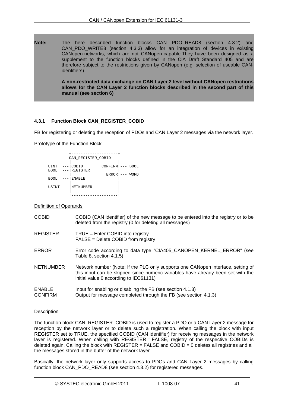**Note:** The here described function blocks CAN PDO\_READ8 (section 4.3.2) and CAN\_PDO\_WRITE8 (section 4.3.3) allow for an integration of devices in existing CANopen-networks, which are not CANopen-capable.They have been designed as a supplement to the function blocks defined in the CiA Draft Standard 405 and are therefore subject to the restrictions given by CANopen (e.g. selection of useable CANidentifiers)

> **A non-restricted data exchange on CAN Layer 2 level without CANopen restrictions allows for the CAN Layer 2 function blocks described in the second part of this manual (see section [6\)](#page-68-0)**

# <span id="page-40-0"></span>**4.3.1 Function Block CAN\_REGISTER\_COBID**

FB for registering or deleting the reception of PDOs and CAN Layer 2 messages via the network layer.

# Prototype of the Function Block

|             |       | CAN REGISTER COBID |                 |             |
|-------------|-------|--------------------|-----------------|-------------|
|             |       |                    |                 |             |
| UINT        | $---$ | COBID              | $CONFIRM$ $---$ | <b>BOOL</b> |
| <b>BOOL</b> |       | <b>REGISTER</b>    |                 |             |
|             |       |                    | ERROR           | WORD        |
| <b>BOOL</b> |       | <b>ENABLE</b>      |                 |             |
|             |       |                    |                 |             |
| USINT       |       | ---   NETNUMBER    |                 |             |
|             |       |                    |                 |             |
|             |       |                    |                 |             |

# Definition of Operands

| <b>COBID</b>                    | COBID (CAN identifier) of the new message to be entered into the registry or to be<br>deleted from the registry (0 for deleting all messages)                                                                  |
|---------------------------------|----------------------------------------------------------------------------------------------------------------------------------------------------------------------------------------------------------------|
| <b>REGISTER</b>                 | $TRUE = Enter COBID$ into registry<br>FALSE = Delete COBID from registry                                                                                                                                       |
| <b>ERROR</b>                    | Error code according to data type "CIA405_CANOPEN_KERNEL_ERROR" (see<br>Table 8, section 4.1.5)                                                                                                                |
| <b>NETNUMBER</b>                | Network number (Note: If the PLC only supports one CANopen interface, setting of<br>this input can be skipped since numeric variables have already been set with the<br>initial value 0 according to IEC61131) |
| <b>ENABLE</b><br><b>CONFIRM</b> | Input for enabling or disabling the FB (see section 4.1.3)<br>Output for message completed through the FB (see section 4.1.3)                                                                                  |

# **Description**

The function block CAN\_REGISTER\_COBID is used to register a PDO or a CAN Layer 2 message for reception by the network layer or to delete such a registration. When calling the block with input REGISTER set to TRUE, the specified COBID (CAN identifier) for receiving messages in the network layer is registered. When calling with REGISTER = FALSE, registry of the respective COBIDs is deleted again. Calling the block with REGISTER = FALSE and  $\overline{\text{COBID}} = 0$  deletes all registries and all the messages stored in the buffer of the network layer.

Basically, the network layer only supports access to PDOs and CAN Layer 2 messages by calling function block CAN\_PDO\_READ8 (see section [4.3.2](#page-41-0)) for registered messages.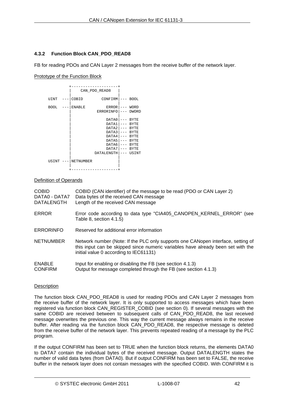# <span id="page-41-0"></span>**4.3.2 Function Block CAN\_PDO\_READ8**

FB for reading PDOs and CAN Layer 2 messages from the receive buffer of the network layer.

# Prototype of the Function Block

|             |         |           | CAN_PDO_READ8                                                                      |         |                                                                                                                 |
|-------------|---------|-----------|------------------------------------------------------------------------------------|---------|-----------------------------------------------------------------------------------------------------------------|
| UINT        |         | COBID     | CONFIRM                                                                            | $- - -$ | <b>BOOL</b>                                                                                                     |
| <b>BOOL</b> |         | ENABLE    | ERROR<br>ERRORINFO                                                                 | .       | WORD<br><b>DWORD</b>                                                                                            |
|             |         |           | DATA0<br>DATA1<br>DATA2<br>DATA3<br>DATA4<br>DATA5<br>DATA6<br>DATA7<br>DATALENGTH |         | <b>BYTE</b><br><b>BYTE</b><br><b>BYTE</b><br><b>BYTE</b><br>BYTE<br><b>BYTE</b><br>BYTE<br><b>BYTE</b><br>USINT |
| USINT       | $- - -$ | NETNUMBER |                                                                                    |         |                                                                                                                 |

# Definition of Operands

| <b>COBID</b><br>DATA0 - DATA7<br><b>DATALENGTH</b> | COBID (CAN identifier) of the message to be read (PDO or CAN Layer 2)<br>Data bytes of the received CAN message<br>Length of the received CAN message                                                          |
|----------------------------------------------------|----------------------------------------------------------------------------------------------------------------------------------------------------------------------------------------------------------------|
| <b>ERROR</b>                                       | Error code according to data type "CIA405 CANOPEN KERNEL ERROR" (see<br>Table 8, section 4.1.5)                                                                                                                |
| <b>ERRORINFO</b>                                   | Reserved for additional error information                                                                                                                                                                      |
| <b>NETNUMBER</b>                                   | Network number (Note: If the PLC only supports one CANopen interface, setting of<br>this input can be skipped since numeric variables have already been set with the<br>initial value 0 according to IEC61131) |
| <b>ENABLE</b><br><b>CONFIRM</b>                    | Input for enabling or disabling the FB (see section 4.1.3)<br>Output for message completed through the FB (see section 4.1.3)                                                                                  |

# **Description**

The function block CAN\_PDO\_READ8 is used for reading PDOs and CAN Layer 2 messages from the receive buffer of the network layer. It is only supported to access messages which have been registered via function block CAN\_REGISTER\_COBID (see section [0\)](#page-40-0). If several messages with the same COBID are received between to subsequent calls of CAN\_PDO\_READ8, the last received message overwrites the previous one. This way the current message always remains in the receive buffer. After reading via the function block CAN\_PDO\_READ8, the respective message is deleted from the receive buffer of the network layer. This prevents repeated reading of a message by the PLC program.

If the output CONFIRM has been set to TRUE when the function block returns, the elements DATA0 to DATA7 contain the individual bytes of the received message. Output DATALENGTH states the number of valid data bytes (from DATA0). But if output CONFIRM has been set to FALSE, the receive buffer in the network layer does not contain messages with the specified COBID. With CONFIRM it is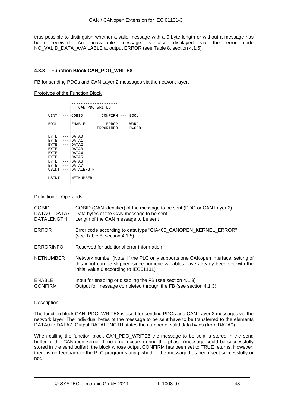thus possible to distinguish whether a valid message with a 0 byte length or without a message has been received. An unavailable message is also displayed via the error code NO\_VALID\_DATA\_AVAILABLE at output ERROR (see [Table 8](#page-36-1), section [4.1.5\)](#page-35-0).

# **4.3.3 Function Block CAN\_PDO\_WRITE8**

FB for sending PDOs and CAN Layer 2 messages via the network layer.

Prototype of the Function Block

|                                                                                                                        |                             | CAN_PDO_WRITE8                                                                     |                    |                      |
|------------------------------------------------------------------------------------------------------------------------|-----------------------------|------------------------------------------------------------------------------------|--------------------|----------------------|
| UINT                                                                                                                   |                             | COBID                                                                              | <b>CONFIRM</b>     | <b>BOOL</b><br>$---$ |
| <b>BOOL</b>                                                                                                            |                             | ENABLE                                                                             | ERROR<br>ERRORINFO | WORD<br>DWORD<br>.   |
| <b>BYTE</b><br><b>BYTE</b><br><b>BYTE</b><br><b>BYTE</b><br><b>BYTE</b><br><b>BYTE</b><br>BYTE<br><b>BYTE</b><br>USINT | $- - -$<br>$---$<br>$- - -$ | DATA0<br>DATA1<br>DATA2<br>DATA3<br>DATA4<br>DATA5<br>DATA6<br>DATA7<br>DATALENGTH |                    |                      |
| USINT                                                                                                                  | $- - -$                     | NETNUMBER                                                                          |                    |                      |

### Definition of Operands

| <b>COBID</b><br>DATA0 - DATA7<br><b>DATALENGTH</b> | COBID (CAN identifier) of the message to be sent (PDO or CAN Layer 2)<br>Data bytes of the CAN message to be sent<br>Length of the CAN message to be sent                                                      |
|----------------------------------------------------|----------------------------------------------------------------------------------------------------------------------------------------------------------------------------------------------------------------|
| <b>ERROR</b>                                       | Error code according to data type "CIA405_CANOPEN_KERNEL_ERROR"<br>(see Table 8, section 4.1.5)                                                                                                                |
| <b>ERRORINFO</b>                                   | Reserved for additional error information                                                                                                                                                                      |
| <b>NETNUMBER</b>                                   | Network number (Note: If the PLC only supports one CANopen interface, setting of<br>this input can be skipped since numeric variables have already been set with the<br>initial value 0 according to IEC61131) |
| ENABLE<br><b>CONFIRM</b>                           | Input for enabling or disabling the FB (see section 4.1.3)<br>Output for message completed through the FB (see section 4.1.3)                                                                                  |

### **Description**

The function block CAN\_PDO\_WRITE8 is used for sending PDOs and CAN Layer 2 messages via the network layer. The individual bytes of the message to be sent have to be transferred to the elements DATA0 to DATA7. Output DATALENGTH states the number of valid data bytes (from DATA0).

When calling the function block CAN\_PDO\_WRITE8 the message to be sent is stored in the send buffer of the CANopen kernel. If no error occurs during this phase (message could be successfully stored in the send buffer), the block whose output CONFIRM has been set to TRUE returns. However, there is no feedback to the PLC program stating whether the message has been sent successfully or not.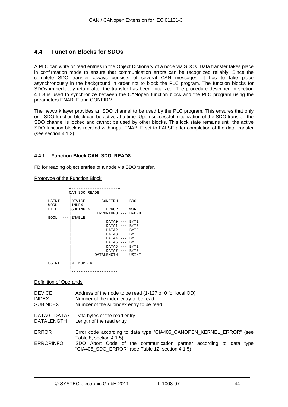# **4.4 Function Blocks for SDOs**

A PLC can write or read entries in the Object Dictionary of a node via SDOs. Data transfer takes place in confirmation mode to ensure that communication errors can be recognized reliably. Since the complete SDO transfer always consists of several CAN messages, it has to take place asynchronously in the background in order not to block the PLC program. The function blocks for SDOs immediately return after the transfer has been initialized. The procedure described in section [4.1.3](#page-34-0) is used to synchronize between the CANopen function block and the PLC program using the parameters ENABLE and CONFIRM.

The network layer provides an SDO channel to be used by the PLC program. This ensures that only one SDO function block can be active at a time. Upon successful initialization of the SDO transfer, the SDO channel is locked and cannot be used by other blocks. This lock state remains until the active SDO function block is recalled with input ENABLE set to FALSE after completion of the data transfer (see section [4.1.3](#page-34-0)).

# **4.4.1 Function Block CAN\_SDO\_READ8**

FB for reading object entries of a node via SDO transfer.

Prototype of the Function Block

|                              | CAN SDO READ8   |                           |         |                            |
|------------------------------|-----------------|---------------------------|---------|----------------------------|
| $USINT$ ---<br>WORD<br>$---$ | DEVICE<br>INDEX | CONFIRM                   | $---$   | <b>BOOL</b>                |
| <b>BYTE</b>                  | <b>SUBINDEX</b> | ERROR<br><b>ERRORINFO</b> | $---$   | WORD<br><b>DWORD</b>       |
| <b>BOOL</b>                  | ENABLE          |                           |         |                            |
|                              |                 | DATA0<br>DATA1            |         | BYTE<br>BYTE               |
|                              |                 | DATA2                     | $- - -$ | <b>BYTE</b>                |
|                              |                 | DATA3<br>DATA4            |         | <b>BYTE</b><br><b>BYTE</b> |
|                              |                 | DATA5<br>DATA6            |         | <b>BYTE</b><br><b>BYTE</b> |
|                              |                 | DATA7                     |         | <b>BYTE</b>                |
|                              |                 | DATALENGTH                | ---     | USINT                      |
| USINT<br>$\qquad \qquad -$   | NETNUMBER       |                           |         |                            |
|                              |                 |                           |         |                            |

# Definition of Operands

| <b>DEVICE</b>     | Address of the node to be read (1-127 or 0 for local OD)                                                               |
|-------------------|------------------------------------------------------------------------------------------------------------------------|
| <b>INDEX</b>      | Number of the index entry to be read                                                                                   |
| <b>SUBINDEX</b>   | Number of the subindex entry to be read                                                                                |
| DATA0 - DATA7     | Data bytes of the read entry                                                                                           |
| <b>DATALENGTH</b> | Length of the read entry                                                                                               |
| <b>ERROR</b>      | Error code according to data type "CIA405_CANOPEN_KERNEL_ERROR" (see<br>Table 8, section 4.1.5)                        |
| <b>ERRORINFO</b>  | SDO Abort Code of the communication partner according to data type<br>"CIA405_SDO_ERROR" (see Table 12, section 4.1.5) |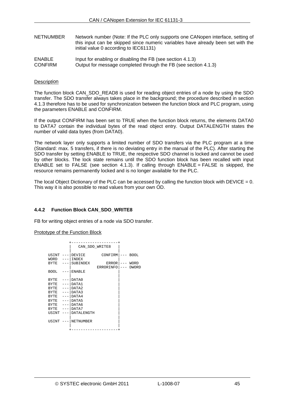| <b>NETNUMBER</b> | Network number (Note: If the PLC only supports one CANopen interface, setting of |
|------------------|----------------------------------------------------------------------------------|
|                  | this input can be skipped since numeric variables have already been set with the |
|                  | initial value 0 according to IEC61131)                                           |

ENABLE Input for enabling or disabling the FB (see section [4.1.3\)](#page-34-0) CONFIRM Output for message completed through the FB (see section [4.1.3\)](#page-34-0)

# **Description**

The function block CAN\_SDO\_READ8 is used for reading object entries of a node by using the SDO transfer. The SDO transfer always takes place in the background; the procedure described in section [4.1.3](#page-34-0) therefore has to be used for synchronization between the function block and PLC program, using the parameters ENABLE and CONFIRM.

If the output CONFIRM has been set to TRUE when the function block returns, the elements DATA0 to DATA7 contain the individual bytes of the read object entry. Output DATALENGTH states the number of valid data bytes (from DATA0).

The network layer only supports a limited number of SDO transfers via the PLC program at a time (Standard: max. 5 transfers, if there is no deviating entry in the manual of the PLC). After starting the SDO transfer by setting ENABLE to TRUE, the respective SDO channel is locked and cannot be used by other blocks. The lock state remains until the SDO function block has been recalled with input ENABLE set to FALSE (see section [4.1.3\)](#page-34-0). If calling through  $ENABLE = FALSE$  is skipped, the resource remains permanently locked and is no longer available for the PLC.

The local Object Dictionary of the PLC can be accessed by calling the function block with DEVICE = 0. This way it is also possible to read values from your own OD.

# **4.4.2 Function Block CAN\_SDO\_WRITE8**

FB for writing object entries of a node via SDO transfer.

Prototype of the Function Block

|             |                     | CAN SDO WRITE8    |                |       |              |
|-------------|---------------------|-------------------|----------------|-------|--------------|
|             |                     |                   |                |       |              |
| USINT       | $\qquad \qquad - -$ | DEVICE            | <b>CONFIRM</b> |       | <b>BOOL</b>  |
| WORD        |                     | <b>INDEX</b>      |                |       |              |
| <b>BYTE</b> |                     | SUBINDEX          | <b>ERROR</b>   | $---$ | WORD         |
|             |                     |                   | ERRORINFO      |       | <b>DWORD</b> |
| <b>BOOL</b> |                     | <b>ENABLE</b>     |                |       |              |
|             |                     |                   |                |       |              |
| <b>BYTE</b> |                     | DATA0             |                |       |              |
| <b>BYTE</b> |                     | DATA1             |                |       |              |
| <b>BYTE</b> |                     | DATA <sub>2</sub> |                |       |              |
| <b>BYTE</b> |                     | DATA3             |                |       |              |
| <b>BYTE</b> |                     | DATA4             |                |       |              |
| BYTE        |                     | DATA5             |                |       |              |
| <b>BYTE</b> |                     | DATA6             |                |       |              |
| RYTE.       |                     | DATA7             |                |       |              |
| USINT       | $---$               | DATALENGTH        |                |       |              |
|             |                     |                   |                |       |              |
| $USTNT$ --- |                     | NETNUMBER         |                |       |              |
|             |                     |                   |                |       |              |
|             |                     |                   |                |       |              |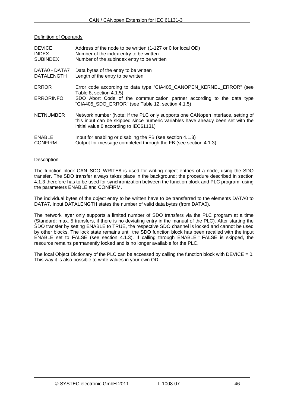Definition of Operands

| <b>DEVICE</b>     | Address of the node to be written (1-127 or 0 for local OD)                                                                                                                                                    |
|-------------------|----------------------------------------------------------------------------------------------------------------------------------------------------------------------------------------------------------------|
| <b>INDEX</b>      | Number of the index entry to be written                                                                                                                                                                        |
| <b>SUBINDEX</b>   | Number of the subindex entry to be written                                                                                                                                                                     |
| DATA0 - DATA7     | Data bytes of the entry to be written                                                                                                                                                                          |
| <b>DATALENGTH</b> | Length of the entry to be written                                                                                                                                                                              |
| <b>ERROR</b>      | Error code according to data type "CIA405_CANOPEN_KERNEL_ERROR" (see<br>Table 8, section 4.1.5)                                                                                                                |
| <b>ERRORINFO</b>  | SDO Abort Code of the communication partner according to the data type<br>"CIA405 SDO ERROR" (see Table 12, section 4.1.5)                                                                                     |
| <b>NETNUMBER</b>  | Network number (Note: If the PLC only supports one CANopen interface, setting of<br>this input can be skipped since numeric variables have already been set with the<br>initial value 0 according to IEC61131) |
| <b>ENABLE</b>     | Input for enabling or disabling the FB (see section 4.1.3)                                                                                                                                                     |
| <b>CONFIRM</b>    | Output for message completed through the FB (see section 4.1.3)                                                                                                                                                |

# **Description**

The function block CAN\_SDO\_WRITE8 is used for writing object entries of a node, using the SDO transfer. The SDO transfer always takes place in the background; the procedure described in section [4.1.3](#page-34-0) therefore has to be used for synchronization between the function block and PLC program, using the parameters ENABLE and CONFIRM.

The individual bytes of the object entry to be written have to be transferred to the elements DATA0 to DATA7. Input DATALENGTH states the number of valid data bytes (from DATA0).

The network layer only supports a limited number of SDO transfers via the PLC program at a time (Standard: max. 5 transfers, if there is no deviating entry in the manual of the PLC). After starting the SDO transfer by setting ENABLE to TRUE, the respective SDO channel is locked and cannot be used by other blocks. The lock state remains until the SDO function block has been recalled with the input ENABLE set to FALSE (see section [4.1.3\)](#page-34-0). If calling through  $ENABLE = FALSE$  is skipped, the resource remains permanently locked and is no longer available for the PLC.

The local Object Dictionary of the PLC can be accessed by calling the function block with  $DEVICE = 0$ . This way it is also possible to write values in your own OD.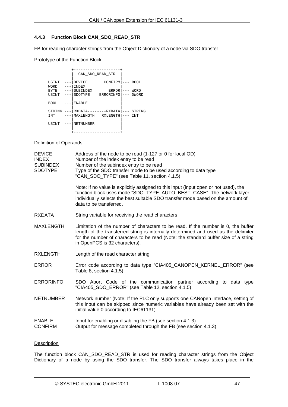# **4.4.3 Function Block CAN\_SDO\_READ\_STR**

FB for reading character strings from the Object Dictionary of a node via SDO transfer.

# Prototype of the Function Block

|                      |                            | CAN SDO READ STR                 |                      |
|----------------------|----------------------------|----------------------------------|----------------------|
| USINT<br>WORD        | DEVICE<br><b>INDEX</b>     | $CONFIRM$ $---$                  | <b>BOOL</b>          |
| <b>BYTE</b><br>USINT | <b>SUBINDEX</b><br>SDOTYPE | <b>ERROR</b><br><b>ERRORINFO</b> | WORD<br>DWORD        |
| <b>BOOL</b>          | <b>ENABLE</b>              |                                  |                      |
| STRING<br>INT        | MAXLENGTH                  | RXDATA--------RXDATA<br>RXLENGTH | STRING<br><b>INT</b> |
| USINT                | <b>NETNUMBER</b>           |                                  |                      |
|                      |                            |                                  |                      |

# Definition of Operands

| <b>DEVICE</b><br><b>INDEX</b><br><b>SUBINDEX</b><br><b>SDOTYPE</b> | Address of the node to be read (1-127 or 0 for local OD)<br>Number of the index entry to be read<br>Number of the subindex entry to be read<br>Type of the SDO transfer mode to be used according to data type<br>"CAN_SDO_TYPE" (see Table 11, section 4.1.5)                                   |
|--------------------------------------------------------------------|--------------------------------------------------------------------------------------------------------------------------------------------------------------------------------------------------------------------------------------------------------------------------------------------------|
|                                                                    | Note: If no value is explicitly assigned to this input (input open or not used), the<br>function block uses mode "SDO_TYPE_AUTO_BEST_CASE". The network layer<br>individually selects the best suitable SDO transfer mode based on the amount of<br>data to be transferred.                      |
| <b>RXDATA</b>                                                      | String variable for receiving the read characters                                                                                                                                                                                                                                                |
| MAXLENGTH                                                          | Limitation of the number of characters to be read. If the number is 0, the buffer<br>length of the transferred string is internally determined and used as the delimiter<br>for the number of characters to be read (Note: the standard buffer size of a string<br>in OpenPCS is 32 characters). |
| <b>RXLENGTH</b>                                                    | Length of the read character string                                                                                                                                                                                                                                                              |
| <b>ERROR</b>                                                       | Error code according to data type "CIA405_CANOPEN_KERNEL_ERROR" (see<br>Table 8, section 4.1.5)                                                                                                                                                                                                  |
| <b>ERRORINFO</b>                                                   | SDO Abort Code of the communication partner according to data type<br>"CIA405_SDO_ERROR" (see Table 12, section 4.1.5)                                                                                                                                                                           |
| <b>NETNUMBER</b>                                                   | Network number (Note: If the PLC only supports one CANopen interface, setting of<br>this input can be skipped since numeric variables have already been set with the<br>initial value 0 according to IEC61131)                                                                                   |
| <b>ENABLE</b><br><b>CONFIRM</b>                                    | Input for enabling or disabling the FB (see section 4.1.3)<br>Output for message completed through the FB (see section 4.1.3)                                                                                                                                                                    |
|                                                                    |                                                                                                                                                                                                                                                                                                  |

# **Description**

The function block CAN\_SDO\_READ\_STR is used for reading character strings from the Object Dictionary of a node by using the SDO transfer. The SDO transfer always takes place in the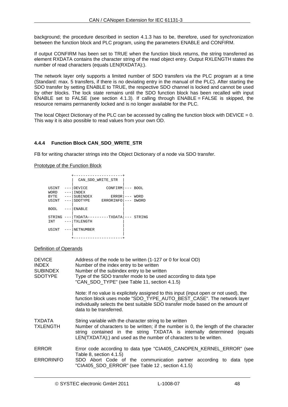background; the procedure described in section [4.1.3](#page-34-0) has to be, therefore, used for synchronization between the function block and PLC program, using the parameters ENABLE and CONFIRM.

If output CONFIRM has been set to TRUE when the function block returns, the string transferred as element RXDATA contains the character string of the read object entry. Output RXLENGTH states the number of read characters (equals LEN(RXDATA);).

The network layer only supports a limited number of SDO transfers via the PLC program at a time (Standard: max. 5 transfers, if there is no deviating entry in the manual of the PLC). After starting the SDO transfer by setting ENABLE to TRUE, the respective SDO channel is locked and cannot be used by other blocks. The lock state remains until the SDO function block has been recalled with input ENABLE set to FALSE (see section [4.1.3\)](#page-34-0). If calling through  $ENABLE = FALSE$  is skipped, the resource remains permanently locked and is no longer available for the PLC.

The local Object Dictionary of the PLC can be accessed by calling the function block with DEVICE =  $0$ . This way it is also possible to read values from your own OD.

# **4.4.4 Function Block CAN\_SDO\_WRITE\_STR**

FB for writing character strings into the Object Dictionary of a node via SDO transfer.

# Prototype of the Function Block

|               |                                |                            | CAN SDO WRITE STR         |     |                      |
|---------------|--------------------------------|----------------------------|---------------------------|-----|----------------------|
|               |                                |                            |                           |     |                      |
| USINT<br>WORD | $---$<br>$---$                 | DEVICE<br><b>INDEX</b>     | CONFIRM                   |     | <b>BOOL</b>          |
| BYTE<br>USINT | $- - -$<br>$\qquad \qquad - -$ | <b>SUBINDEX</b><br>SDOTYPE | <b>ERROR</b><br>ERRORINFO | --- | WORD<br><b>DWORD</b> |
| <b>BOOL</b>   |                                | <b>ENABLE</b>              |                           |     |                      |
| STRING<br>INT | $- - -$                        | TXLENGTH                   | TXDATA---------TXDATA     |     | STRING               |
| USINT         |                                | <b>NETNUMBER</b>           |                           |     |                      |
|               |                                |                            |                           |     |                      |

# Definition of Operands

| <b>DEVICE</b><br><b>INDEX</b><br><b>SUBINDEX</b><br><b>SDOTYPE</b> | Address of the node to be written (1-127 or 0 for local OD)<br>Number of the index entry to be written<br>Number of the subindex entry to be written<br>Type of the SDO transfer mode to be used according to data type<br>"CAN SDO TYPE" (see Table 11, section 4.1.5)                       |
|--------------------------------------------------------------------|-----------------------------------------------------------------------------------------------------------------------------------------------------------------------------------------------------------------------------------------------------------------------------------------------|
|                                                                    | Note: If no value is explicitely assigned to this input (input open or not used), the<br>function block uses mode "SDO_TYPE_AUTO_BEST_CASE". The network layer<br>individually selects the best suitable SDO transfer mode based on the amount of<br>data to be transferred.                  |
| <b>TXDATA</b><br><b>TXLENGTH</b>                                   | String variable with the character string to be written<br>Number of characters to be written; if the number is 0, the length of the character<br>string contained in the string TXDATA is internally determined (equals<br>LEN(TXDATA);) and used as the number of characters to be written. |
| <b>ERROR</b><br><b>ERRORINFO</b>                                   | Error code according to data type "CIA405_CANOPEN_KERNEL_ERROR" (see<br>Table 8, section 4.1.5)<br>SDO Abort Code of the communication partner according to data type<br>"CIA405_SDO_ERROR" (see Table 12, section 4.1.5)                                                                     |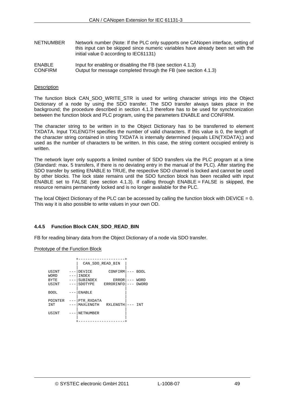- NETNUMBER Network number (Note: If the PLC only supports one CANopen interface, setting of this input can be skipped since numeric variables have already been set with the initial value 0 according to IEC61131)
- ENABLE Input for enabling or disabling the FB (see section [4.1.3\)](#page-34-0) CONFIRM Output for message completed through the FB (see section [4.1.3\)](#page-34-0)

# Description

The function block CAN SDO\_WRITE\_STR is used for writing character strings into the Object Dictionary of a node by using the SDO transfer. The SDO transfer always takes place in the background; the procedure described in section [4.1.3](#page-34-0) therefore has to be used for synchronization between the function block and PLC program, using the parameters ENABLE and CONFIRM.

The character string to be written in to the Object Dictionary has to be transferred to element TXDATA. Input TXLENGTH specifies the number of valid characters. If this value is 0, the length of the character string contained in string TXDATA is internally determined (equals LEN(TXDATA);) and used as the number of characters to be written. In this case, the string content occupied entirely is written.

The network layer only supports a limited number of SDO transfers via the PLC program at a time (Standard: max. 5 transfers, if there is no deviating entry in the manual of the PLC). After starting the SDO transfer by setting ENABLE to TRUE, the respective SDO channel is locked and cannot be used by other blocks. The lock state remains until the SDO function block has been recalled with input ENABLE set to FALSE (see section [4.1.3\)](#page-34-0). If calling through ENABLE = FALSE is skipped, the resource remains permanently locked and is no longer available for the PLC.

The local Object Dictionary of the PLC can be accessed by calling the function block with  $DEVICE = 0$ . This way it is also possible to write values in your own OD.

# **4.4.5 Function Block CAN\_SDO\_READ\_BIN**

FB for reading binary data from the Object Dictionary of a node via SDO transfer.

Prototype of the Function Block

|                                       | CAN SDO READ BIN                                     |                                      |                                     |
|---------------------------------------|------------------------------------------------------|--------------------------------------|-------------------------------------|
| USINT<br>WORD<br><b>BYTE</b><br>USINT | DEVICE<br><b>INDEX</b><br><b>SUBINDEX</b><br>SDOTYPE | CONFIRM<br><b>ERROR</b><br>ERRORINFO | <b>BOOL</b><br>WORD<br><b>DWORD</b> |
| <b>BOOL</b>                           | <b>ENABLE</b>                                        |                                      |                                     |
| POINTER<br>INT                        | PTR RXDATA<br>MAXLENGTH                              | RXLENGTH                             | INT                                 |
| USINT                                 | NETNUMBER                                            |                                      |                                     |
|                                       |                                                      |                                      |                                     |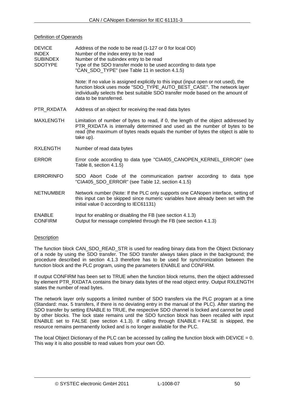# Definition of Operands

| <b>DEVICE</b><br><b>INDEX</b><br><b>SUBINDEX</b><br><b>SDOTYPE</b> | Address of the node to be read (1-127 or 0 for local OD)<br>Number of the index entry to be read<br>Number of the subindex entry to be read<br>Type of the SDO transfer mode to be used according to data type<br>"CAN_SDO_TYPE" (see Table 11 in section 4.1.5)            |
|--------------------------------------------------------------------|-----------------------------------------------------------------------------------------------------------------------------------------------------------------------------------------------------------------------------------------------------------------------------|
|                                                                    | Note: If no value is assigned explicitly to this input (input open or not used), the<br>function block uses mode "SDO_TYPE_AUTO_BEST_CASE". The network layer<br>individually selects the best suitable SDO transfer mode based on the amount of<br>data to be transferred. |
| PTR RXDATA                                                         | Address of an object for receiving the read data bytes                                                                                                                                                                                                                      |
| MAXLENGTH                                                          | Limitation of number of bytes to read, if 0, the length of the object addressed by<br>PTR_RXDATA is internally determined and used as the number of bytes to be<br>read (the maximum of bytes reads equals the number of bytes the object is able to<br>take up).           |
| <b>RXLENGTH</b>                                                    | Number of read data bytes                                                                                                                                                                                                                                                   |
| <b>ERROR</b>                                                       | Error code according to data type "CIA405_CANOPEN_KERNEL_ERROR" (see<br>Table 8, section 4.1.5)                                                                                                                                                                             |
| <b>ERRORINFO</b>                                                   | SDO Abort Code of the communication partner according to data type<br>"CIA405_SDO_ERROR" (see Table 12, section 4.1.5)                                                                                                                                                      |
| <b>NETNUMBER</b>                                                   | Network number (Note: If the PLC only supports one CANopen interface, setting of<br>this input can be skipped since numeric variables have already been set with the<br>initial value 0 according to IEC61131)                                                              |
| <b>ENABLE</b><br><b>CONFIRM</b>                                    | Input for enabling or disabling the FB (see section 4.1.3)<br>Output for message completed through the FB (see section 4.1.3)                                                                                                                                               |

### **Description**

The function block CAN\_SDO\_READ\_STR is used for reading binary data from the Object Dictionary of a node by using the SDO transfer. The SDO transfer always takes place in the background; the procedure described in section [4.1.3](#page-34-0) therefore has to be used for synchronization between the function block and the PLC program, using the parameters ENABLE and CONFIRM.

If output CONFIRM has been set to TRUE when the function block returns, then the object addressed by element PTR\_RXDATA contains the binary data bytes of the read object entry. Output RXLENGTH states the number of read bytes.

The network layer only supports a limited number of SDO transfers via the PLC program at a time (Standard: max. 5 transfers, if there is no deviating entry in the manual of the PLC). After starting the SDO transfer by setting ENABLE to TRUE, the respective SDO channel is locked and cannot be used by other blocks. The lock state remains until the SDO function block has been recalled with input ENABLE set to FALSE (see section [4.1.3\)](#page-34-0). If calling through ENABLE = FALSE is skipped, the resource remains permanently locked and is no longer available for the PLC.

The local Object Dictionary of the PLC can be accessed by calling the function block with  $DEVICE = 0$ . This way it is also possible to read values from your own OD.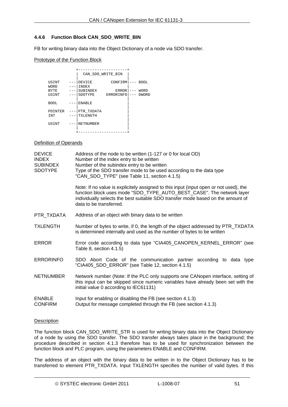# **4.4.6 Function Block CAN\_SDO\_WRITE\_BIN**

FB for writing binary data into the Object Dictionary of a node via SDO transfer.

# Prototype of the Function Block

|                | CAN SDO WRITE BIN      |                 |              |
|----------------|------------------------|-----------------|--------------|
| USINT<br>WORD  | DEVICE<br>INDEX        | $CONFIRM$ $---$ | <b>BOOL</b>  |
| <b>BYTE</b>    | <b>SUBINDEX</b>        | ERROR           | WORD         |
| USINT          | SDOTYPE                | ERRORINFO       | <b>DWORD</b> |
| <b>BOOL</b>    | <b>ENABLE</b>          |                 |              |
| POINTER<br>INT | PTR TXDATA<br>TXLENGTH |                 |              |
| USINT          | NETNUMBER              |                 |              |
|                |                        |                 |              |

# Definition of Operands

| <b>DEVICE</b><br><b>INDEX</b><br><b>SUBINDEX</b><br><b>SDOTYPE</b> | Address of the node to be written (1-127 or 0 for local OD)<br>Number of the index entry to be written<br>Number of the subindex entry to be written<br>Type of the SDO transfer mode to be used according to the data type<br>"CAN_SDO_TYPE" (see Table 11, section 4.1.5)  |
|--------------------------------------------------------------------|------------------------------------------------------------------------------------------------------------------------------------------------------------------------------------------------------------------------------------------------------------------------------|
|                                                                    | Note: If no value is explicitely assigned to this input (input open or not used), the<br>function block uses mode "SDO_TYPE_AUTO_BEST_CASE". The network layer<br>individually selects the best suitable SDO transfer mode based on the amount of<br>data to be transferred. |
| PTR TXDATA                                                         | Address of an object with binary data to be written                                                                                                                                                                                                                          |
| <b>TXLENGTH</b>                                                    | Number of bytes to write, if 0, the length of the object addressed by PTR_TXDATA<br>is determined internally and used as the number of bytes to be written                                                                                                                   |
| <b>ERROR</b>                                                       | Error code according to data type "CIA405_CANOPEN_KERNEL_ERROR" (see<br>Table 8, section 4.1.5)                                                                                                                                                                              |
| <b>ERRORINFO</b>                                                   | SDO Abort Code of the communication partner according to data type<br>"CIA405_SDO_ERROR" (see Table 12, section 4.1.5)                                                                                                                                                       |
| <b>NETNUMBER</b>                                                   | Network number (Note: If the PLC only supports one CANopen interface, setting of<br>this input can be skipped since numeric variables have already been set with the<br>initial value 0 according to IEC61131)                                                               |
| <b>ENABLE</b><br><b>CONFIRM</b>                                    | Input for enabling or disabling the FB (see section 4.1.3)<br>Output for message completed through the FB (see section 4.1.3)                                                                                                                                                |

# **Description**

The function block CAN\_SDO\_WRITE\_STR is used for writing binary data into the Object Dictionary of a node by using the SDO transfer. The SDO transfer always takes place in the background; the procedure described in section [4.1.3](#page-34-0) therefore has to be used for synchronization between the function block and PLC program, using the parameters ENABLE and CONFIRM.

The address of an object with the binary data to be written in to the Object Dictionary has to be transferred to element PTR\_TXDATA. Input TXLENGTH specifies the number of valid bytes. If this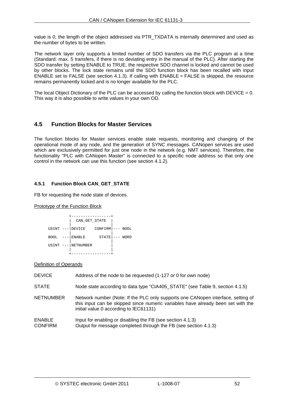value is 0, the length of the object addressed via PTR\_TXDATA is internally determined and used as the number of bytes to be written.

The network layer only supports a limited number of SDO transfers via the PLC program at a time (Standard: max. 5 transfers, if there is no deviating entry in the manual of the PLC). After starting the SDO transfer by setting ENABLE to TRUE, the respective SDO channel is locked and cannot be used by other blocks. The lock state remains until the SDO function block has been recalled with input ENABLE set to FALSE (see section [4.1.3\)](#page-34-0). If calling with  $ENABLE = FALSE$  is skipped, the resource remains permanently locked and is no longer available for the PLC.

The local Object Dictionary of the PLC can be accessed by calling the function block with  $DEVICE = 0$ . This way it is also possible to write values in your own OD.

# **4.5 Function Blocks for Master Services**

The function blocks for Master services enable state requests, monitoring and changing of the operational mode of any node, and the generation of SYNC messages. CANopen services are used which are exclusively permitted for just one node in the network (e.g. NMT services). Therefore, the functionality "PLC with CANopen Master" is connected to a specific node address so that only one control in the network can use this function (see section [4.1.2](#page-33-0)).

# **4.5.1 Function Block CAN\_GET\_STATE**

FB for requesting the node state of devices.

# Prototype of the Function Block

|                   | CAN GET STATE      |                  |       |      |
|-------------------|--------------------|------------------|-------|------|
|                   | USINT ---   DEVICE | CONFIRM --- BOOL |       |      |
| BOOL<br>$- - - -$ | ENABLE             | STATE            | $---$ | WORD |
| USINT ---         | <b>NETNUMBER</b>   |                  |       |      |
|                   |                    |                  |       |      |

# Definition of Operands

| <b>DEVICE</b>                   | Address of the node to be requested (1-127 or 0 for own node)                                                                                                                                                  |
|---------------------------------|----------------------------------------------------------------------------------------------------------------------------------------------------------------------------------------------------------------|
| <b>STATE</b>                    | Node state according to data type "CIA405 STATE" (see Table 9, section 4.1.5)                                                                                                                                  |
| <b>NETNUMBER</b>                | Network number (Note: If the PLC only supports one CANopen interface, setting of<br>this input can be skipped since numeric variables have already been set with the<br>initial value 0 according to IEC61131) |
| <b>ENABLE</b><br><b>CONFIRM</b> | Input for enabling or disabling the FB (see section 4.1.3)<br>Output for message completed through the FB (see section 4.1.3)                                                                                  |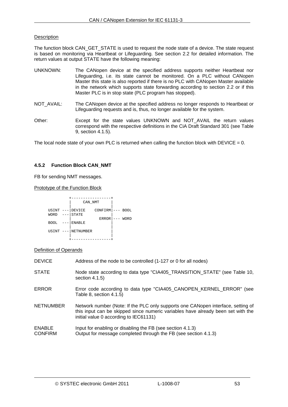# **Description**

The function block CAN\_GET\_STATE is used to request the node state of a device. The state request is based on monitoring via Heartbeat or Lifeguarding. See section [2.2](#page-10-0) for detailed information. The return values at output STATE have the following meaning:

- UNKNOWN: The CANopen device at the specified address supports neither Heartbeat nor Lifeguarding, i.e. its state cannot be monitored. On a PLC without CANopen Master this state is also reported if there is no PLC with CANopen Master available in the network which supports state forwarding according to section [2.2](#page-10-0) or if this Master PLC is in stop state (PLC program has stopped).
- NOT AVAIL: The CANopen device at the specified address no longer responds to Heartbeat or Lifeguarding requests and is, thus, no longer available for the system.
- Other: Except for the state values UNKNOWN and NOT\_AVAIL the return values correspond with the respective definitions in the CiA Draft Standard 301 (see [Table](#page-36-0)  [9,](#page-36-0) section [4.1.5\)](#page-35-0).

The local node state of your own PLC is returned when calling the function block with  $DEVICE = 0$ .

# **4.5.2 Function Block CAN\_NMT**

FB for sending NMT messages.

Prototype of the Function Block

|                                | CAN NMT                |                |       |             |
|--------------------------------|------------------------|----------------|-------|-------------|
| $USINT$ ---<br>WORD<br>$- - -$ | <b>DEVICE</b><br>STATE | <b>CONFIRM</b> | $---$ | <b>BOOL</b> |
| <b>BOOL</b><br>$---$           | <b>ENABLE</b>          | <b>ERROR</b>   | ---   | WORD        |
| USINT ---                      | <b>NETNUMBER</b>       |                |       |             |
|                                |                        |                |       |             |

# Definition of Operands

| <b>DEVICE</b>                   | Address of the node to be controlled (1-127 or 0 for all nodes)                                                                                                                                                |
|---------------------------------|----------------------------------------------------------------------------------------------------------------------------------------------------------------------------------------------------------------|
| <b>STATE</b>                    | Node state according to data type "CIA405_TRANSITION_STATE" (see Table 10,<br>section $4.1.5$ )                                                                                                                |
| <b>ERROR</b>                    | Error code according to data type "CIA405_CANOPEN_KERNEL_ERROR" (see<br>Table 8, section 4.1.5)                                                                                                                |
| <b>NETNUMBER</b>                | Network number (Note: If the PLC only supports one CANopen interface, setting of<br>this input can be skipped since numeric variables have already been set with the<br>initial value 0 according to IEC61131) |
| <b>ENABLE</b><br><b>CONFIRM</b> | Input for enabling or disabling the FB (see section 4.1.3)<br>Output for message completed through the FB (see section 4.1.3)                                                                                  |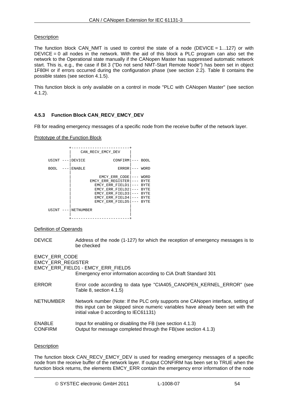# **Description**

The function block CAN NMT is used to control the state of a node (DEVICE = 1...127) or with DEVICE = 0 all nodes in the network. With the aid of this block a PLC program can also set the network to the Operational state manually if the CANopen Master has suppressed automatic network start. This is, e.g., the case if Bit 3 ("Do not send NMT-Start Remote Node") has been set in object 1F80H or if errors occurred during the configuration phase (see section [2.2](#page-10-0)). [Table 8](#page-36-1) contains the possible states (see section [4.1.5](#page-35-0)).

This function block is only available on a control in mode "PLC with CANopen Master" (see section [4.1.2](#page-33-0)).

# <span id="page-53-0"></span>**4.5.3 Function Block CAN\_RECV\_EMCY\_DEV**

FB for reading emergency messages of a specific node from the receive buffer of the network layer.

# Prototype of the Function Block

|             |                  | CAN RECV EMCY DEV                                                                                                                 |                                                                                          |  |
|-------------|------------------|-----------------------------------------------------------------------------------------------------------------------------------|------------------------------------------------------------------------------------------|--|
| USINT       | DEVICE           | <b>CONFIRM</b>                                                                                                                    | <b>BOOL</b>                                                                              |  |
| <b>BOOL</b> | <b>ENABLE</b>    | <b>ERROR</b>                                                                                                                      | WORD                                                                                     |  |
|             |                  | EMCY_ERR_CODE<br>EMCY ERR REGISTER<br>EMCY ERR FIELD1<br>EMCY ERR FIELD2<br>EMCY ERR FIELD3<br>EMCY ERR FIELD4<br>EMCY ERR FIELD5 | WORD<br>--- BYTE<br>--- BYTE<br><b>BYTE</b><br><b>BYTE</b><br><b>BYTE</b><br><b>BYTE</b> |  |
| USINT       | <b>NETNUMBER</b> |                                                                                                                                   |                                                                                          |  |

### Definition of Operands

- DEVICE Address of the node (1-127) for which the reception of emergency messages is to be checked
- EMCY\_ERR\_CODE

EMCY\_ERR\_REGISTER

EMCY\_ERR\_FIELD1 - EMCY\_ERR\_FIELD5

Emergency error information according to CiA Draft Standard 301

- ERROR **EXAMORE ERROR EXAMORE ERROR** EFror code according to data type "CIA405 CANOPEN KERNEL ERROR" (see [Table 8](#page-36-1), section [4.1.5\)](#page-35-0)
- NETNUMBER Network number (Note: If the PLC only supports one CANopen interface, setting of this input can be skipped since numeric variables have already been set with the initial value 0 according to IEC61131)
- ENABLE Input for enabling or disabling the FB (see section [4.1.3\)](#page-34-0) CONFIRM Output for message completed through the FB(see section [4.1.3](#page-34-0))

### **Description**

The function block CAN\_RECV\_EMCY\_DEV is used for reading emergency messages of a specific node from the receive buffer of the network layer. If output CONFIRM has been set to TRUE when the function block returns, the elements EMCY\_ERR contain the emergency error information of the node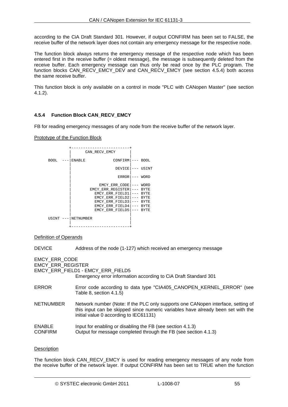according to the CiA Draft Standard 301. However, if output CONFIRM has been set to FALSE, the receive buffer of the network layer does not contain any emergency message for the respective node.

The function block always returns the emergency message of the respective node which has been entered first in the receive buffer (= oldest message), the message is subsequently deleted from the receive buffer. Each emergency message can thus only be read once by the PLC program. The function blocks CAN\_RECV\_EMCY\_DEV and CAN\_RECV\_EMCY (see section [4.5.4](#page-54-0)) both access the same receive buffer.

This function block is only available on a control in mode "PLC with CANopen Master" (see section [4.1.2](#page-33-0)).

# <span id="page-54-0"></span>**4.5.4 Function Block CAN\_RECV\_EMCY**

FB for reading emergency messages of any node from the receive buffer of the network layer.

# Prototype of the Function Block



### Definition of Operands

DEVICE Address of the node (1-127) which received an emergency message

# EMCY\_ERR\_CODE

EMCY\_ERR\_REGISTER EMCY\_ERR\_FIELD1 - EMCY\_ERR\_FIELD5 Emergency error information according to CiA Draft Standard 301

- ERROR Error code according to data type "CIA405\_CANOPEN\_KERNEL\_ERROR" (see [Table 8](#page-36-1), section [4.1.5\)](#page-35-0)
- NETNUMBER Network number (Note: If the PLC only supports one CANopen interface, setting of this input can be skipped since numeric variables have already been set with the initial value 0 according to IEC61131)

# ENABLE Input for enabling or disabling the FB (see section [4.1.3\)](#page-34-0)

# **Description**

The function block CAN\_RECV\_EMCY is used for reading emergency messages of any node from the receive buffer of the network layer. If output CONFIRM has been set to TRUE when the function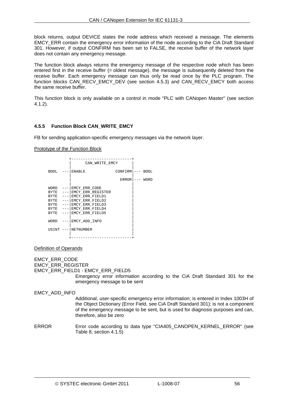block returns, output DEVICE states the node address which received a message. The elements EMCY\_ERR contain the emergency error information of the node according to the CiA Draft Standard 301. However, if output CONFIRM has been set to FALSE, the receive buffer of the network layer does not contain any emergency message.

The function block always returns the emergency message of the respective node which has been entered first in the receive buffer (= oldest message), the message is subsequently deleted from the receive buffer. Each emergency message can thus only be read once by the PLC program. The function blocks CAN\_RECV\_EMCY\_DEV (see section [4.5.3](#page-53-0)) and CAN\_RECV\_EMCY both access the same receive buffer.

This function block is only available on a control in mode "PLC with CANopen Master" (see section [4.1.2](#page-33-0)).

# **4.5.5 Function Block CAN\_WRITE\_EMCY**

FB for sending application-specific emergency messages via the network layer.

# Prototype of the Function Block

|      | CAN WRITE EMCY              |                 |             |
|------|-----------------------------|-----------------|-------------|
| BOOL | <b>ENABLE</b>               | $CONFIRM$ $---$ | <b>BOOL</b> |
|      |                             | <b>ERROR</b>    | WORD        |
|      | $WORD$ --- $ EMCY$ ERR CODE |                 |             |
|      | BYTE --- EMCY ERR REGISTER  |                 |             |
|      | BYTE --- EMCY ERR FIELD1    |                 |             |
|      | BYTE --- EMCY ERR FIELD2    |                 |             |
|      | BYTE --- EMCY ERR FIELD3    |                 |             |
|      | BYTE --- EMCY ERR FIELD4    |                 |             |
|      | BYTE --- EMCY ERR FIELD5    |                 |             |
| WORD | EMCY ADD INFO               |                 |             |
|      | USINT --- NETNUMBER         |                 |             |
|      |                             |                 |             |

### Definition of Operands

EMCY\_ERR\_CODE EMCY\_ERR\_REGISTER EMCY\_ERR\_FIELD1 - EMCY\_ERR\_FIELD5 Emergency error information according to the CiA Draft Standard 301 for the emergency message to be sent

### EMCY\_ADD\_INFO

Additional, user-specific emergency error information; is entered in Index 1003H of the Object Dictionary (Error Field, see CiA Draft Standard 301); is not a component of the emergency message to be sent, but is used for diagnosis purposes and can, therefore, also be zero

ERROR **EXAMO ERROR EXAMOVE ERROR EXAMOPEN KERNEL ERROR**" (see [Table 8](#page-36-1), section [4.1.5\)](#page-35-0)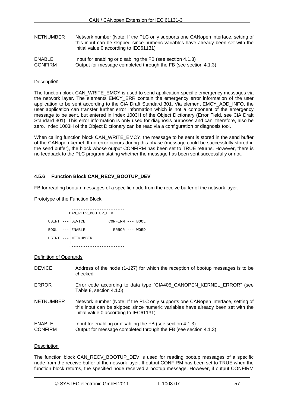| <b>NETNUMBER</b> | Network number (Note: If the PLC only supports one CANopen interface, setting of |
|------------------|----------------------------------------------------------------------------------|
|                  | this input can be skipped since numeric variables have already been set with the |
|                  | initial value 0 according to IEC61131)                                           |
|                  |                                                                                  |

ENABLE Input for enabling or disabling the FB (see section [4.1.3\)](#page-34-0) CONFIRM Output for message completed through the FB (see section [4.1.3\)](#page-34-0)

# **Description**

The function block CAN\_WRITE\_EMCY is used to send application-specific emergency messages via the network layer. The elements EMCY ERR contain the emergency error information of the user application to be sent according to the CIA Draft Standard 301. Via element EMCY ADD INFO, the user application can transfer further error information which is not a component of the emergency message to be sent, but entered in Index 1003H of the Object Dictionary (Error Field, see CiA Draft Standard 301). This error information is only used for diagnosis purposes and can, therefore, also be zero. Index 1003H of the Object Dictionary can be read via a configuration or diagnosis tool.

When calling function block CAN\_WRITE\_EMCY, the message to be sent is stored in the send buffer of the CANopen kernel. If no error occurs during this phase (message could be successfully stored in the send buffer), the block whose output CONFIRM has been set to TRUE returns. However, there is no feedback to the PLC program stating whether the message has been sent successfully or not.

# <span id="page-56-0"></span>**4.5.6 Function Block CAN\_RECV\_BOOTUP\_DEV**

FB for reading bootup messages of a specific node from the receive buffer of the network layer.

# Prototype of the Function Block



# Definition of Operands

| <b>DEVICE</b>                   | Address of the node (1-127) for which the reception of bootup messages is to be<br>checked                                                                                                                     |
|---------------------------------|----------------------------------------------------------------------------------------------------------------------------------------------------------------------------------------------------------------|
| <b>ERROR</b>                    | Error code according to data type "CIA405_CANOPEN_KERNEL_ERROR" (see<br>Table 8, section 4.1.5)                                                                                                                |
| <b>NETNUMBER</b>                | Network number (Note: If the PLC only supports one CANopen interface, setting of<br>this input can be skipped since numeric variables have already been set with the<br>initial value 0 according to IEC61131) |
| <b>ENABLE</b><br><b>CONFIRM</b> | Input for enabling or disabling the FB (see section 4.1.3)<br>Output for message completed through the FB (see section 4.1.3)                                                                                  |

# **Description**

The function block CAN\_RECV\_BOOTUP\_DEV is used for reading bootup messages of a specific node from the receive buffer of the network layer. If output CONFIRM has been set to TRUE when the function block returns, the specified node received a bootup message. However, if output CONFIRM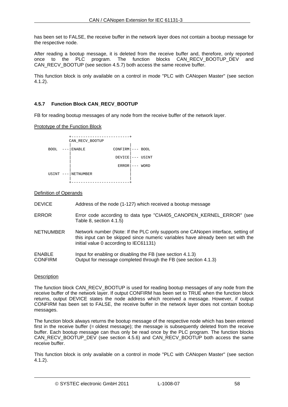has been set to FALSE, the receive buffer in the network layer does not contain a bootup message for the respective node.

After reading a bootup message, it is deleted from the receive buffer and, therefore, only reported once to the PLC program. The function blocks CAN\_RECV\_BOOTUP\_DEV and CAN\_RECV\_BOOTUP (see section [4.5.7](#page-57-0)) both access the same receive buffer.

This function block is only available on a control in mode "PLC with CANopen Master" (see section [4.1.2](#page-33-0)).

# <span id="page-57-0"></span>**4.5.7 Function Block CAN\_RECV\_BOOTUP**

FB for reading bootup messages of any node from the receive buffer of the network layer.

Prototype of the Function Block

![](_page_57_Figure_7.jpeg)

# Definition of Operands

- DEVICE Address of the node (1-127) which received a bootup message
- ERROR **EXAMORE ERROR EXAMORE ERROR** EFFOR code according to data type "CIA405 CANOPEN KERNEL ERROR" (see [Table 8](#page-36-1), section [4.1.5\)](#page-35-0)
- NETNUMBER Network number (Note: If the PLC only supports one CANopen interface, setting of this input can be skipped since numeric variables have already been set with the initial value 0 according to IEC61131)
- ENABLE Input for enabling or disabling the FB (see section [4.1.3\)](#page-34-0) CONFIRM Output for message completed through the FB (see section [4.1.3\)](#page-34-0)

# **Description**

The function block CAN\_RECV\_BOOTUP is used for reading bootup messages of any node from the receive buffer of the network layer. If output CONFIRM has been set to TRUE when the function block returns, output DEVICE states the node address which received a message. However, if output CONFIRM has been set to FALSE, the receive buffer in the network layer does not contain bootup messages.

The function block always returns the bootup message of the respective node which has been entered first in the receive buffer (= oldest message); the message is subsequently deleted from the receive buffer. Each bootup message can thus only be read once by the PLC program. The function blocks CAN\_RECV\_BOOTUP\_DEV (see section [4.5.6](#page-56-0)) and CAN\_RECV\_BOOTUP both access the same receive buffer.

This function block is only available on a control in mode "PLC with CANopen Master" (see section [4.1.2](#page-33-0)).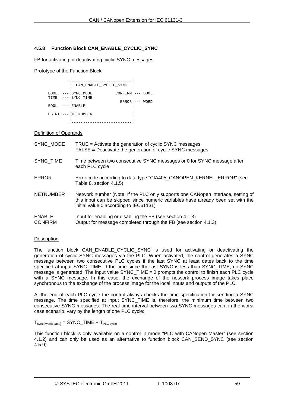# <span id="page-58-0"></span>**4.5.8 Function Block CAN\_ENABLE\_CYCLIC\_SYNC**

FB for activating or deactivating cyclic SYNC messages.

# Prototype of the Function Block

 +--------------------------+ CAN\_ENABLE\_CYCLIC\_SYNC | | BOOL --- SYNC\_MODE CONFIRM --- BOOL<br>TIME --- SYNC\_TIME  $---|$  SYNC\_TIME  $ERROR$   $---$  WORD  $BOOL$  --- ENABLE | | USINT --- NETNUMBER | | +--------------------------+

# Definition of Operands

| SYNC MODE         | $TRUE = Active$ the generation of cyclic SYNC messages<br>FALSE = Deactivate the generation of cyclic SYNC messages                                                                                            |
|-------------------|----------------------------------------------------------------------------------------------------------------------------------------------------------------------------------------------------------------|
| SYNC TIME         | Time between two consecutive SYNC messages or 0 for SYNC message after<br>each PLC cycle                                                                                                                       |
| ERROR             | Error code according to data type "CIA405_CANOPEN_KERNEL_ERROR" (see<br>Table 8, section 4.1.5)                                                                                                                |
| <b>NETNUMBER</b>  | Network number (Note: If the PLC only supports one CANopen interface, setting of<br>this input can be skipped since numeric variables have already been set with the<br>initial value 0 according to IEC61131) |
| ENABLE<br>CONFIRM | Input for enabling or disabling the FB (see section 4.1.3)<br>Output for message completed through the FB (see section 4.1.3)                                                                                  |

### **Description**

The function block CAN\_ENABLE\_CYCLIC\_SYNC is used for activating or deactivating the generation of cyclic SYNC messages via the PLC. When activated, the control generates a SYNC message between two consecutive PLC cycles if the last SYNC at least dates back to the time specified at input SYNC\_TIME. If the time since the last SYNC is less than SYNC\_TIME, no SYNC message is generated. The input value SYNC\_TIME = 0 prompts the control to finish each PLC cycle with a SYNC message. In this case, the exchange of the network process image takes place synchronous to the exchange of the process image for the local inputs and outputs of the PLC.

At the end of each PLC cycle the control always checks the time specification for sending a SYNC message. The time specified at input SYNC\_TIME is, therefore, the minimum time between two consecutive SYNC messages. The real time interval between two SYNC messages can, in the worst case scenario, vary by the length of one PLC cycle:

 $T_{sync [worst case]} = SYNC\_TIME + T_{PLC cycle}$ 

This function block is only available on a control in mode "PLC with CANopen Master" (see section [4.1.2](#page-33-0)) and can only be used as an alternative to function block CAN\_SEND\_SYNC (see section [4.5.9](#page-59-0)).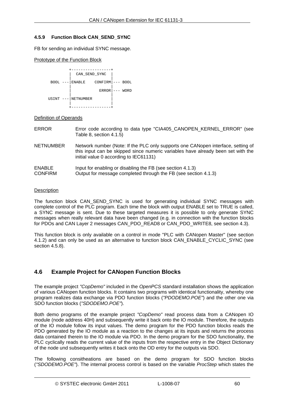# <span id="page-59-0"></span>**4.5.9 Function Block CAN\_SEND\_SYNC**

FB for sending an individual SYNC message.

# Prototype of the Function Block

![](_page_59_Figure_4.jpeg)

# Definition of Operands

| <b>ERROR</b>                    | Error code according to data type "CIA405_CANOPEN_KERNEL_ERROR" (see<br>Table 8, section 4.1.5)                                                                                                                |
|---------------------------------|----------------------------------------------------------------------------------------------------------------------------------------------------------------------------------------------------------------|
| <b>NETNUMBER</b>                | Network number (Note: If the PLC only supports one CANopen interface, setting of<br>this input can be skipped since numeric variables have already been set with the<br>initial value 0 according to IEC61131) |
| <b>ENABLE</b><br><b>CONFIRM</b> | Input for enabling or disabling the FB (see section 4.1.3)<br>Output for message completed through the FB (see section 4.1.3)                                                                                  |

# **Description**

The function block CAN SEND SYNC is used for generating individual SYNC messages with complete control of the PLC program. Each time the block with output ENABLE set to TRUE is called, a SYNC message is sent. Due to these targeted measures it is possible to only generate SYNC messages when really relevant data have been changed (e.g. in connection with the function blocks for PDOs and CAN Layer 2 messages CAN\_PDO\_READ8 or CAN\_PDO\_WRITE8, see section [4.3\)](#page-39-0).

This function block is only available on a control in mode "PLC with CANopen Master" (see section [4.1.2](#page-33-0)) and can only be used as an alternative to function block CAN\_ENABLE\_CYCLIC\_SYNC (see section [4.5.8\)](#page-58-0).

# **4.6 Example Project for CANopen Function Blocks**

The example project *"CopDemo"* included in the *OpenPCS* standard installation shows the application of various CANopen function blocks. It contains two programs with identical functionality, whereby one program realizes data exchange via PDO function blocks (*"PDODEMO.POE"*) and the other one via SDO function blocks (*"SDODEMO.POE"*).

Both demo programs of the example project *"CopDemo"* read process data from a CANopen IO module (node address 40H) and subsequently write it back onto the IO module. Therefore, the outputs of the IO module follow its input values. The demo program for the PDO function blocks reads the PDO generated by the IO module as a reaction to the changes at its inputs and returns the process data contained therein to the IO module via PDO. In the demo program for the SDO functionality, the PLC cyclically reads the current value of the inputs from the respective entry in the Object Dictionary of the node und subsequently writes it back onto the OD entry for the outputs via SDO.

The following consitheations are based on the demo program for SDO function blocks (*"SDODEMO.POE"*). The internal process control is based on the variable *ProcStep* which states the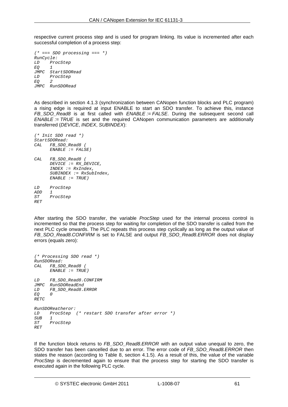respective current process step and is used for program linking. Its value is incremented after each successful completion of a process step:

```
(* === SDO processing === *) 
RunCycle: 
      LD ProcStep 
EQ 1 
      StartSDORead
LD ProcStep 
EQ 2 
JMPC RunSDORead
```
As described in section [4.1.3](#page-34-0) (synchronization between CANopen function blocks and PLC program) a rising edge is required at input ENABLE to start an SDO transfer. To achieve this, instance *FB\_SDO\_Read8* is at first called with *ENABLE := FALSE*. During the subsequent second call *ENABLE := TRUE* is set and the required CANopen communication parameters are additionally transferred (*DEVICE*, *INDEX*, *SUBINDEX*):

```
(* Init SDO read *) 
StartSDORead: 
CAL FB_SDO_Read8 ( 
       ENABLE := FALSE) 
CAL FB_SDO_Read8 ( 
       DEVICE := RX_DEVICE, 
       INDEX := RxIndex, 
       SUBINDEX := RxSubIndex, 
       ENABLE := TRUE) 
LD ProcStep 
ADD 1 
      ProcStepRET
```
After starting the SDO transfer, the variable *ProcStep* used for the internal process control is incremented so that the process step for waiting for completion of the SDO transfer is called from the next PLC cycle onwards. The PLC repeats this process step cyclically as long as the output value of *FB\_SDO\_Read8.CONFIRM* is set to FALSE and output *FB\_SDO\_Read8.ERROR* does not display errors (equals zero):

```
(* Processing SDO read *) 
RunSDORead: 
CAL FB_SDO_Read8 ( 
       ENABLE := TRUE) 
LD FB_SDO_Read8.CONFIRM 
JMPC RunSDOReadEnd 
LD FB_SDO_Read8.ERROR 
EQ 0 
RETC 
RunSDOReatheror: 
LD ProcStep (* restart SDO transfer after error *) 
SUB 1 
      ProcStepRET
```
If the function block returns to *FB\_SDO\_Read8.ERROR* with an output value unequal to zero, the SDO transfer has been cancelled due to an error. The error code of *FB\_SDO\_Read8.ERROR* then states the reason (according to [Table 8,](#page-36-1) section [4.1.5](#page-35-0)). As a result of this, the value of the variable *ProcStep* is decremented again to ensure that the process step for starting the SDO transfer is executed again in the following PLC cycle.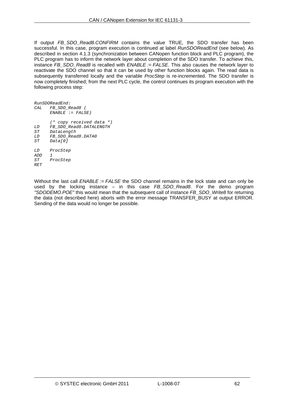If output *FB\_SDO\_Read8.CONFIRM* contains the value TRUE, the SDO transfer has been successful. In this case, program execution is continued at label *RunSDOReadEnd* (see below). As described in section [4.1.3](#page-34-0) (synchronization between CANopen function block and PLC program), the PLC program has to inform the network layer about completion of the SDO transfer. To achieve this, instance *FB\_SDO\_Read8* is recalled with *ENABLE := FALSE*. This also causes the network layer to reactivate the SDO channel so that it can be used by other function blocks again. The read data is subsequently transferred locally and the variable *ProcStep* is re-incremented. The SDO transfer is now completely finished; from the next PLC cycle, the control continues its program execution with the following process step:

*RunSDOReadEnd: CAL FB\_SDO\_Read8 ( ENABLE := FALSE) (\* copy received data \*) LD FB\_SDO\_Read8.DATALENGTH ST DataLength LD FB\_SDO\_Read8.DATA0 ST Data[0] LD ProcStep ADD 1*   $ProcStep$ *RET* 

Without the last call *ENABLE := FALSE* the SDO channel remains in the lock state and can only be used by the locking instance – in this case *FB\_SDO\_Read8*. For the demo program *"SDODEMO.POE"* this would mean that the subsequent call of instance *FB\_SDO\_Write8* for returning the data (not described here) aborts with the error message TRANSFER\_BUSY at output ERROR. Sending of the data would no longer be possible.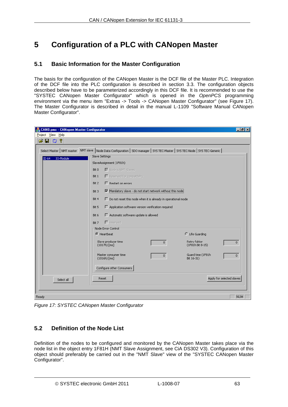# **5 Configuration of a PLC with CANopen Master**

# **5.1 Basic Information for the Master Configuration**

The basis for the configuration of the CANopen Master is the DCF file of the Master PLC. Integration of the DCF file into the PLC configuration is described in section [3.3.](#page-20-0) The configuration objects described below have to be parameterized accordingly in this DCF file. It is recommended to use the "SYSTEC CANopen Master Configurator" which is opened in the *OpenPCS* programming environment via the menu item "Extras -> Tools -> CANopen Master Configurator" (see [Figure 17](#page-62-0)). The Master Configurator is described in detail in the manual L-1109 "Software Manual CANopen Master Configurator".

| <b>CANO.pmc - CANopen Master Configurator</b> |                                                                                                     | $  B  \times$ |
|-----------------------------------------------|-----------------------------------------------------------------------------------------------------|---------------|
| Project View Help                             |                                                                                                     |               |
| c li<br>C <sub>1</sub><br>?                   |                                                                                                     |               |
| Select Master   NMT master                    | MMT slave   Node Data Configuration   SDO manager   SYS TEC-Master   SYS TEC-Node   SYS TEC-Generic |               |
| IO-Module<br>ID 64                            | Slave Settings                                                                                      |               |
|                                               | SlaveAssignment (1F81h)                                                                             |               |
|                                               | ■ Node is NMT-Slaves<br>Bit 0                                                                       |               |
|                                               | Bit 1<br>□ Reserved for compatibility                                                               |               |
|                                               | $\Gamma$ Restart on errors<br>Bit 2                                                                 |               |
|                                               | √ Mandatory slave - do not start network without this node<br>Bit 3                                 |               |
|                                               | Bit 4<br>$\Box$ Do not reset this node when it is already in operational mode                       |               |
|                                               | □ Application software version verification required<br>Bit 5                                       |               |
|                                               | □ Automatic software update is allowed<br>Bit 6                                                     |               |
|                                               | $\Gamma$ reserved<br>Bit 7                                                                          |               |
|                                               | Node Error Control                                                                                  |               |
|                                               | G Heartbeat<br>C Life Guarding                                                                      |               |
|                                               | Slave producer time<br>Retry faktor<br>$\overline{0}$<br>$(1017h)$ [ms]<br>(1F81h Bit 8-15)         | $\mathbf{0}$  |
|                                               | Master consumer time<br>Guard time (1F81h<br>$\overline{0}$<br>$(1016h)$ [ms]<br>Bit 16-31)         | $\mathbf{0}$  |
|                                               | Configure other Consumers                                                                           |               |
| Select all                                    | Apply for selected slaves<br>Reset                                                                  |               |
|                                               |                                                                                                     |               |
| Ready                                         |                                                                                                     | NUM           |

<span id="page-62-0"></span>*Figure 17: SYSTEC CANopen Master Configurator* 

# **5.2 Definition of the Node List**

Definition of the nodes to be configured and monitored by the CANopen Master takes place via the node list in the object entry 1F81H (NMT Slave Assignment, see CiA DS302 V3). Configuration of this object should preferably be carried out in the "NMT Slave" view of the "SYSTEC CANopen Master Configurator".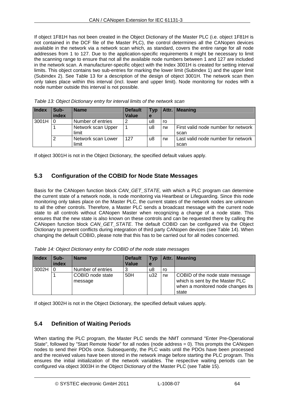If object 1F81H has not been created in the Object Dictionary of the Master PLC (i.e. object 1F81H is not contained in the DCF file of the Master PLC), the control determines all the CANopen devices available in the network via a network scan which, as standard, covers the entire range for all node addresses from 1 to 127. Due to the application-specific requirements it might be necessary to limit the scanning range to ensure that not all the available node numbers between 1 and 127 are included in the network scan. A manufacturer-specific object with the Index 3001H is created for setting interval limits. This object contains two sub-entries for marking the lower limit (Subindex 1) and the upper limit (Subindex 2). See [Table 13](#page-63-0) for a description of the design of object 3001H. The network scan then only takes place within this interval (incl. lower and upper limit). Node monitoring for nodes with a node number outside this interval is not possible.

<span id="page-63-0"></span>

| <b>Index</b> | Sub-<br>index | <b>Name</b>                 | <b>Default</b><br>Value | <b>Typ</b><br>e |    | Attr.   Meaning                             |
|--------------|---------------|-----------------------------|-------------------------|-----------------|----|---------------------------------------------|
| 3001H        | 0             | Number of entries           |                         | u8              | ro |                                             |
|              |               | Network scan Upper<br>limit |                         | u8              | rw | First valid node number for network<br>scan |
|              | 2             | Network scan Lower<br>limit | 127                     | u8              | rw | Last valid node number for network<br>scan  |

*Table 13: Object Dictionary entry for interval limits of the network scan* 

If object 3001H is not in the Object Dictionary, the specified default values apply.

# **5.3 Configuration of the COBID for Node State Messages**

Basis for the CANopen function block *CAN\_GET\_STATE,* with which a PLC program can determine the current state of a network node, is node monitoring via Heartbeat or Lifeguarding. Since this node monitoring only takes place on the Master PLC, the current states of the network nodes are unknown to all the other controls. Therefore, a Master PLC sends a broadcast message with the current node state to all controls without CANopen Master when recognizing a change of a node state. This ensures that the new state is also known on these controls and can be requested there by calling the CANopen function block *CAN\_GET\_STATE*. The default COBID can be configured via the Object Dictionary to prevent conflicts during integration of third party CANopen devices (see [Table 14](#page-63-1)). When changing the default COBID, please note that this has to be carried out for all nodes concerned.

|  | Table 14: Object Dictionary entry for COBID of the node state messages |  |
|--|------------------------------------------------------------------------|--|
|  |                                                                        |  |

<span id="page-63-1"></span>

| Index | Sub-<br>index | <b>Name</b>                 | <b>Default</b><br>Value | Tvp<br>e |    | <b>Attr. Meaning</b>                                                                                             |
|-------|---------------|-----------------------------|-------------------------|----------|----|------------------------------------------------------------------------------------------------------------------|
| 3002H | 10            | Number of entries           | າ                       | u8       | ro |                                                                                                                  |
|       |               | COBID node state<br>message | 50H                     | u32      | rw | COBID of the node state message<br>which is sent by the Master PLC<br>when a monitored node changes its<br>state |

If object 3002H is not in the Object Dictionary, the specified default values apply.

# **5.4 Definition of Waiting Periods**

When starting the PLC program, the Master PLC sends the NMT command "Enter Pre-Operational State", followed by "Start Remote Node" for all nodes (node address = 0). This prompts the CANopen nodes to send their PDOs once. Subsequently, the PLC waits until the PDOs have been processed and the received values have been stored in the network image before starting the PLC program. This ensures the initial initialization of the network variables. The respective waiting periods can be configured via object 3003H in the Object Dictionary of the Master PLC (see [Table 15\)](#page-64-0).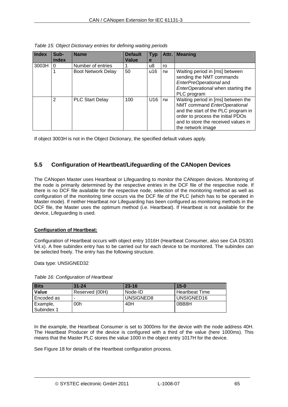<span id="page-64-0"></span>

| Index | Sub-<br>index  | <b>Name</b>               | <b>Default</b><br>Value | <b>Typ</b><br>e |    | Attr.   Meaning                                                                                                                                                                                            |
|-------|----------------|---------------------------|-------------------------|-----------------|----|------------------------------------------------------------------------------------------------------------------------------------------------------------------------------------------------------------|
| 3003H | 0              | Number of entries         |                         | u8              | ro |                                                                                                                                                                                                            |
|       |                | <b>Boot Network Delay</b> | 50                      | u16             | rw | Waiting period in [ms] between<br>sending the NMT commands<br>EnterPreOperational and<br>EnterOperational when starting the<br>PLC program                                                                 |
|       | $\overline{2}$ | <b>PLC Start Delay</b>    | 100                     | U16             | rw | Waiting period in [ms] between the<br>NMT command EnterOperational<br>and the start of the PLC program in<br>order to process the initial PDOs<br>and to store the received values in<br>the network image |

| Table 15: Object Dictionary entries for defining waiting periods |  |  |  |
|------------------------------------------------------------------|--|--|--|
|                                                                  |  |  |  |

If object 3003H is not in the Object Dictionary, the specified default values apply.

# **5.5 Configuration of Heartbeat/Lifeguarding of the CANopen Devices**

The CANopen Master uses Heartbeat or Lifeguarding to monitor the CANopen devices. Monitoring of the node is primarily determined by the respective entries in the DCF file of the respective node. If there is no DCF file available for the respective node, selection of the monitoring method as well as configuration of the monitoring time occurs via the DCF file of the PLC (which has to be operated in Master mode). If neither Heartbeat nor Lifeguarding has been configured as monitoring methods in the DCF file, the Master uses the optimum method (i.e. Heartbeat). If Heartbeat is not available for the device, Lifeguarding is used.

# **Configuration of Heartbeat:**

Configuration of Heartbeat occurs with object entry 1016H (Heartbeat Consumer, also see CiA DS301 V4.x). A free subindex entry has to be carried out for each device to be monitored. The subindex can be selected freely. The entry has the following structure.

Data type: UNSIGNED32

| Table 16: Configuration of Heartbeat |  |
|--------------------------------------|--|
|--------------------------------------|--|

| <b>Bits</b>  | $31 - 24$      | $23 - 16$ | $15 - 0$         |
|--------------|----------------|-----------|------------------|
| <b>Value</b> | Reserved (00H) | Node-ID   | l Heartbeat Time |
| Encoded as   |                | UNSIGNED8 | UNSIGNED16       |
| Example,     | 00h            | 40H       | 0BB8H            |
| Subindex 1   |                |           |                  |

In the example, the Heartbeat Consumer is set to 3000ms for the device with the node address 40H. The Heartbeat Producer of the device is configured with a third of the value (here 1000ms). This means that the Master PLC stores the value 1000 in the object entry 1017H for the device.

See [Figure 18](#page-66-0) for details of the Heartbeat configuration process.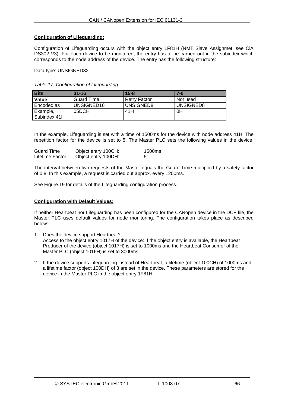# **Configuration of Lifeguarding:**

Configuration of Lifeguarding occurs with the object entry 1F81H (NMT Slave Assignmet, see CiA DS302 V3). For each device to be monitored, the entry has to be carried out in the subindex which corresponds to the node address of the device. The entry has the following structure:

Data type: UNSIGNED32

### *Table 17: Configuration of Lifeguarding*

| <b>Bits</b>  | $31 - 16$         | $15 - 8$            | $7 - 0$   |
|--------------|-------------------|---------------------|-----------|
| Value        | <b>Guard Time</b> | <b>Retry Factor</b> | Not used  |
| Encoded as   | UNSIGNED16        | UNSIGNED8           | UNSIGNED8 |
| Example,     | 05DCH             | 41H                 | 0H        |
| Subindex 41H |                   |                     |           |

In the example, Lifeguarding is set with a time of 1500ms for the device with node address 41H. The repetition factor for the device is set to 5. The Master PLC sets the following values in the device:

| <b>Guard Time</b> | Object entry 100CH: | 1500ms |
|-------------------|---------------------|--------|
| Lifetime Factor   | Object entry 100DH: |        |

The interval between two requests of the Master equals the Guard Time multiplied by a safety factor of 0.8. In this example, a request is carried out approx. every 1200ms.

See [Figure 19](#page-66-1) for details of the Lifeguarding configuration process.

# **Configuration with Default Values:**

If neither Heartbeat nor Lifeguarding has been configured for the CANopen device in the DCF file, the Master PLC uses default values for node monitoring. The configuration takes place as described below:

- 1. Does the device support Heartbeat? Access to the object entry 1017H of the device: If the object entry is available, the Heartbeat Producer of the device (object 1017H) is set to 1000ms and the Heartbeat Consumer of the Master PLC (object 1016H) is set to 3000ms.
- 2. If the device supports Lifeguarding instead of Heartbeat, a lifetime (object 100CH) of 1000ms and a lifetime factor (object 100DH) of 3 are set in the device. These parameters are stored for the device in the Master PLC in the object entry 1F81H.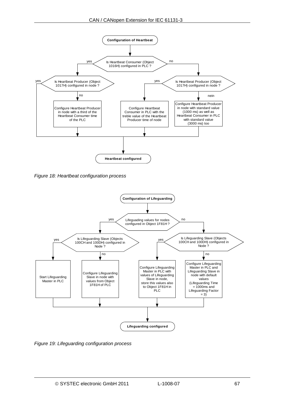![](_page_66_Figure_1.jpeg)

*Figure 18: Heartbeat configuration process* 

<span id="page-66-0"></span>![](_page_66_Figure_3.jpeg)

<span id="page-66-1"></span>*Figure 19: Lifeguarding configuration process*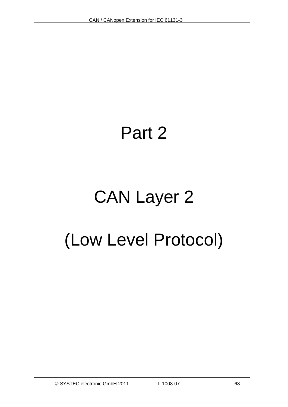# Part 2

# CAN Layer 2 (Low Level Protocol)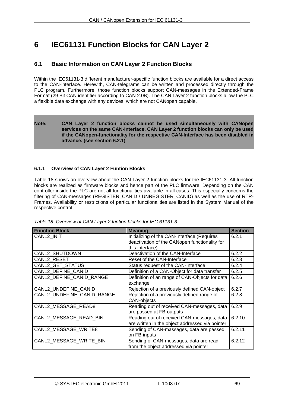# <span id="page-68-0"></span>**6 IEC61131 Function Blocks for CAN Layer 2**

# **6.1 Basic Information on CAN Layer 2 Function Blocks**

Within the IEC61131-3 different manufacturer-specific function blocks are available for a direct access to the CAN-interface. Herewith, CAN-telegrams can be written and processed directly through the PLC program. Furthermore, those function blocks support CAN-messages in the Extended-Frame Format (29 Bit CAN identifier according to CAN 2.0B). The CAN Layer 2 function blocks allow the PLC a flexible data exchange with any devices, which are not CANopen capable.

# **Note: CAN Layer 2 function blocks cannot be used simultaneously with CANopen services on the same CAN-Interface. CAN Layer 2 function blocks can only be used if the CANopen-functionality for the respective CAN-Interface has been disabled in advance. (see section [6.2.1](#page-70-0))**

# **6.1.1 Overview of CAN Layer 2 Funtion Blocks**

[Table 18](#page-68-1) shows an overview about the CAN Layer 2 function blocks for the IEC61131-3. All function blocks are realized as firmware blocks and hence part of the PLC firmware. Depending on the CAN controller inside the PLC are not all functionalities available in all cases. This especially concerns the filtering of CAN-messages (REGISTER\_CANID / UNREGISTER\_CANID) as well as the use of RTR-Frames. Availability or restrictions of particular functionalities are listed in the System Manual of the respective control.

<span id="page-68-1"></span>

| <b>Function Block</b>      | <b>Meaning</b>                                  | <b>Section</b> |
|----------------------------|-------------------------------------------------|----------------|
| CANL2 INIT                 | Initializing of the CAN-Interface (Requires     | 6.2.1          |
|                            | deactivation of the CANopen functionality for   |                |
|                            | this interface)                                 |                |
| CANL2 SHUTDOWN             | Deactivation of the CAN-Interface               | 6.2.2          |
| CANL2_RESET                | Reset of the CAN-Interface                      | 6.2.3          |
| CANL2 GET STATUS           | Status request of the CAN-Interface             | 6.2.4          |
| CANL2 DEFINE CANID         | Definition of a CAN-Object for data transfer    | 6.2.5          |
| CANL2 DEFINE CANID RANGE   | Definition of an range of CAN-Objects for data  | 6.2.6          |
|                            | exchange                                        |                |
| CANL2 UNDEFINE CANID       | Rejection of a previously defined CAN-object    | 6.2.7          |
| CANL2 UNDEFINE CANID RANGE | Rejection of a previously defined range of      | 6.2.8          |
|                            | CAN-objects                                     |                |
| CANL2_MESSAGE_READ8        | Reading out of received CAN-messages, data      | 6.2.9          |
|                            | are passed at FB-outputs                        |                |
| CANL2 MESSAGE READ BIN     | Reading out of received CAN-messages, data      | 6.2.10         |
|                            | are written in the object addressed via pointer |                |
| CANL2_MESSAGE_WRITE8       | Sending of CAN-massages, data are passed        | 6.2.11         |
|                            | on FB-inputs                                    |                |
| CANL2 MESSAGE WRITE BIN    | Sending of CAN-messages, data are read          | 6.2.12         |
|                            | from the object addressed via pointer           |                |

*Table 18: Overview of CAN Layer 2 funtion blocks for IEC 61131-3*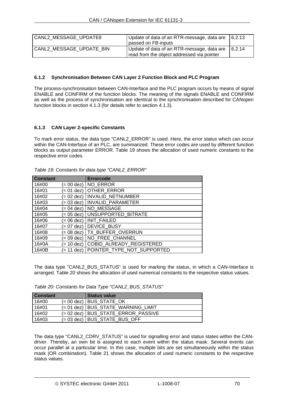| CANL2 MESSAGE UPDATE8    | Update of data of an RTR-message, data are $\vert$ 6.2.13 |         |
|--------------------------|-----------------------------------------------------------|---------|
|                          | passed on FB-inputs                                       |         |
| CANL2 MESSAGE UPDATE BIN | Update of data of an RTR-message, data are                | 16.2.14 |
|                          | read from the object addressed via pointer                |         |

# <span id="page-69-3"></span>**6.1.2 Synchronisation Between CAN Layer 2 Function Block and PLC Program**

The process-synchronisation between CAN-Interface and the PLC program occurs by means of signal ENABLE and CONFIRM of the function blocks. The meaning of the signals ENABLE and CONFIRM as well as the process of synchronisation are identical to the synchronisation described for CANopen function blocks in section [4.1.3](#page-34-0) (for details refer to section [4.1.3\)](#page-34-0).

# <span id="page-69-2"></span>**6.1.3 CAN Layer 2-specific Constants**

To mark error status, the data type "CANL2\_ERROR" is used. Here, the error status which can occur within the CAN-Interface of an PLC, are summarized. These error codes are used by different function blocks as output parameter ERROR. [Table 19](#page-69-0) shows the allocation of used numeric constants to the respective error codes.

<span id="page-69-0"></span>

| <b>Constant</b> |              | <b>Errorcode</b>                 |
|-----------------|--------------|----------------------------------|
| 16#00           |              | $= 00$ dez) $\vert$ NO ERROR     |
| 16#01           |              | $(= 01 \text{ dez})$ OTHER ERROR |
| 16#02           | (= 02 dez)   | INVALID NETNUMBER                |
| 16#03           |              |                                  |
| 16#04           |              | $= 04$ dez) NO MESSAGE           |
| 16#05           |              | (= 05 dez)   UNSUPPORTED BITRATE |
| 16#06           |              | (= 06 dez)   INIT_FAILED         |
| 16#07           |              |                                  |
| 16#08           | $= 08$ dez)  | TX BUFFER OVERRUN                |
| 16#09           | $(= 09$ dez) | NO FREE CHANNEL                  |
| 16#0A           | $= 10$ dez)  | COBID_ALREADY_REGISTERED         |
| 16#0B           | (= 11 dez)   | POINTER TYPE NOT SUPPORTED       |

*Table 19: Constants for data type "CANL2\_ERROR"* 

The data type "CANL2\_BUS\_STATUS" is used for marking the status, in which a CAN-Interface is arranged. [Table 20](#page-69-1) shows the allocation of used numerical constants to the respective status values.

*Table 20: Constants for Data Type "CANL2\_BUS\_STATUS"* 

<span id="page-69-1"></span>

| <b>Constant</b> | <b>Status value</b>                  |
|-----------------|--------------------------------------|
| 16#00           | (= 00 dez)   BUS STATE OK            |
| 16#01           | (= 01 dez)   BUS_STATE_WARNING_LIMIT |
| 16#02           | (= 02 dez)   BUS STATE ERROR PASSIVE |
| 16#03           |                                      |

The data type "CANL2\_CDRV\_STATUS" is used for signalling error and status states within the CANdriver. Thereby, an own bit is assigned to each event within the status mask. Several events can occur parallel at a particular time. In this case, multiple bits are set simultaneously within the status mask (OR combination). [Table 21](#page-70-1) shows the allocation of used numeric constants to the respective status values.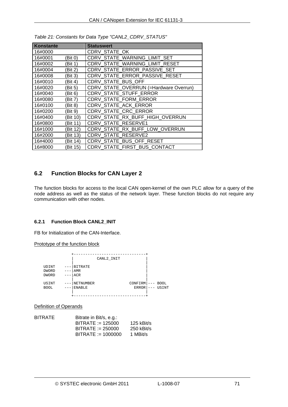<span id="page-70-1"></span>

| Konstante |          | <b>Statuswert</b>                      |
|-----------|----------|----------------------------------------|
| 16#0000   |          | <b>CDRV STATE OK</b>                   |
| 16#0001   | (Bit 0)  | CDRV STATE WARNING LIMIT SET           |
| 16#0002   | (Bit 1)  | CDRV STATE_WARNING_LIMIT_RESET         |
| 16#0004   | (Bit 2)  | CDRV STATE ERROR PASSIVE SET           |
| 16#0008   | (Bit 3)  | CDRV STATE ERROR PASSIVE RESET         |
| 16#0010   | (Bit 4)  | <b>CDRV STATE BUS OFF</b>              |
| 16#0020   | (Bit 5)  | CDRV STATE OVERRUN (=Hardware Overrun) |
| 16#0040   | (Bit 6)  | <b>CDRV STATE STUFF ERROR</b>          |
| 16#0080   | 'Bit 7)  | <b>CDRV STATE FORM ERROR</b>           |
| 16#0100   | 'Bit 8)  | <b>CDRV STATE ACK ERROR</b>            |
| 16#0200   | (Bit 9)  | <b>CDRV STATE CRC ERROR</b>            |
| 16#0400   | (Bit 10) | CDRV STATE RX BUFF HIGH OVERRUN        |
| 16#0800   | (Bit 11) | <b>CDRV STATE RESERVE1</b>             |
| 16#1000   | (Bit 12) | CDRV STATE RX BUFF LOW OVERRUN         |
| 16#2000   | (Bit 13) | <b>CDRV STATE RESERVE2</b>             |
| 16#4000   | (Bit 14) | CDRV STATE_BUS_OFF_RESET               |
| 16#8000   | (Bit 15) | CDRV STATE FIRST BUS CONTACT           |

| Table 21: Constants for Data Type "CANL2_CDRV_STATUS" |  |  |
|-------------------------------------------------------|--|--|
|                                                       |  |  |

# **6.2 Function Blocks for CAN Layer 2**

The function blocks for access to the local CAN open-kernel of the own PLC allow for a query of the node address as well as the status of the network layer. These function blocks do not require any communication with other nodes.

# <span id="page-70-0"></span>**6.2.1 Function Block CANL2\_INIT**

FB for Initialization of the CAN-Interface.

Prototype of the function block

|                                                | CANL2_INIT                   |                         |                      |
|------------------------------------------------|------------------------------|-------------------------|----------------------|
| UDINT<br><b>DWORD</b><br>$---$<br><b>DWORD</b> | <b>BITRATE</b><br>AMR<br>ACR |                         |                      |
| USINT<br><b>BOOL</b><br>---                    | NETNUMBER<br><b>ENABLE</b>   | CONFIRM<br><b>ERROR</b> | <b>BOOL</b><br>USINT |

Definition of Operands

| BITRATE | Bitrate in Bit/s, e.g.: |              |
|---------|-------------------------|--------------|
|         | $BITRATE := 125000$     | $125$ kBit/s |
|         | $BITRATE := 250000$     | $250$ kBit/s |
|         | $BITRATE := 1000000$    | 1 MBit/s     |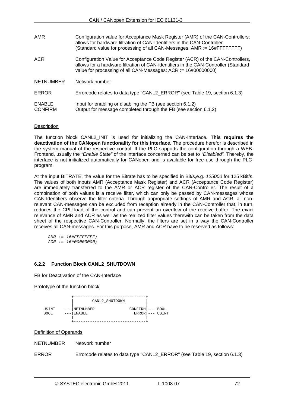| AMR                             | Configuration value for Acceptance Mask Register (AMR) of the CAN-Controllers;<br>allows for hardware filtration of CAN-Identifiers in the CAN-Controller<br>(Standard value for processing of all CAN-Messages: AMR := 16#FFFFFFFF)     |
|---------------------------------|------------------------------------------------------------------------------------------------------------------------------------------------------------------------------------------------------------------------------------------|
| <b>ACR</b>                      | Configuration Value for Acceptance Code Register (ACR) of the CAN-Controllers,<br>allows for a hardware filtration of CAN-identifiers in the CAN-Controller (Standard<br>value for processing of all CAN-Messages: $ACR := 16\#00000000$ |
| <b>NETNUMBER</b>                | Network number                                                                                                                                                                                                                           |
| <b>ERROR</b>                    | Errorcode relates to data type "CANL2_ERROR" (see Table 19, section 6.1.3)                                                                                                                                                               |
| <b>ENABLE</b><br><b>CONFIRM</b> | Input for enabling or disabling the FB (see section 6.1.2)<br>Output for message completed through the FB (see section 6.1.2)                                                                                                            |

### **Description**

The function block CANL2\_INIT is used for initializing the CAN-Interface. **This requires the deactivation of the CANopen functionality for this interface.** The procedure herefor is described in the system manual of the respective control. If the PLC supports the configuration through a WEB-Frontend, usually the *"Enable State"* of the interface concerned can be set to *"Disabled".* Thereby, the interface is not initialized automatically for CANopen and is available for free use through the PLCprogram.

At the input BITRATE, the value for the Bitrate has to be specified in Bit/s,e.g. *125000* for 125 kBit/s. The values of both inputs AMR (Acceptance Mask Register) and ACR (Acceptance Code Register) are immediately transferred to the AMR or ACR register of the CAN-Controller. The result of a combination of both values is a receive filter, which can only be passed by CAN-messages whose CAN-Identifiers observe the filter criteria. Through appropriate settings of AMR and ACR, all nonrelevant CAN-messages can be excluded from reception already in the CAN-Controller that, in turn, reduces the CPU-load of the control and can prevent an overflow of the receive buffer. The exact relevance of AMR and ACR as well as the realized filter values therewith can be taken from the data sheet of the respective CAN-Controller. Normally, the filters are set in a way the CAN-Controller receives all CAN-messages. For this purpose, AMR and ACR have to be reserved as follows:

*AMR := 16#FFFFFFFF; ACR := 16#00000000;* 

### <span id="page-71-0"></span>**6.2.2 Function Block CANL2\_SHUTDOWN**

FB for Deactivation of the CAN-Interface

### Prototype of the function block

|                      | CANL2 SHUTDOWN      |                               |             |
|----------------------|---------------------|-------------------------------|-------------|
|                      |                     |                               |             |
| USINT<br><b>BOOL</b> | NETNUMBER<br>ENABLE | $CONFIRM$ $---$ BOOL<br>ERROR | $---$ USINT |

Definition of Operands

NETNUMBER Network number

ERROR Errorcode relates to data type "CANL2\_ERROR" (see [Table 19](#page-69-0), section [6.1.3](#page-69-2))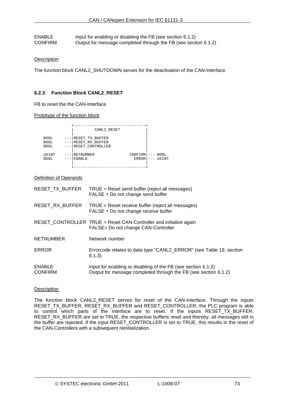| ENABLE         | Input for enabling or disabling the FB (see section 6.1.2)      |
|----------------|-----------------------------------------------------------------|
| <b>CONFIRM</b> | Output for message completed through the FB (see section 6.1.2) |

The function block CANL2\_SHUTDOWN serves for the deactivation of the CAN-Interface.

## **6.2.3 Function Block CANL2\_RESET**

FB to reset the the CAN-Interface

#### Prototype of the function block

|                                           | CANL2 RESET                                            |                         |                      |
|-------------------------------------------|--------------------------------------------------------|-------------------------|----------------------|
| <b>BOOL</b><br><b>BOOL</b><br><b>BOOL</b> | RESET_TX_BUFFER<br>RESET RX BUFFER<br>RESET CONTROLLER |                         |                      |
| USINT<br><b>BOOL</b>                      | NETNUMBER<br><b>ENABLE</b>                             | CONFIRM<br><b>ERROR</b> | <b>BOOL</b><br>USINT |

#### Definition of Operands

| RESET_TX_BUFFER                 | $TRUE =$ Reset send buffer (reject all messages)<br>$FALSE = Do$ not change send buffer                                          |
|---------------------------------|----------------------------------------------------------------------------------------------------------------------------------|
| RESET RX BUFFER                 | TRUE = Reset receive buffer (reject all messages)<br>$FALSE = Do$ not change receive buffer                                      |
|                                 | RESET_CONTROLLER TRUE = Reset CAN-Controller and initialize again<br>FALSE= Do not change CAN-Controller                         |
| <b>NETNUMBER</b>                | Network number                                                                                                                   |
| <b>ERROR</b>                    | Errorcode relates to data type "CANL2_ERROR" (see Table 19, section<br>6.1.3)                                                    |
| <b>ENABLE</b><br><b>CONFIRM</b> | Input for enabling or disabling of the FB (see section 6.1.2)<br>Output for message completed through the FB (see section 6.1.2) |

#### **Description**

The function block CANL2\_RESET serves for reset of the CAN-Interface. Through the inputs RESET\_TX\_BUFFER, RESET\_RX\_BUFFER and RESET\_CONTROLLER, the PLC program is able to control which parts of the interface are to reset. If the inputs RESET\_TX\_BUFFER, RESET\_RX\_BUFFER are set to TRUE, the respective bufferis reset and thereby, all messages still in the buffer are rejected. If the input RESET\_CONTROLLER is set to TRUE, this results in the reset of the CAN-Controllers with a subsequent reinitialization.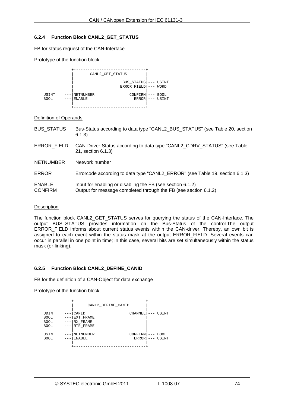## **6.2.4 Function Block CANL2\_GET\_STATUS**

FB for status request of the CAN-Interface

## Prototype of the function block



Definition of Operands

| <b>BUS STATUS</b>               | Bus-Status according to data type "CANL2_BUS_STATUS" (see Table 20, section<br>6.1.3)                                         |
|---------------------------------|-------------------------------------------------------------------------------------------------------------------------------|
| ERROR_FIELD                     | CAN-Driver-Status according to data type "CANL2_CDRV_STATUS" (see Table<br>21, section 6.1.3)                                 |
| <b>NETNUMBER</b>                | Network number                                                                                                                |
| <b>ERROR</b>                    | Errorcode according to data type "CANL2_ERROR" (see Table 19, section 6.1.3)                                                  |
| <b>ENABLE</b><br><b>CONFIRM</b> | Input for enabling or disabling the FB (see section 6.1.2)<br>Output for message completed through the FB (see section 6.1.2) |

## **Description**

The function block CANL2 GET STATUS serves for querying the status of the CAN-Interface. The output BUS\_STATUS provides information on the Bus-Status of the control.The output ERROR\_FIELD informs about current status events within the CAN-driver. Thereby, an own bit is assigned to each event within the status mask at the output ERROR FIELD. Several events can occur in parallel in one point in time; in this case, several bits are set simultaneously within the status mask (or-linking).

## **6.2.5 Function Block CANL2\_DEFINE\_CANID**

FB for the definition of a CAN-Object for data exchange

#### Prototype of the function block

|                                                    | CANL2_DEFINE_CANID                          |                         |                      |
|----------------------------------------------------|---------------------------------------------|-------------------------|----------------------|
| UDINT<br><b>BOOL</b><br><b>BOOL</b><br><b>BOOL</b> | CANID<br>EXT FRAME<br>RX FRAME<br>RTR FRAME | CHANNEL                 | USINT                |
| USINT<br><b>BOOL</b>                               | NETNUMBER<br><b>ENABLE</b>                  | CONFIRM<br><b>ERROR</b> | <b>BOOL</b><br>USINT |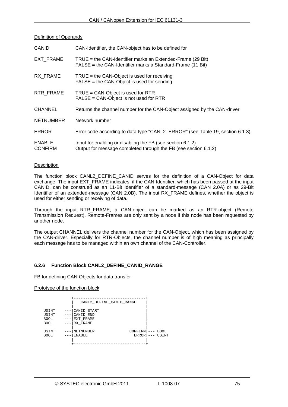## Definition of Operands

| <b>CANID</b>                    | CAN-Identifier, the CAN-object has to be defined for                                                                          |
|---------------------------------|-------------------------------------------------------------------------------------------------------------------------------|
| <b>EXT FRAME</b>                | TRUE = the CAN-Identifier marks an Extended-Frame (29 Bit)<br>$FALSE = the CAN-Identity marks a Standard-Frame (11 Bit)$      |
| RX FRAME                        | $TRUE =$ the CAN-Object is used for receiving<br>$FALSE = the CAN-Object$ is used for sending                                 |
| RTR FRAME                       | $TRUE = CAN-Object$ is used for RTR<br>FALSE = CAN-Object is not used for RTR                                                 |
| <b>CHANNEL</b>                  | Returns the channel number for the CAN-Object assigned by the CAN-driver                                                      |
| <b>NETNUMBER</b>                | Network number                                                                                                                |
| <b>ERROR</b>                    | Error code according to data type "CANL2_ERROR" (see Table 19, section 6.1.3)                                                 |
| <b>ENABLE</b><br><b>CONFIRM</b> | Input for enabling or disabling the FB (see section 6.1.2)<br>Output for message completed through the FB (see section 6.1.2) |

#### **Description**

The function block CANL2\_DEFINE\_CANID serves for the definition of a CAN-Object for data exchange. The input EXT\_FRAME indicates, if the CAN-Identifier, which has been passed at the input CANID, can be construed as an 11-Bit Identifier of a standard-message (CAN 2.0A) or as 29-Bit Identifier of an extended-message (CAN 2.0B). The input RX\_FRAME defines, whether the object is used for either sending or receiving of data.

Through the input RTR\_FRAME, a CAN-object can be marked as an RTR-object (Remote Transmission Request). Remote-Frames are only sent by a node if this node has been requested by another node.

The output CHANNEL delivers the channel number for the CAN-Object, which has been assigned by the CAN-driver. Especially for RTR-Objects, the channel number is of high meaning as principally each message has to be managed within an own channel of the CAN-Controller.

# **6.2.6 Function Block CANL2\_DEFINE\_CANID\_RANGE**

FB for defining CAN-Objects for data transfer

Prototype of the function block

|                                              | CANL2 DEFINE CANID RANGE                          |                         |                      |
|----------------------------------------------|---------------------------------------------------|-------------------------|----------------------|
| UDINT<br>UDINT<br><b>BOOL</b><br><b>BOOL</b> | CANID START<br>CANID_END<br>EXT FRAME<br>RX FRAME |                         |                      |
| USINT<br><b>BOOL</b>                         | NETNUMBER<br><b>ENABLE</b>                        | CONFIRM<br><b>ERROR</b> | <b>BOOL</b><br>USINT |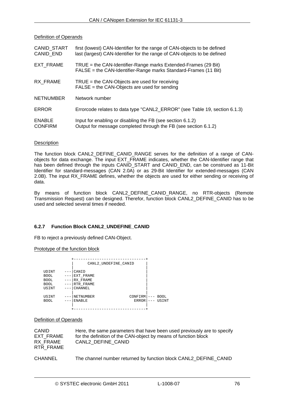Definition of Operands

| CANID START<br>CANID END        | first (lowest) CAN-Identifier for the range of CAN-objects to be defined<br>last (largest) CAN-Identifier for the range of CAN-objects to be defined |
|---------------------------------|------------------------------------------------------------------------------------------------------------------------------------------------------|
| EXT FRAME                       | TRUE = the CAN-Identifier-Range marks Extended-Frames (29 Bit)<br>FALSE = the CAN-Identifier-Range marks Standard-Frames (11 Bit)                    |
| RX FRAME                        | $TRUE =$ the CAN-Objects are used for receiving<br>$FALSE = the CAN-Objects$ are used for sending                                                    |
| <b>NETNUMBER</b>                | Network number                                                                                                                                       |
| <b>ERROR</b>                    | Errorcode relates to data type "CANL2_ERROR" (see Table 19, section 6.1.3)                                                                           |
| <b>ENABLE</b><br><b>CONFIRM</b> | Input for enabling or disabling the FB (see section 6.1.2)<br>Output for message completed through the FB (see section 6.1.2)                        |

## **Description**

The function block CANL2\_DEFINE\_CANID\_RANGE serves for the definition of a range of CANobjects for data exchange. The input EXT\_FRAME indicates, whether the CAN-Identifier range that has been defined through the inputs CANID\_START and CANID\_END, can be construed as 11-Bit Identifier for standard-messages (CAN 2.0A) or as 29-Bit Identifier for extended-messages (CAN 2.0B). The input RX\_FRAME defines, whether the objects are used for either sending or receiving of data.

By means of function block CANL2\_DEFINE\_CANID\_RANGE, no RTR-objects (Remote Transmission Request) can be designed. Therefor, function block CANL2\_DEFINE\_CANID has to be used and selected several times if needed.

# **6.2.7 Function Block CANL2\_UNDEFINE\_CANID**

FB to reject a previously defined CAN-Object.

## Prototype of the function block

|                                                             | CANL2 UNDEFINE CANID                                   |                         |                      |
|-------------------------------------------------------------|--------------------------------------------------------|-------------------------|----------------------|
| UDINT<br><b>BOOL</b><br><b>BOOL</b><br><b>BOOL</b><br>USINT | CANID<br>EXT FRAME<br>RX FRAME<br>RTR FRAME<br>CHANNEL |                         |                      |
| USINT<br><b>BOOL</b>                                        | NETNUMBER<br><b>ENABLE</b>                             | CONFIRM<br><b>ERROR</b> | <b>BOOL</b><br>USINT |

## Definition of Operands

| for the definition of the CAN-object by means of function block<br>EXT FRAME<br>RX FRAME<br>CANL2 DEFINE CANID<br>RTR FRAME | CANID. | Here, the same parameters that have been used previously are to specify |
|-----------------------------------------------------------------------------------------------------------------------------|--------|-------------------------------------------------------------------------|
|-----------------------------------------------------------------------------------------------------------------------------|--------|-------------------------------------------------------------------------|

CHANNEL The channel number returned by function block CANL2\_DEFINE\_CANID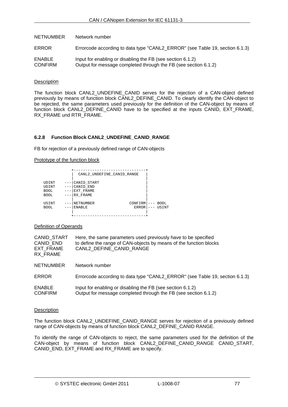| <b>NETNUMBER</b>                | Network number                                                                                                                |
|---------------------------------|-------------------------------------------------------------------------------------------------------------------------------|
| <b>ERROR</b>                    | Errorcode according to data type "CANL2 ERROR" (see Table 19, section 6.1.3)                                                  |
| <b>ENABLE</b><br><b>CONFIRM</b> | Input for enabling or disabling the FB (see section 6.1.2)<br>Output for message completed through the FB (see section 6.1.2) |

The function block CANL2\_UNDEFINE\_CANID serves for the rejection of a CAN-object defined previously by means of function block CANL2\_DEFINE\_CANID. To clearly identify the CAN-object to be rejected, the same parameters used previously for the definition of the CAN-object by means of function block CANL2 DEFINE CANID have to be specified at the inputs CANID, EXT FRAME, RX\_FRAME und RTR\_FRAME.

# **6.2.8 Function Block CANL2\_UNDEFINE\_CANID\_RANGE**

FB for rejection of a previously defined range of CAN-objects

Prototype of the function block

|                                        | CANL2_UNDEFINE_CANID_RANGE                        |                  |                      |
|----------------------------------------|---------------------------------------------------|------------------|----------------------|
| UDINT<br>UDINT<br>BOOL.<br><b>BOOL</b> | CANID START<br>CANID END<br>EXT FRAME<br>RX FRAME |                  |                      |
| USINT<br><b>BOOL</b>                   | NETNUMBER<br>ENABLE                               | CONFIRM<br>ERROR | <b>BOOL</b><br>USINT |

Definition of Operands

| CANID START<br>CANID END<br>EXT FRAME<br>RX FRAME | Here, the same parameters used previously have to be specified<br>to define the range of CAN-objects by means of the function blocks<br>CANL2 DEFINE CANID RANGE |
|---------------------------------------------------|------------------------------------------------------------------------------------------------------------------------------------------------------------------|
| NETNUMBER                                         | Network number                                                                                                                                                   |
| ERROR                                             | Errorcode according to data type "CANL2 ERROR" (see Table 19, section 6.1.3)                                                                                     |
| ENABLE<br>CONFIRM                                 | Input for enabling or disabling the FB (see section 6.1.2)<br>Output for message completed through the FB (see section 6.1.2)                                    |

#### **Description**

The function block CANL2\_UNDEFINE\_CANID\_RANGE serves for rejection of a previously defined range of CAN-objects by means of function block CANL2\_DEFINE\_CANID RANGE.

To identify the range of CAN-objects to reject, the same parameters used for the definition of the CAN-object by means of function block CANL2\_DEFINE\_CANID\_RANGE CANID\_START, CANID\_END, EXT\_FRAME and RX\_FRAME are to specify.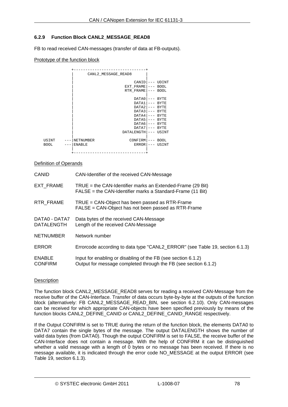# <span id="page-77-0"></span>**6.2.9 Function Block CANL2\_MESSAGE\_READ8**

FB to read received CAN-messages (transfer of data at FB-outputs).

## Prototype of the function block

|             | CANL2 MESSAGE READ8    |       |             |
|-------------|------------------------|-------|-------------|
|             |                        |       |             |
|             | CANID                  | $---$ | UDINT       |
|             | EXT FRAME              | $---$ | <b>BOOL</b> |
|             | RTR FRAME              |       | <b>BOOL</b> |
|             |                        |       |             |
|             | DATA0                  |       | BYTE        |
|             | DATA1                  |       | BYTE        |
|             | DATA2                  |       | BYTE        |
|             | DATA3                  |       | BYTE        |
|             | DATA4                  |       | <b>BYTE</b> |
|             | DATA5                  |       | BYTE        |
|             | DATA6                  |       | BYTE        |
|             | DATA7                  |       | BYTE        |
|             | DATALENGTH             |       | USINT       |
|             |                        |       |             |
| USINT       | NETNUMBER<br>CONFIRM   | $---$ | <b>BOOL</b> |
| <b>BOOL</b> | <b>ENABLE</b><br>ERROR | $---$ | USINT       |
|             |                        |       |             |
|             |                        |       |             |

#### Definition of Operands

| CANID                              | CAN-Identifier of the received CAN-Message                                                                                       |
|------------------------------------|----------------------------------------------------------------------------------------------------------------------------------|
| EXT_FRAME                          | $TRUE =$ the CAN-Identifier marks an Extended-Frame (29 Bit)<br>FALSE = the CAN-Identifier marks a Standard-Frame (11 Bit)       |
| RTR FRAME                          | $TRUE = CAN-Object$ has been passed as RTR-Frame<br>FALSE = CAN-Object has not been passed as RTR-Frame                          |
| DATA0 - DATA7<br><b>DATALENGTH</b> | Data bytes of the received CAN-Message<br>Length of the received CAN-Message                                                     |
| <b>NETNUMBER</b>                   | Network number                                                                                                                   |
| <b>ERROR</b>                       | Errorcode according to data type "CANL2_ERROR" (see Table 19, section 6.1.3)                                                     |
| <b>ENABLE</b><br><b>CONFIRM</b>    | Input for enabling or disabling of the FB (see section 6.1.2)<br>Output for message completed through the FB (see section 6.1.2) |

#### **Description**

The function block CANL2\_MESSAGE\_READ8 serves for reading a received CAN-Message from the receive buffer of the CAN-Interface. Transfer of data occurs byte-by-byte at the outputs of the function block (alternatively: FB CANL2\_MESSAGE\_READ\_BIN, see section [6.2.10\)](#page-78-0). Only CAN-messages can be received for which appropriate CAN-objects have been specified previously by means of the function blocks CANL2\_DEFINE\_CANID or CANL2\_DEFINE\_CANID\_RANGE respectively.

If the Output CONFIRM is set to TRUE during the return of the function block, the elements DATA0 to DATA7 contain the single bytes of the message. The output DATALENGTH shows the number of valid data bytes (from DATA0). Though the output CONFIRM is set to FALSE, the receive buffer of the CAN-Interface does not contain a message. With the help of CONFIRM it can be distinguished whether a valid message with a length of 0 bytes or no message has been received. If there is no message available, it is indicated through the error code NO\_MESSAGE at the output ERROR (see [Table 19,](#page-69-1) section [6.1.3](#page-69-2)).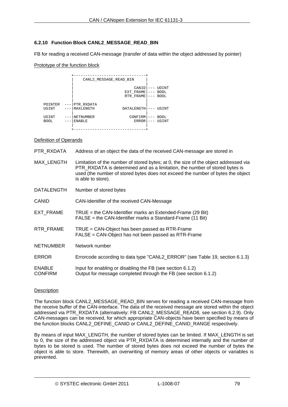# <span id="page-78-0"></span>**6.2.10 Function Block CANL2\_MESSAGE\_READ\_BIN**

FB for reading a received CAN-message (transfer of data within the object addressed by pointer)

#### Prototype of the function block



#### Definition of Operands

- PTR\_RXDATA Address of an object the data of the received CAN-message are stored in
- MAX\_LENGTH Limitation of the number of stored bytes; at 0, the size of the object addressed via PTR\_RXDATA is determined and as a limitation, the number of stored bytes is used (the number of stored bytes does not exceed the number of bytes the object is able to store).
- DATALENGTH Number of stored bytes
- CANID CAN-Identifier of the received CAN-Message
- EXT FRAME  $T$  TRUE = the CAN-Identifier marks an Extended-Frame (29 Bit) FALSE = the CAN-Identifier marks a Standard-Frame (11 Bit)
- RTR\_FRAME TRUE = CAN-Object has been passed as RTR-Frame FALSE = CAN-Object has not been passed as RTR-Frame
- NETNUMBER Network number
- ERROR Errorcode according to data type "CANL2\_ERROR" (see [Table 19](#page-69-1), section [6.1.3\)](#page-69-2)
- ENABLE Input for enabling or disabling the FB (see section [6.1.2\)](#page-69-0)
- CONFIRM Output for message completed through the FB (see section [6.1.2\)](#page-69-0)

#### **Description**

The function block CANL2\_MESSAGE\_READ\_BIN serves for reading a received CAN-message from the receive buffer of the CAN-interface. The data of the received message are stored within the object addressed via PTR\_RXDATA (alternatively: FB CANL2\_MESSAGE\_READ8, see section [6.2.9\)](#page-77-0). Only CAN-messages can be received, for which appropriate CAN-objects have been specified by means of the function blocks CANL2\_DEFINE\_CANID or CANL2\_DEFINE\_CANID\_RANGE respectively.

By means of input MAX\_LENGTH, the number of stored bytes can be limited. If MAX\_LENGTH is set to 0, the size of the addressed object via PTR\_RXDATA is determined internally and the number of bytes to be stored is used. The number of stored bytes does not exceed the number of bytes the object is able to store. Therewith, an overwriting of memory areas of other objects or variables is prevented.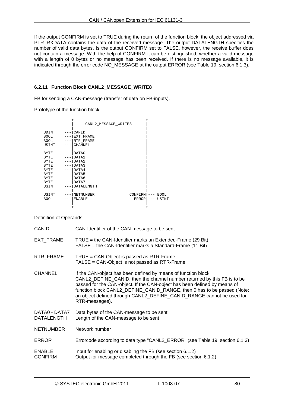If the output CONFIRM is set to TRUE during the return of the function block, the object addressed via PTR\_RXDATA contains the data of the received message. The output DATALENGTH specifies the number of valid data bytes. Is the output CONFIRM set to FALSE, however, the receive buffer does not contain a message. With the help of CONFIRM it can be distinguished, whether a valid message with a length of 0 bytes or no message has been received. If there is no message available, it is indicated through the error code NO MESSAGE at the output ERROR (see [Table 19](#page-69-1), section [6.1.3\)](#page-69-2).

## <span id="page-79-0"></span>**6.2.11 Function Block CANL2\_MESSAGE\_WRITE8**

FB for sending a CAN-message (transfer of data on FB-inputs).

#### Prototype of the function block

|             |                     | CANL2_MESSAGE_WRITE8 |         |         |             |
|-------------|---------------------|----------------------|---------|---------|-------------|
|             |                     |                      |         |         |             |
| UDINT       | $---$               | CANID                |         |         |             |
| BOOL        |                     | $---$ EXT FRAME      |         |         |             |
| BOOL        |                     | $--- RTR_FRAME$      |         |         |             |
| USINT       | $\qquad \qquad - -$ | CHANNEL              |         |         |             |
|             |                     |                      |         |         |             |
| BYTE        |                     | $---$ DATA0          |         |         |             |
| <b>BYTE</b> |                     | $---IDATA1$          |         |         |             |
| BYTE        |                     | $---IDATA2$          |         |         |             |
| BYTE        |                     | $---IDATA3$          |         |         |             |
| <b>BYTE</b> |                     | $---IDATAA$          |         |         |             |
| BYTE        |                     | ---   DATA5          |         |         |             |
| RYTE.       |                     | $---IDATAG$          |         |         |             |
| <b>BYTE</b> |                     | $---IDATA7$          |         |         |             |
| USINT       | $- - - -$           | <b>DATALENGTH</b>    |         |         |             |
|             |                     |                      |         |         |             |
| USINT       |                     | <b>NETNUMBER</b>     | CONFIRM | $- - -$ | <b>BOOL</b> |
| <b>BOOL</b> | ---                 | <b>ENABLE</b>        | ERROR   | $---$   | USINT       |
|             |                     |                      |         |         |             |
|             |                     |                      |         |         |             |

## Definition of Operands

| <b>CANID</b>                       | CAN-Identifier of the CAN-message to be sent                                                                                                                                                                                                                                                                                                                                                 |
|------------------------------------|----------------------------------------------------------------------------------------------------------------------------------------------------------------------------------------------------------------------------------------------------------------------------------------------------------------------------------------------------------------------------------------------|
| EXT_FRAME                          | TRUE = the CAN-Identifier marks an Extended-Frame (29 Bit)<br>$FALSE = the CAN-Identity marks a Standard-Frame (11 Bit)$                                                                                                                                                                                                                                                                     |
| RTR_FRAME                          | $TRUE = CAN-Object$ is passed as RTR-Frame<br>FALSE = CAN-Object is not passed as RTR-Frame                                                                                                                                                                                                                                                                                                  |
| <b>CHANNEL</b>                     | If the CAN-object has been defined by means of function block<br>CANL2_DEFINE_CANID, then the channel number returned by this FB is to be<br>passed for the CAN-object. If the CAN-object has been defined by means of<br>function block CANL2_DEFINE_CANID_RANGE, then 0 has to be passed (Note:<br>an object defined through CANL2_DEFINE_CANID_RANGE cannot be used for<br>RTR-messages). |
| DATA0 - DATA7<br><b>DATALENGTH</b> | Data bytes of the CAN-message to be sent<br>Length of the CAN-message to be sent                                                                                                                                                                                                                                                                                                             |
| <b>NETNUMBER</b>                   | Network number                                                                                                                                                                                                                                                                                                                                                                               |
| <b>ERROR</b>                       | Errorcode according to data type "CANL2_ERROR" (see Table 19, section 6.1.3)                                                                                                                                                                                                                                                                                                                 |
| <b>ENABLE</b><br><b>CONFIRM</b>    | Input for enabling or disabling the FB (see section 6.1.2)<br>Output for message completed through the FB (see section 6.1.2)                                                                                                                                                                                                                                                                |
|                                    |                                                                                                                                                                                                                                                                                                                                                                                              |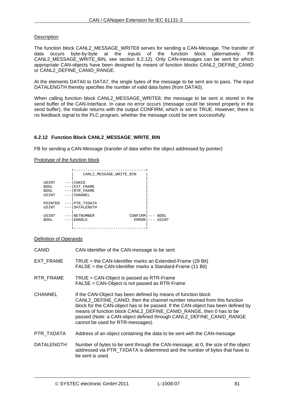The function block CANL2\_MESSAGE\_WRITE8 serves for sending a CAN-Message. The transfer of data occurs byte-by-byte at the inputs of the function block (alternatively: FB CANL2 MESSAGE WRITE BIN, see section [6.2.12](#page-80-0)). Only CAN-messages can be sent for which appropriate CAN-objects have been designed by means of function blocks CANL2\_DEFINE\_CANID or CANL2\_DEFINE\_CANID\_RANGE.

At the elements DATA0 to DATA7, the single bytes of the message to be sent are to pass. The input DATALENGTH thereby specifies the number of valid data bytes (from DATA0).

When calling function block CANL2 MESSAGE WRITE8, the message to be sent is stored in the send buffer of the CAN-Interface. In case no error occurs (message could be stored properly in the send buffer), the module returns with the output CONFIRM, which is set to TRUE. However, there is no feedback signal to the PLC program, whether the message could be sent successfully.

# <span id="page-80-0"></span>**6.2.12 Function Block CANL2\_MESSAGE\_WRITE\_BIN**

FB for sending a CAN-Message (transfer of data within the object addressed by pointer)

Prototype of the function block

|                                               |                   | CANL2 MESSAGE WRITE BIN                    |                         |                      |
|-----------------------------------------------|-------------------|--------------------------------------------|-------------------------|----------------------|
| <b>UDINT</b><br><b>BOOL</b><br>BOOL.<br>USINT | $---$             | CANID<br>EXT FRAME<br>RTR FRAME<br>CHANNEL |                         |                      |
| POINTER<br>USINT                              | $-- -$            | PTR TXDATA<br>DATALENGTH                   |                         |                      |
| USINT<br>BOOL.                                | $\qquad \qquad -$ | NETNUMBER<br><b>ENABLE</b>                 | CONFIRM<br><b>ERROR</b> | <b>BOOL</b><br>USINT |

Definition of Operands

| CANID      | CAN-Identifier of the CAN-message to be sent                                                                                                                                                                                                                                                                                                                                                                   |
|------------|----------------------------------------------------------------------------------------------------------------------------------------------------------------------------------------------------------------------------------------------------------------------------------------------------------------------------------------------------------------------------------------------------------------|
| EXT FRAME  | TRUE = the CAN-Identifier marks an Extended-Frame (29 Bit)<br>FALSE = the CAN-Identifier marks a Standard-Frame (11 Bit)                                                                                                                                                                                                                                                                                       |
| RTR_FRAME  | TRUE = CAN-Object is passed as RTR-Frame<br>FALSE = CAN-Object is not passed as RTR-Frame                                                                                                                                                                                                                                                                                                                      |
| CHANNEL    | If the CAN-Object has been defined by means of function block<br>CANL2_DEFINE_CANID, then the channel number returned from this function<br>block for the CAN-object has to be passed. If the CAN-object has been defined by<br>means of function block CANL2_DEFINE_CANID_RANGE, then 0 has to be<br>passed (Note: a CAN-object defined through CANL2_DEFINE_CANID_RANGE<br>cannot be used for RTR-messages). |
| PTR TXDATA | Address of an object containing the data to be sent with the CAN-message                                                                                                                                                                                                                                                                                                                                       |
| DATALENGTH | Number of bytes to be sent through the CAN-message; at 0, the size of the object<br>addressed via PTR_TXDATA is determined and the number of bytes that have to<br>be sent is used.                                                                                                                                                                                                                            |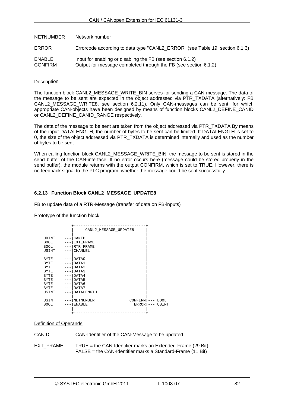| NETNUMBER                | Network number                                                                                                                |
|--------------------------|-------------------------------------------------------------------------------------------------------------------------------|
| ERROR                    | Errorcode according to data type "CANL2_ERROR" (see Table 19, section 6.1.3)                                                  |
| <b>ENABLE</b><br>CONFIRM | Input for enabling or disabling the FB (see section 6.1.2)<br>Output for message completed through the FB (see section 6.1.2) |

The function block CANL2\_MESSAGE\_WRITE\_BIN serves for sending a CAN-message. The data of the message to be sent are expected in the object addressed via PTR\_TXDATA (alternatively: FB CANL2 MESSAGE WRITE8, see section [6.2.11\)](#page-79-0). Only CAN-messages can be sent, for which appropriate CAN-objects have been designed by means of function blocks CANL2\_DEFINE\_CANID or CANL2\_DEFINE\_CANID\_RANGE respectively.

The data of the message to be sent are taken from the object addressed via PTR\_TXDATA By means of the input DATALENGTH, the number of bytes to be sent can be limited. If DATALENGTH is set to 0, the size of the object addressed via PTR\_TXDATA is determined internally and used as the number of bytes to be sent.

When calling function block CANL2\_MESSAGE\_WRITE\_BIN, the message to be sent is stored in the send buffer of the CAN-interface. If no error occurs here (message could be stored properly in the send buffer), the module returns with the output CONFIRM, which is set to TRUE. However, there is no feedback signal to the PLC program, whether the message could be sent successfully.

# <span id="page-81-0"></span>**6.2.13 Function Block CANL2\_MESSAGE\_UPDATE8**

FB to update data of a RTR-Message (transfer of data on FB-inputs)

#### Prototype of the function block

|             |                     | CANL2 MESSAGE UPDATE8 |                    |       |             |
|-------------|---------------------|-----------------------|--------------------|-------|-------------|
|             |                     |                       |                    |       |             |
| UDINT       | $\qquad \qquad - -$ | CANID                 |                    |       |             |
| BOOL        | $--- 1$             | EXT FRAME             |                    |       |             |
| BOOL        |                     | $--- RTR$ FRAME       |                    |       |             |
| USINT       | $--- 1$             | CHANNEL               |                    |       |             |
|             |                     |                       |                    |       |             |
| BYTE        |                     | $---IDATAO$           |                    |       |             |
| <b>BYTE</b> |                     | $---IDATA1$           |                    |       |             |
| BYTE        |                     | $---IDATA2$           |                    |       |             |
| BYTE        |                     | ---   DATA3           |                    |       |             |
| BYTE        |                     | $---IDATA4$           |                    |       |             |
| BYTE        |                     | $---IDATAS$           |                    |       |             |
| BYTE        |                     | --- DATA6             |                    |       |             |
| <b>BYTE</b> | ——— I               | DATA7                 |                    |       |             |
| USINT       | $- - - -$           | DATALENGTH            |                    |       |             |
|             |                     |                       |                    |       |             |
| USINT       | $-- -$              | <b>NETNUMBER</b>      | $CONFIRM$ $---$    |       | <b>BOOL</b> |
| <b>BOOL</b> |                     | <b>ENABLE</b>         | ERROR <sup>1</sup> | $---$ | USINT       |
|             |                     |                       |                    |       |             |
|             |                     |                       |                    |       |             |

#### Definition of Operands

CANID CAN-Identifier of the CAN-Message to be updated

EXT FRAME TRUE = the CAN-Identifier marks an Extended-Frame (29 Bit) FALSE = the CAN-Identifier marks a Standard-Frame (11 Bit)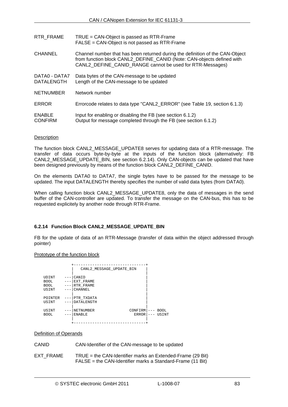| RTR_FRAME                          | TRUE = CAN-Object is passed as RTR-Frame<br>FALSE = CAN-Object is not passed as RTR-Frame                                                                                                                            |
|------------------------------------|----------------------------------------------------------------------------------------------------------------------------------------------------------------------------------------------------------------------|
| <b>CHANNEL</b>                     | Channel number that has been returned during the definition of the CAN-Object<br>from function block CANL2 DEFINE CANID (Note: CAN-objects defined with<br>CANL2 DEFINE CANID RANGE cannot be used for RTR-Messages) |
| DATA0 - DATA7<br><b>DATALENGTH</b> | Data bytes of the CAN-message to be updated<br>Length of the CAN-message to be updated                                                                                                                               |
| <b>NETNUMBER</b>                   | Network number                                                                                                                                                                                                       |
| ERROR                              | Errorcode relates to data type "CANL2_ERROR" (see Table 19, section 6.1.3)                                                                                                                                           |
| <b>ENABLE</b><br><b>CONFIRM</b>    | Input for enabling or disabling the FB (see section 6.1.2)<br>Output for message completed through the FB (see section 6.1.2)                                                                                        |

The function block CANL2\_MESSAGE\_UPDATE8 serves for updating data of a RTR-message. The transfer of data occurs byte-by-byte at the inputs of the function block (alternatively: FB CANL2\_MESSAGE\_UPDATE\_BIN, see section [6.2.14\)](#page-82-0). Only CAN-objects can be updated that have been designed previously by means of the function block CANL2\_DEFINE\_CANID.

On the elements DATA0 to DATA7, the single bytes have to be passed for the message to be updated. The input DATALENGTH thereby specifies the number of valid data bytes (from DATA0).

When calling function block CANL2\_MESSAGE\_UPDATE8, only the data of messages in the send buffer of the CAN-controller are updated. To transfer the message on the CAN-bus, this has to be requested explicitely by another node through RTR-Frame.

## <span id="page-82-0"></span>**6.2.14 Function Block CANL2\_MESSAGE\_UPDATE\_BIN**

FB for the update of data of an RTR-Message (transfer of data within the object addressed through pointer)

#### Prototype of the function block

|                                 |                                     | CANL2 MESSAGE UPDATE BIN                   |                          |       |                      |
|---------------------------------|-------------------------------------|--------------------------------------------|--------------------------|-------|----------------------|
| UDINT<br>BOOL<br>BOOL.<br>USINT | ---<br>$---$<br>$\qquad \qquad - -$ | CANID<br>EXT FRAME<br>RTR FRAME<br>CHANNEL |                          |       |                      |
| POINTER<br>USINT                |                                     | PTR TXDATA<br>DATALENGTH                   |                          |       |                      |
| USINT<br>BOOL.                  | $---$<br>$---$                      | NETNUMBER<br><b>ENABLE</b>                 | <b>CONFIRMI</b><br>ERROR | $---$ | <b>BOOL</b><br>USINT |

#### Definition of Operands

CANID CAN-Identifier of the CAN-message to be updated

EXT\_FRAME TRUE = the CAN-Identifier marks an Extended-Frame (29 Bit) FALSE = the CAN-Identifier marks a Standard-Frame (11 Bit)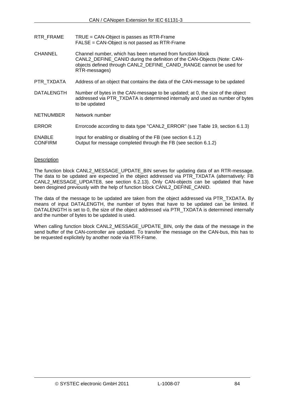| RTR FRAME                       | $TRUE = CAN-Object$ is passes as RTR-Frame<br>FALSE = CAN-Object is not passed as RTR-Frame                                                                                                                                    |
|---------------------------------|--------------------------------------------------------------------------------------------------------------------------------------------------------------------------------------------------------------------------------|
| <b>CHANNEL</b>                  | Channel number, which has been returned from function block<br>CANL2_DEFINE_CANID during the definition of the CAN-Objects (Note: CAN-<br>objects defined through CANL2_DEFINE_CANID_RANGE cannot be used for<br>RTR-messages) |
| PTR TXDATA                      | Address of an object that contains the data of the CAN-message to be updated                                                                                                                                                   |
| <b>DATALENGTH</b>               | Number of bytes in the CAN-message to be updated; at 0, the size of the object<br>addressed via PTR_TXDATA is determined internally and used as number of bytes<br>to be updated                                               |
| <b>NETNUMBER</b>                | Network number                                                                                                                                                                                                                 |
| <b>ERROR</b>                    | Errorcode according to data type "CANL2_ERROR" (see Table 19, section 6.1.3)                                                                                                                                                   |
| <b>ENABLE</b><br><b>CONFIRM</b> | Input for enabling or disabling of the FB (see section 6.1.2)<br>Output for message completed through the FB (see section 6.1.2)                                                                                               |

The function block CANL2 MESSAGE UPDATE BIN serves for updating data of an RTR-message. The data to be updated are expected in the object addressed via PTR\_TXDATA (alternatively: FB CANL2 MESSAGE UPDATE8, see section [6.2.13\)](#page-81-0). Only CAN-objects can be updated that have been desgined previously with the help of function block CANL2\_DEFINE\_CANID.

The data of the message to be updated are taken from the object addressed via PTR\_TXDATA. By means of input DATALENGTH, the number of bytes that have to be updated can be limited. If DATALENGTH is set to 0, the size of the object addressed via PTR\_TXDATA is determined internally and the number of bytes to be updated is used.

When calling function block CANL2 MESSAGE\_UPDATE\_BIN, only the data of the message in the send buffer of the CAN-controller are updated. To transfer the message on the CAN-bus, this has to be requested explicitely by another node via RTR-Frame.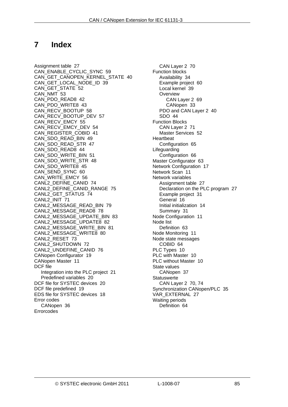# **7 Index**

Assignment table 27 CAN\_ENABLE\_CYCLIC\_SYNC\_59 CAN\_GET\_CANOPEN\_KERNEL\_STATE\_40 CAN\_GET\_LOCAL\_NODE\_ID\_39 CAN\_GET\_STATE 52 CAN\_NMT 53 CAN\_PDO\_READ8 42 CAN\_PDO\_WRITE8 43 CAN\_RECV\_BOOTUP 58 CAN\_RECV\_BOOTUP\_DEV\_57 CAN\_RECV\_EMCY 55 CAN\_RECV\_EMCY\_DEV 54 CAN\_REGISTER\_COBID 41 CAN\_SDO\_READ\_BIN 49 CAN\_SDO\_READ\_STR 47 CAN\_SDO\_READ8 44 CAN\_SDO\_WRITE\_BIN 51 CAN\_SDO\_WRITE\_STR 48 CAN\_SDO\_WRITE8 45 CAN\_SEND\_SYNC 60 CAN\_WRITE\_EMCY\_56 CANL2\_DEFINE\_CANID 74 CANL2\_DEFINE\_CANID\_RANGE 75 CANL2\_GET\_STATUS 74 CANL2\_INIT 71 CANL2\_MESSAGE\_READ\_BIN 79 CANL2\_MESSAGE\_READ8 78 CANL2\_MESSAGE\_UPDATE\_BIN 83 CANL2\_MESSAGE\_UPDATE8 82 CANL2\_MESSAGE\_WRITE\_BIN 81 CANL2\_MESSAGE\_WRITE8 80 CANL2\_RESET 73 CANL2\_SHUTDOWN 72 CANL2\_UNDEFINE\_CANID 76 CANopen Configurator 19 CANopen Master 11 DCF file Integration into the PLC project 21 Predefined variables 20 DCF file for SYSTEC devices 20 DCF file predefined 19 EDS file for SYSTEC devices 18 Error codes CANopen 36 Errorcodes

CAN Layer 2 70 Function blocks Availability 34 Example project 60 Local kernel 39 **Overview** CAN Layer 2 69 CANopen 33 PDO and CAN Layer 2 40 SDO 44 Function Blocks CAN Layer 2 71 Master Services 52 **Heartbeat** Configuration 65 Lifeguarding Configuration 66 Master Configurator 63 Network Configuration 17 Network Scan 11 Network variables Assignment table 27 Declaration on the PLC program 27 Example project 31 General 16 Initial initialization 14 Summary 31 Node Configuration 11 Node list Definition 63 Node Monitoring 11 Node state messages COBID 64 PLC Types 10 PLC with Master 10 PLC without Master 10 State values CANopen 37 **Statuswerte** CAN Layer 2 70, 74 Synchronization CANopen/PLC 35 VAR\_EXTERNAL 27 Waiting periods Definition 64